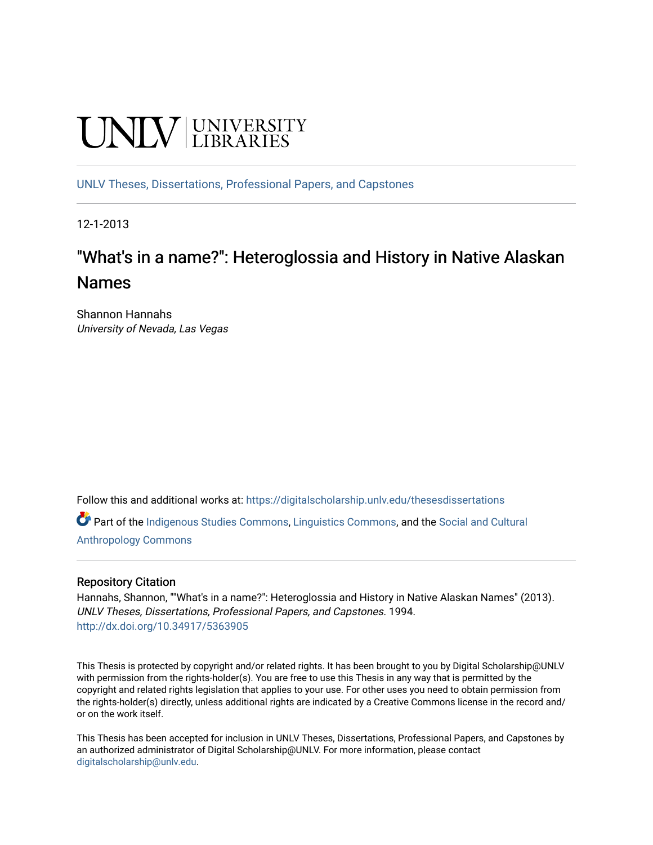# **UNIVERSITY**

[UNLV Theses, Dissertations, Professional Papers, and Capstones](https://digitalscholarship.unlv.edu/thesesdissertations)

12-1-2013

## "What's in a name?": Heteroglossia and History in Native Alaskan Names

Shannon Hannahs University of Nevada, Las Vegas

Follow this and additional works at: [https://digitalscholarship.unlv.edu/thesesdissertations](https://digitalscholarship.unlv.edu/thesesdissertations?utm_source=digitalscholarship.unlv.edu%2Fthesesdissertations%2F1994&utm_medium=PDF&utm_campaign=PDFCoverPages)

Part of the [Indigenous Studies Commons,](http://network.bepress.com/hgg/discipline/571?utm_source=digitalscholarship.unlv.edu%2Fthesesdissertations%2F1994&utm_medium=PDF&utm_campaign=PDFCoverPages) [Linguistics Commons,](http://network.bepress.com/hgg/discipline/371?utm_source=digitalscholarship.unlv.edu%2Fthesesdissertations%2F1994&utm_medium=PDF&utm_campaign=PDFCoverPages) and the [Social and Cultural](http://network.bepress.com/hgg/discipline/323?utm_source=digitalscholarship.unlv.edu%2Fthesesdissertations%2F1994&utm_medium=PDF&utm_campaign=PDFCoverPages)  [Anthropology Commons](http://network.bepress.com/hgg/discipline/323?utm_source=digitalscholarship.unlv.edu%2Fthesesdissertations%2F1994&utm_medium=PDF&utm_campaign=PDFCoverPages)

#### Repository Citation

Hannahs, Shannon, ""What's in a name?": Heteroglossia and History in Native Alaskan Names" (2013). UNLV Theses, Dissertations, Professional Papers, and Capstones. 1994. <http://dx.doi.org/10.34917/5363905>

This Thesis is protected by copyright and/or related rights. It has been brought to you by Digital Scholarship@UNLV with permission from the rights-holder(s). You are free to use this Thesis in any way that is permitted by the copyright and related rights legislation that applies to your use. For other uses you need to obtain permission from the rights-holder(s) directly, unless additional rights are indicated by a Creative Commons license in the record and/ or on the work itself.

This Thesis has been accepted for inclusion in UNLV Theses, Dissertations, Professional Papers, and Capstones by an authorized administrator of Digital Scholarship@UNLV. For more information, please contact [digitalscholarship@unlv.edu](mailto:digitalscholarship@unlv.edu).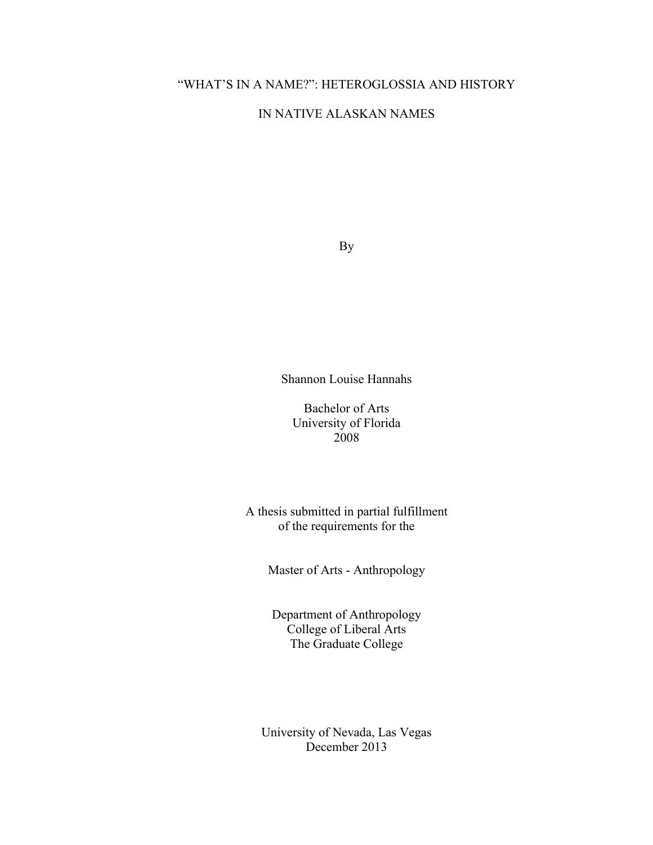## "WHAT'S IN A NAME?": HETEROGLOSSIA AND HISTORY

#### IN NATIVE ALASKAN NAMES

By

Shannon Louise Hannahs

Bachelor of Arts University of Florida 2008

A thesis submitted in partial fulfillment of the requirements for the

Master of Arts - Anthropology

Department of Anthropology College of Liberal Arts The Graduate College

University of Nevada, Las Vegas December 2013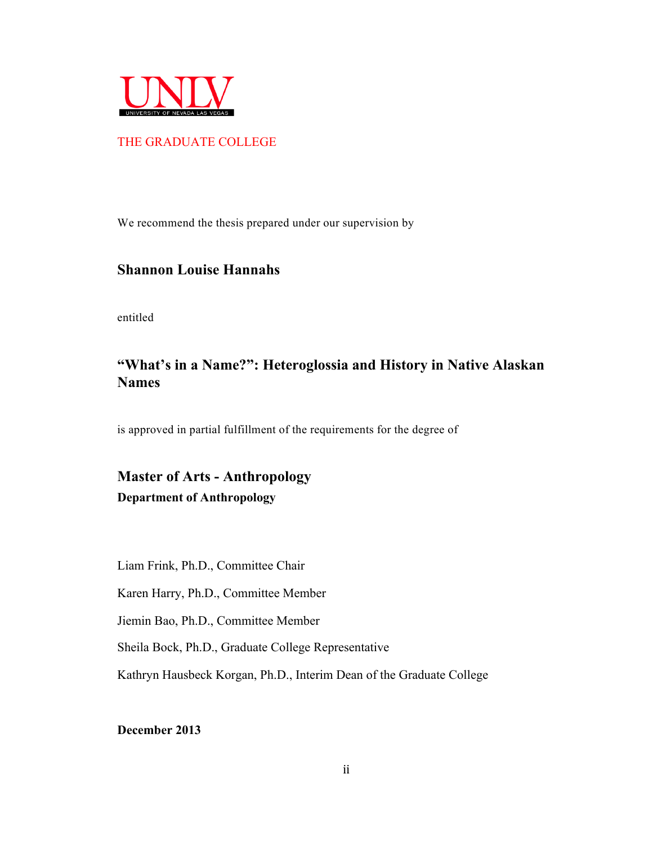

#### THE GRADUATE COLLEGE

We recommend the thesis prepared under our supervision by

#### **Shannon Louise Hannahs**

entitled

## **"What's in a Name?": Heteroglossia and History in Native Alaskan Names**

is approved in partial fulfillment of the requirements for the degree of

**Master of Arts - Anthropology Department of Anthropology**

Liam Frink, Ph.D., Committee Chair

Karen Harry, Ph.D., Committee Member

Jiemin Bao, Ph.D., Committee Member

Sheila Bock, Ph.D., Graduate College Representative

Kathryn Hausbeck Korgan, Ph.D., Interim Dean of the Graduate College

**December 2013**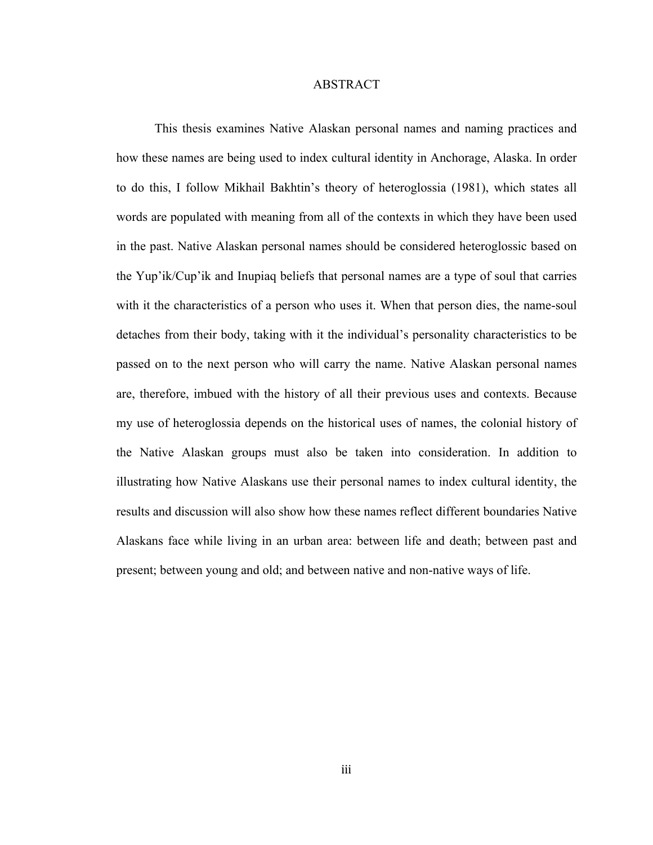#### ABSTRACT

This thesis examines Native Alaskan personal names and naming practices and how these names are being used to index cultural identity in Anchorage, Alaska. In order to do this, I follow Mikhail Bakhtin's theory of heteroglossia (1981), which states all words are populated with meaning from all of the contexts in which they have been used in the past. Native Alaskan personal names should be considered heteroglossic based on the Yup'ik/Cup'ik and Inupiaq beliefs that personal names are a type of soul that carries with it the characteristics of a person who uses it. When that person dies, the name-soul detaches from their body, taking with it the individual's personality characteristics to be passed on to the next person who will carry the name. Native Alaskan personal names are, therefore, imbued with the history of all their previous uses and contexts. Because my use of heteroglossia depends on the historical uses of names, the colonial history of the Native Alaskan groups must also be taken into consideration. In addition to illustrating how Native Alaskans use their personal names to index cultural identity, the results and discussion will also show how these names reflect different boundaries Native Alaskans face while living in an urban area: between life and death; between past and present; between young and old; and between native and non-native ways of life.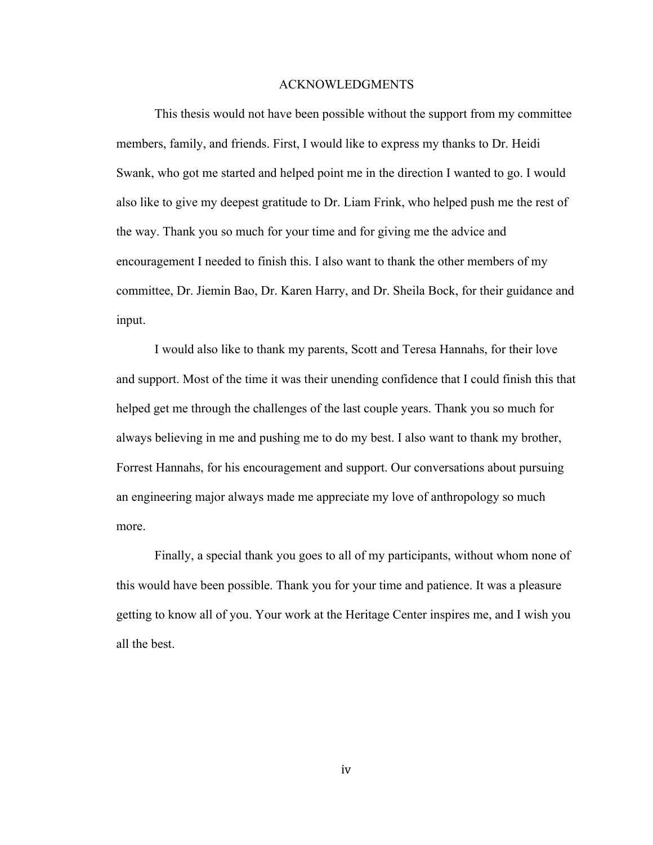#### ACKNOWLEDGMENTS

This thesis would not have been possible without the support from my committee members, family, and friends. First, I would like to express my thanks to Dr. Heidi Swank, who got me started and helped point me in the direction I wanted to go. I would also like to give my deepest gratitude to Dr. Liam Frink, who helped push me the rest of the way. Thank you so much for your time and for giving me the advice and encouragement I needed to finish this. I also want to thank the other members of my committee, Dr. Jiemin Bao, Dr. Karen Harry, and Dr. Sheila Bock, for their guidance and input.

I would also like to thank my parents, Scott and Teresa Hannahs, for their love and support. Most of the time it was their unending confidence that I could finish this that helped get me through the challenges of the last couple years. Thank you so much for always believing in me and pushing me to do my best. I also want to thank my brother, Forrest Hannahs, for his encouragement and support. Our conversations about pursuing an engineering major always made me appreciate my love of anthropology so much more.

Finally, a special thank you goes to all of my participants, without whom none of this would have been possible. Thank you for your time and patience. It was a pleasure getting to know all of you. Your work at the Heritage Center inspires me, and I wish you all the best.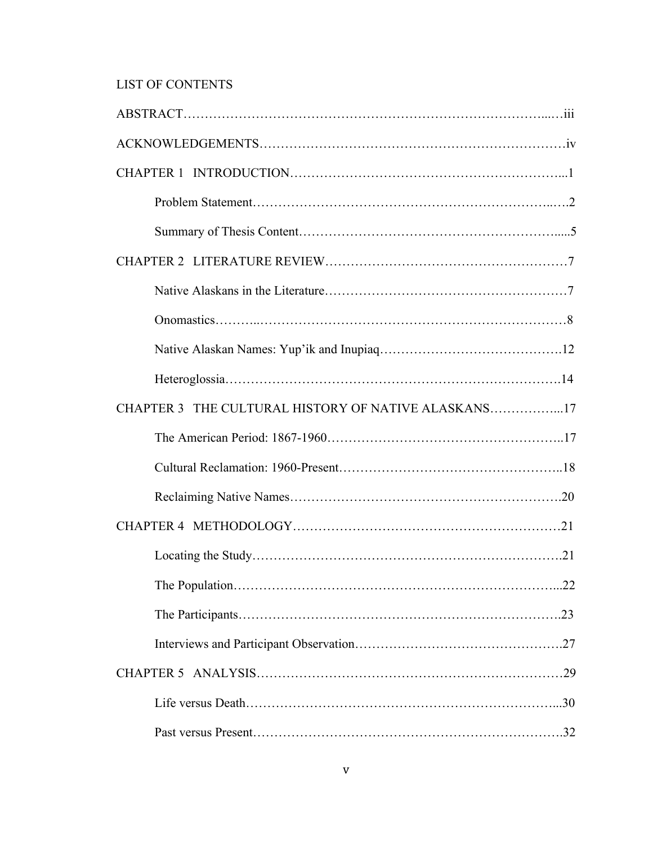## LIST OF CONTENTS

| CHAPTER 3 THE CULTURAL HISTORY OF NATIVE ALASKANS17 |  |
|-----------------------------------------------------|--|
|                                                     |  |
|                                                     |  |
|                                                     |  |
|                                                     |  |
|                                                     |  |
|                                                     |  |
|                                                     |  |
|                                                     |  |
|                                                     |  |
|                                                     |  |
|                                                     |  |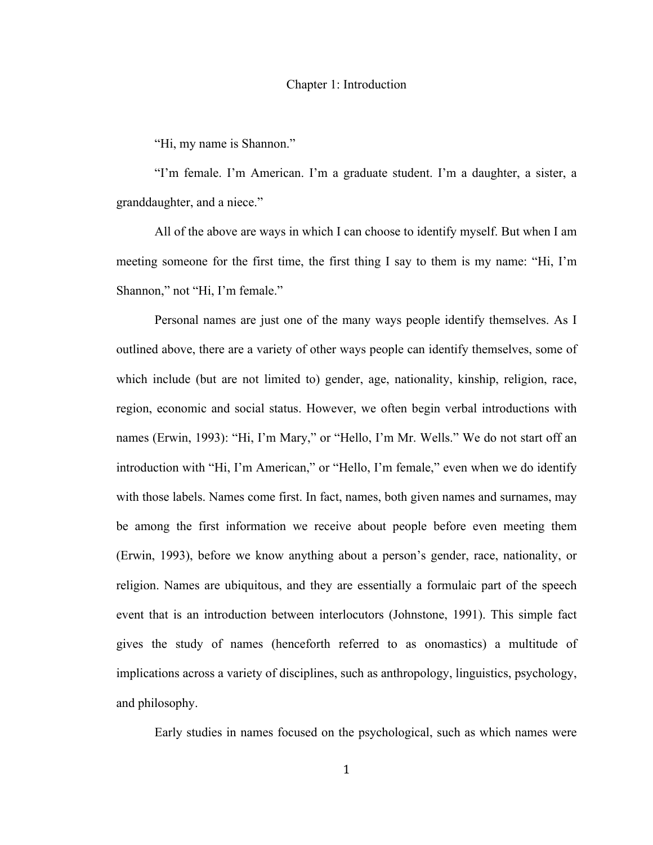#### Chapter 1: Introduction

"Hi, my name is Shannon."

"I'm female. I'm American. I'm a graduate student. I'm a daughter, a sister, a granddaughter, and a niece."

All of the above are ways in which I can choose to identify myself. But when I am meeting someone for the first time, the first thing I say to them is my name: "Hi, I'm Shannon," not "Hi, I'm female."

Personal names are just one of the many ways people identify themselves. As I outlined above, there are a variety of other ways people can identify themselves, some of which include (but are not limited to) gender, age, nationality, kinship, religion, race, region, economic and social status. However, we often begin verbal introductions with names (Erwin, 1993): "Hi, I'm Mary," or "Hello, I'm Mr. Wells." We do not start off an introduction with "Hi, I'm American," or "Hello, I'm female," even when we do identify with those labels. Names come first. In fact, names, both given names and surnames, may be among the first information we receive about people before even meeting them (Erwin, 1993), before we know anything about a person's gender, race, nationality, or religion. Names are ubiquitous, and they are essentially a formulaic part of the speech event that is an introduction between interlocutors (Johnstone, 1991). This simple fact gives the study of names (henceforth referred to as onomastics) a multitude of implications across a variety of disciplines, such as anthropology, linguistics, psychology, and philosophy.

Early studies in names focused on the psychological, such as which names were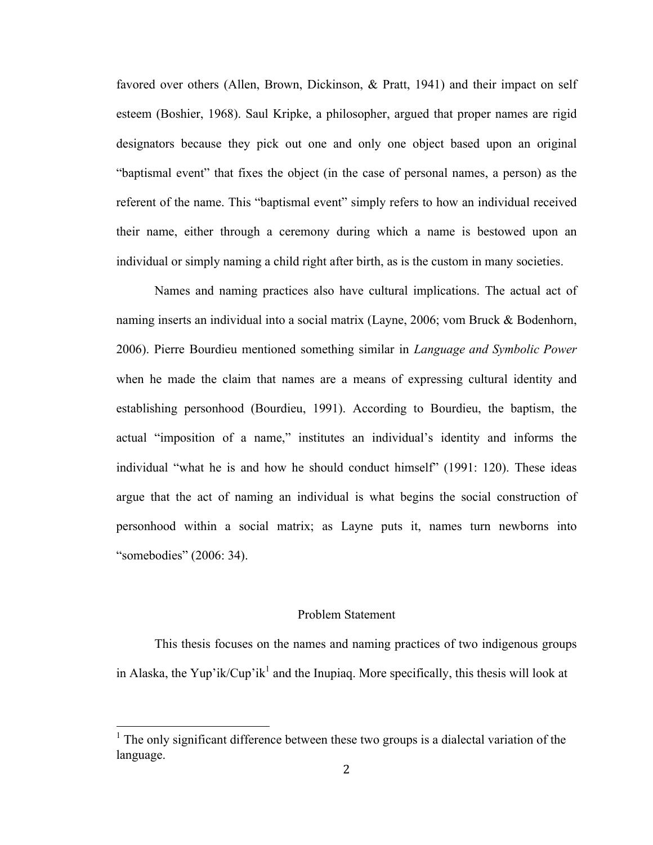favored over others (Allen, Brown, Dickinson, & Pratt, 1941) and their impact on self esteem (Boshier, 1968). Saul Kripke, a philosopher, argued that proper names are rigid designators because they pick out one and only one object based upon an original "baptismal event" that fixes the object (in the case of personal names, a person) as the referent of the name. This "baptismal event" simply refers to how an individual received their name, either through a ceremony during which a name is bestowed upon an individual or simply naming a child right after birth, as is the custom in many societies.

Names and naming practices also have cultural implications. The actual act of naming inserts an individual into a social matrix (Layne, 2006; vom Bruck & Bodenhorn, 2006). Pierre Bourdieu mentioned something similar in *Language and Symbolic Power* when he made the claim that names are a means of expressing cultural identity and establishing personhood (Bourdieu, 1991). According to Bourdieu, the baptism, the actual "imposition of a name," institutes an individual's identity and informs the individual "what he is and how he should conduct himself" (1991: 120). These ideas argue that the act of naming an individual is what begins the social construction of personhood within a social matrix; as Layne puts it, names turn newborns into "somebodies" (2006: 34).

#### Problem Statement

This thesis focuses on the names and naming practices of two indigenous groups in Alaska, the Yup'ik/Cup'ik<sup>1</sup> and the Inupiag. More specifically, this thesis will look at

 $1$  The only significant difference between these two groups is a dialectal variation of the language.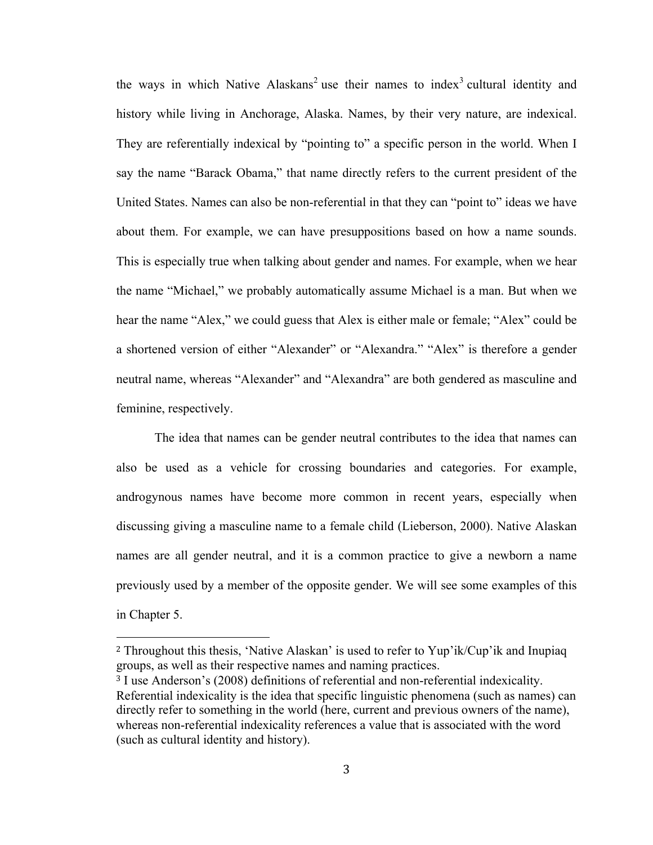the ways in which Native Alaskans<sup>2</sup> use their names to index<sup>3</sup> cultural identity and history while living in Anchorage, Alaska. Names, by their very nature, are indexical. They are referentially indexical by "pointing to" a specific person in the world. When I say the name "Barack Obama," that name directly refers to the current president of the United States. Names can also be non-referential in that they can "point to" ideas we have about them. For example, we can have presuppositions based on how a name sounds. This is especially true when talking about gender and names. For example, when we hear the name "Michael," we probably automatically assume Michael is a man. But when we hear the name "Alex," we could guess that Alex is either male or female; "Alex" could be a shortened version of either "Alexander" or "Alexandra." "Alex" is therefore a gender neutral name, whereas "Alexander" and "Alexandra" are both gendered as masculine and feminine, respectively.

The idea that names can be gender neutral contributes to the idea that names can also be used as a vehicle for crossing boundaries and categories. For example, androgynous names have become more common in recent years, especially when discussing giving a masculine name to a female child (Lieberson, 2000). Native Alaskan names are all gender neutral, and it is a common practice to give a newborn a name previously used by a member of the opposite gender. We will see some examples of this in Chapter 5.

 

<sup>2</sup> Throughout this thesis, 'Native Alaskan' is used to refer to Yup'ik/Cup'ik and Inupiaq groups, as well as their respective names and naming practices.

<sup>3</sup> I use Anderson's (2008) definitions of referential and non-referential indexicality. Referential indexicality is the idea that specific linguistic phenomena (such as names) can directly refer to something in the world (here, current and previous owners of the name), whereas non-referential indexicality references a value that is associated with the word (such as cultural identity and history).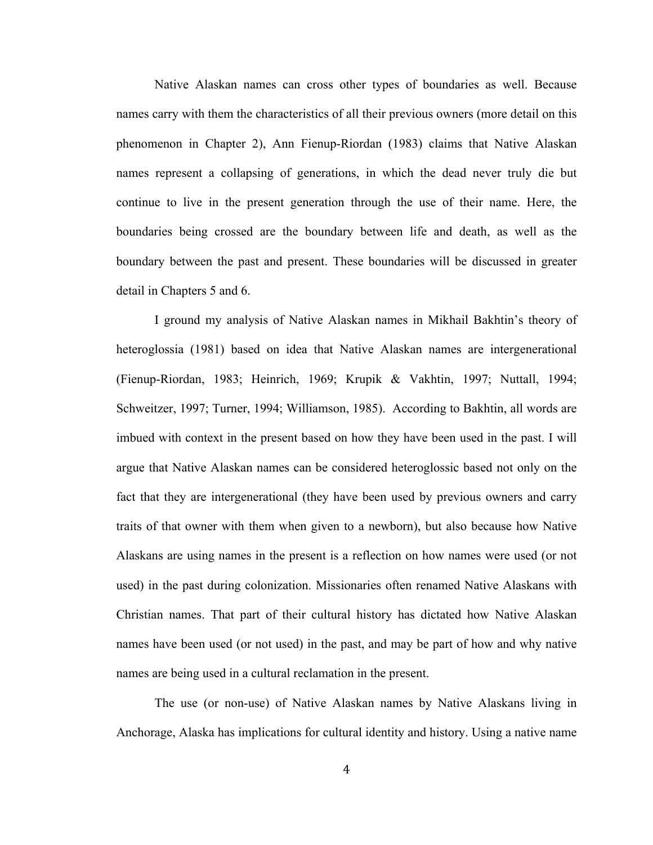Native Alaskan names can cross other types of boundaries as well. Because names carry with them the characteristics of all their previous owners (more detail on this phenomenon in Chapter 2), Ann Fienup-Riordan (1983) claims that Native Alaskan names represent a collapsing of generations, in which the dead never truly die but continue to live in the present generation through the use of their name. Here, the boundaries being crossed are the boundary between life and death, as well as the boundary between the past and present. These boundaries will be discussed in greater detail in Chapters 5 and 6.

I ground my analysis of Native Alaskan names in Mikhail Bakhtin's theory of heteroglossia (1981) based on idea that Native Alaskan names are intergenerational (Fienup-Riordan, 1983; Heinrich, 1969; Krupik & Vakhtin, 1997; Nuttall, 1994; Schweitzer, 1997; Turner, 1994; Williamson, 1985). According to Bakhtin, all words are imbued with context in the present based on how they have been used in the past. I will argue that Native Alaskan names can be considered heteroglossic based not only on the fact that they are intergenerational (they have been used by previous owners and carry traits of that owner with them when given to a newborn), but also because how Native Alaskans are using names in the present is a reflection on how names were used (or not used) in the past during colonization. Missionaries often renamed Native Alaskans with Christian names. That part of their cultural history has dictated how Native Alaskan names have been used (or not used) in the past, and may be part of how and why native names are being used in a cultural reclamation in the present.

The use (or non-use) of Native Alaskan names by Native Alaskans living in Anchorage, Alaska has implications for cultural identity and history. Using a native name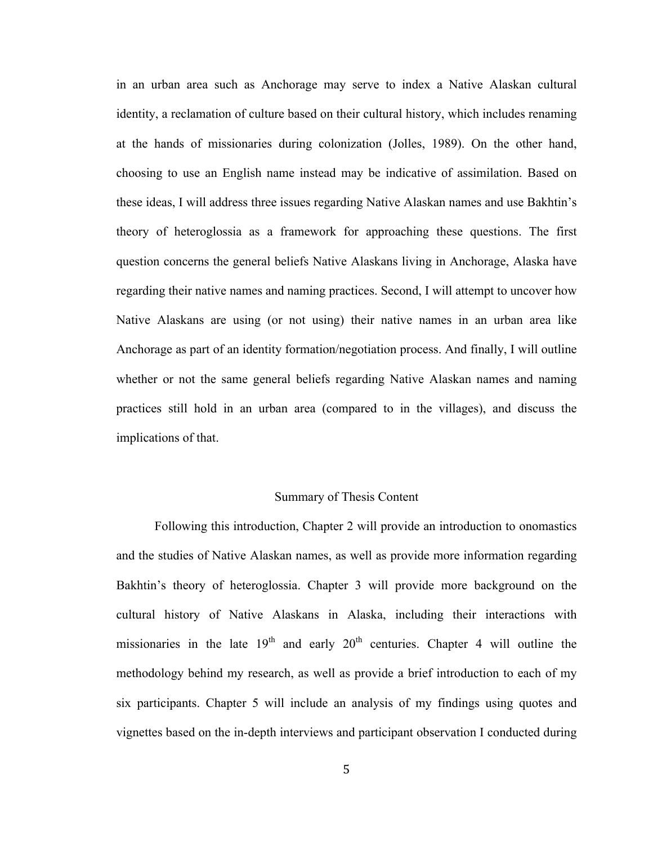in an urban area such as Anchorage may serve to index a Native Alaskan cultural identity, a reclamation of culture based on their cultural history, which includes renaming at the hands of missionaries during colonization (Jolles, 1989). On the other hand, choosing to use an English name instead may be indicative of assimilation. Based on these ideas, I will address three issues regarding Native Alaskan names and use Bakhtin's theory of heteroglossia as a framework for approaching these questions. The first question concerns the general beliefs Native Alaskans living in Anchorage, Alaska have regarding their native names and naming practices. Second, I will attempt to uncover how Native Alaskans are using (or not using) their native names in an urban area like Anchorage as part of an identity formation/negotiation process. And finally, I will outline whether or not the same general beliefs regarding Native Alaskan names and naming practices still hold in an urban area (compared to in the villages), and discuss the implications of that.

#### Summary of Thesis Content

Following this introduction, Chapter 2 will provide an introduction to onomastics and the studies of Native Alaskan names, as well as provide more information regarding Bakhtin's theory of heteroglossia. Chapter 3 will provide more background on the cultural history of Native Alaskans in Alaska, including their interactions with missionaries in the late  $19<sup>th</sup>$  and early  $20<sup>th</sup>$  centuries. Chapter 4 will outline the methodology behind my research, as well as provide a brief introduction to each of my six participants. Chapter 5 will include an analysis of my findings using quotes and vignettes based on the in-depth interviews and participant observation I conducted during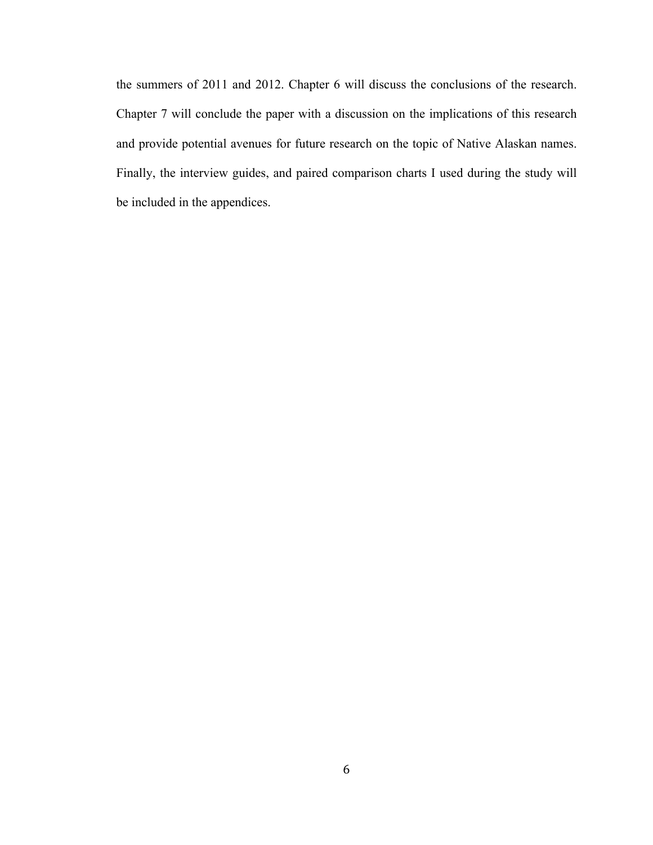the summers of 2011 and 2012. Chapter 6 will discuss the conclusions of the research. Chapter 7 will conclude the paper with a discussion on the implications of this research and provide potential avenues for future research on the topic of Native Alaskan names. Finally, the interview guides, and paired comparison charts I used during the study will be included in the appendices.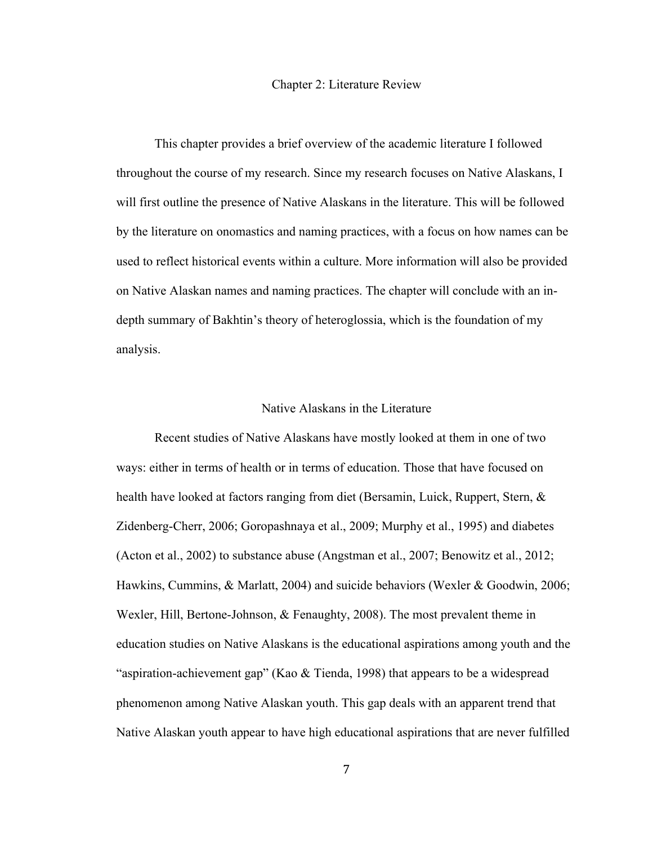#### Chapter 2: Literature Review

This chapter provides a brief overview of the academic literature I followed throughout the course of my research. Since my research focuses on Native Alaskans, I will first outline the presence of Native Alaskans in the literature. This will be followed by the literature on onomastics and naming practices, with a focus on how names can be used to reflect historical events within a culture. More information will also be provided on Native Alaskan names and naming practices. The chapter will conclude with an indepth summary of Bakhtin's theory of heteroglossia, which is the foundation of my analysis.

#### Native Alaskans in the Literature

Recent studies of Native Alaskans have mostly looked at them in one of two ways: either in terms of health or in terms of education. Those that have focused on health have looked at factors ranging from diet (Bersamin, Luick, Ruppert, Stern, & Zidenberg-Cherr, 2006; Goropashnaya et al., 2009; Murphy et al., 1995) and diabetes (Acton et al., 2002) to substance abuse (Angstman et al., 2007; Benowitz et al., 2012; Hawkins, Cummins, & Marlatt, 2004) and suicide behaviors (Wexler & Goodwin, 2006; Wexler, Hill, Bertone-Johnson, & Fenaughty, 2008). The most prevalent theme in education studies on Native Alaskans is the educational aspirations among youth and the "aspiration-achievement gap" (Kao  $\&$  Tienda, 1998) that appears to be a widespread phenomenon among Native Alaskan youth. This gap deals with an apparent trend that Native Alaskan youth appear to have high educational aspirations that are never fulfilled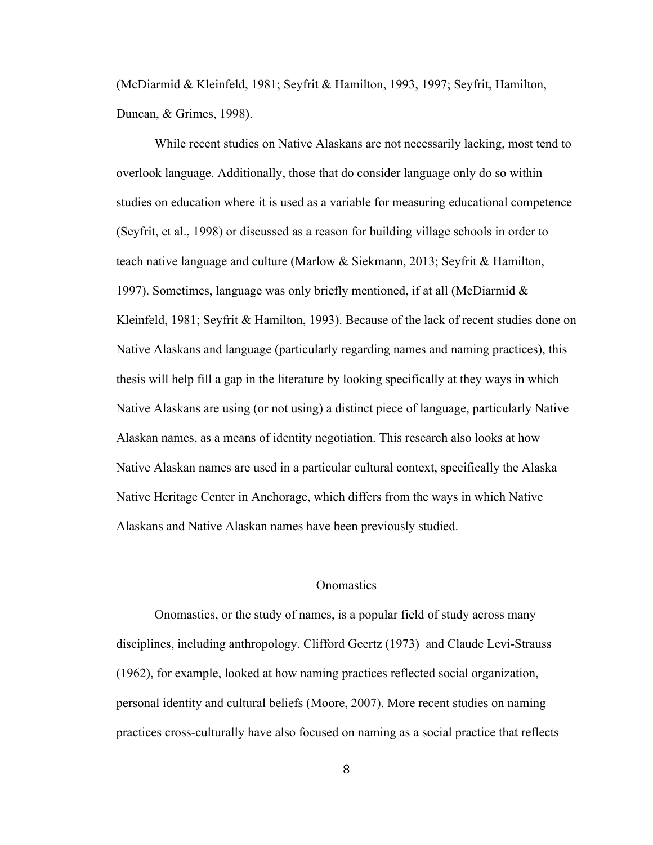(McDiarmid & Kleinfeld, 1981; Seyfrit & Hamilton, 1993, 1997; Seyfrit, Hamilton, Duncan, & Grimes, 1998).

While recent studies on Native Alaskans are not necessarily lacking, most tend to overlook language. Additionally, those that do consider language only do so within studies on education where it is used as a variable for measuring educational competence (Seyfrit, et al., 1998) or discussed as a reason for building village schools in order to teach native language and culture (Marlow & Siekmann, 2013; Seyfrit & Hamilton, 1997). Sometimes, language was only briefly mentioned, if at all (McDiarmid  $\&$ Kleinfeld, 1981; Seyfrit & Hamilton, 1993). Because of the lack of recent studies done on Native Alaskans and language (particularly regarding names and naming practices), this thesis will help fill a gap in the literature by looking specifically at they ways in which Native Alaskans are using (or not using) a distinct piece of language, particularly Native Alaskan names, as a means of identity negotiation. This research also looks at how Native Alaskan names are used in a particular cultural context, specifically the Alaska Native Heritage Center in Anchorage, which differs from the ways in which Native Alaskans and Native Alaskan names have been previously studied.

#### **Onomastics**

Onomastics, or the study of names, is a popular field of study across many disciplines, including anthropology. Clifford Geertz (1973) and Claude Levi-Strauss (1962), for example, looked at how naming practices reflected social organization, personal identity and cultural beliefs (Moore, 2007). More recent studies on naming practices cross-culturally have also focused on naming as a social practice that reflects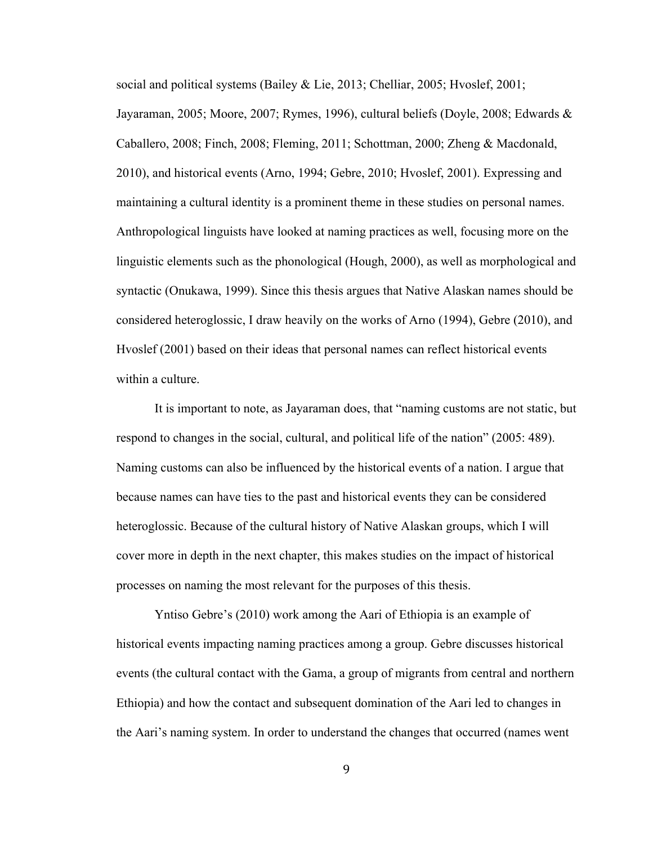social and political systems (Bailey & Lie, 2013; Chelliar, 2005; Hvoslef, 2001; Jayaraman, 2005; Moore, 2007; Rymes, 1996), cultural beliefs (Doyle, 2008; Edwards & Caballero, 2008; Finch, 2008; Fleming, 2011; Schottman, 2000; Zheng & Macdonald, 2010), and historical events (Arno, 1994; Gebre, 2010; Hvoslef, 2001). Expressing and maintaining a cultural identity is a prominent theme in these studies on personal names. Anthropological linguists have looked at naming practices as well, focusing more on the linguistic elements such as the phonological (Hough, 2000), as well as morphological and syntactic (Onukawa, 1999). Since this thesis argues that Native Alaskan names should be considered heteroglossic, I draw heavily on the works of Arno (1994), Gebre (2010), and Hvoslef (2001) based on their ideas that personal names can reflect historical events within a culture.

It is important to note, as Jayaraman does, that "naming customs are not static, but respond to changes in the social, cultural, and political life of the nation" (2005: 489). Naming customs can also be influenced by the historical events of a nation. I argue that because names can have ties to the past and historical events they can be considered heteroglossic. Because of the cultural history of Native Alaskan groups, which I will cover more in depth in the next chapter, this makes studies on the impact of historical processes on naming the most relevant for the purposes of this thesis.

Yntiso Gebre's (2010) work among the Aari of Ethiopia is an example of historical events impacting naming practices among a group. Gebre discusses historical events (the cultural contact with the Gama, a group of migrants from central and northern Ethiopia) and how the contact and subsequent domination of the Aari led to changes in the Aari's naming system. In order to understand the changes that occurred (names went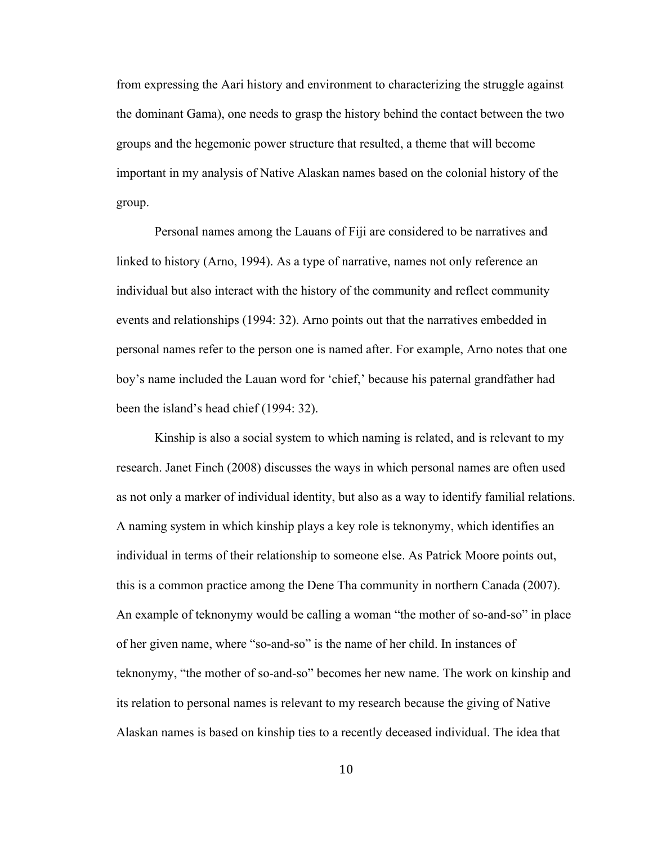from expressing the Aari history and environment to characterizing the struggle against the dominant Gama), one needs to grasp the history behind the contact between the two groups and the hegemonic power structure that resulted, a theme that will become important in my analysis of Native Alaskan names based on the colonial history of the group.

Personal names among the Lauans of Fiji are considered to be narratives and linked to history (Arno, 1994). As a type of narrative, names not only reference an individual but also interact with the history of the community and reflect community events and relationships (1994: 32). Arno points out that the narratives embedded in personal names refer to the person one is named after. For example, Arno notes that one boy's name included the Lauan word for 'chief,' because his paternal grandfather had been the island's head chief (1994: 32).

Kinship is also a social system to which naming is related, and is relevant to my research. Janet Finch (2008) discusses the ways in which personal names are often used as not only a marker of individual identity, but also as a way to identify familial relations. A naming system in which kinship plays a key role is teknonymy, which identifies an individual in terms of their relationship to someone else. As Patrick Moore points out, this is a common practice among the Dene Tha community in northern Canada (2007). An example of teknonymy would be calling a woman "the mother of so-and-so" in place of her given name, where "so-and-so" is the name of her child. In instances of teknonymy, "the mother of so-and-so" becomes her new name. The work on kinship and its relation to personal names is relevant to my research because the giving of Native Alaskan names is based on kinship ties to a recently deceased individual. The idea that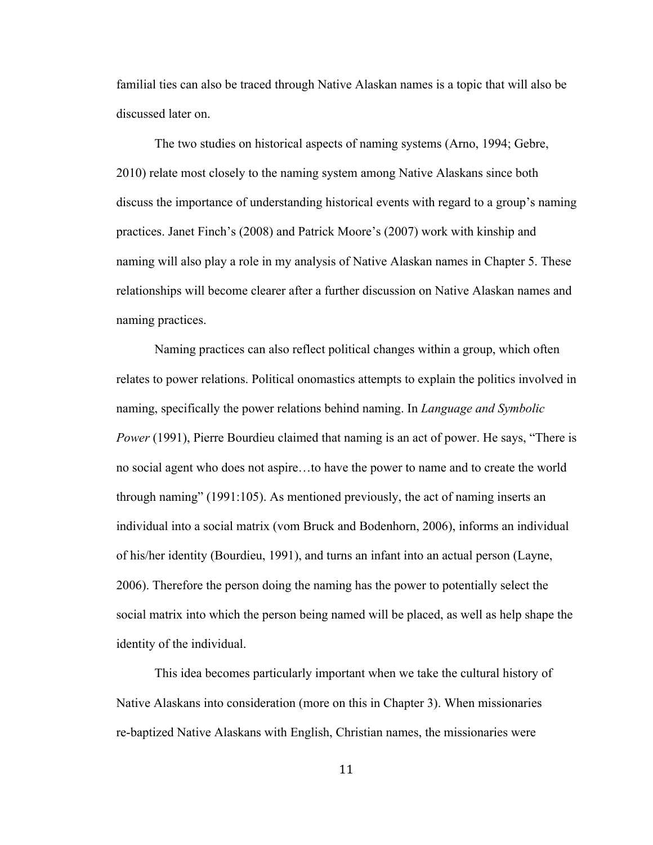familial ties can also be traced through Native Alaskan names is a topic that will also be discussed later on.

The two studies on historical aspects of naming systems (Arno, 1994; Gebre, 2010) relate most closely to the naming system among Native Alaskans since both discuss the importance of understanding historical events with regard to a group's naming practices. Janet Finch's (2008) and Patrick Moore's (2007) work with kinship and naming will also play a role in my analysis of Native Alaskan names in Chapter 5. These relationships will become clearer after a further discussion on Native Alaskan names and naming practices.

Naming practices can also reflect political changes within a group, which often relates to power relations. Political onomastics attempts to explain the politics involved in naming, specifically the power relations behind naming. In *Language and Symbolic Power* (1991), Pierre Bourdieu claimed that naming is an act of power. He says, "There is no social agent who does not aspire…to have the power to name and to create the world through naming" (1991:105). As mentioned previously, the act of naming inserts an individual into a social matrix (vom Bruck and Bodenhorn, 2006), informs an individual of his/her identity (Bourdieu, 1991), and turns an infant into an actual person (Layne, 2006). Therefore the person doing the naming has the power to potentially select the social matrix into which the person being named will be placed, as well as help shape the identity of the individual.

This idea becomes particularly important when we take the cultural history of Native Alaskans into consideration (more on this in Chapter 3). When missionaries re-baptized Native Alaskans with English, Christian names, the missionaries were

11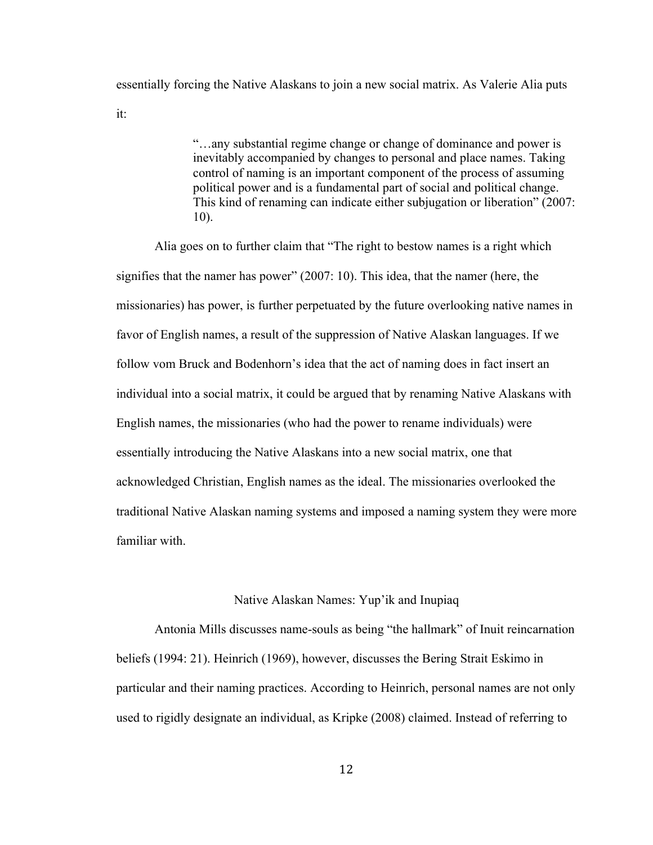essentially forcing the Native Alaskans to join a new social matrix. As Valerie Alia puts it:

> "…any substantial regime change or change of dominance and power is inevitably accompanied by changes to personal and place names. Taking control of naming is an important component of the process of assuming political power and is a fundamental part of social and political change. This kind of renaming can indicate either subjugation or liberation" (2007: 10).

Alia goes on to further claim that "The right to bestow names is a right which signifies that the namer has power" (2007: 10). This idea, that the namer (here, the missionaries) has power, is further perpetuated by the future overlooking native names in favor of English names, a result of the suppression of Native Alaskan languages. If we follow vom Bruck and Bodenhorn's idea that the act of naming does in fact insert an individual into a social matrix, it could be argued that by renaming Native Alaskans with English names, the missionaries (who had the power to rename individuals) were essentially introducing the Native Alaskans into a new social matrix, one that acknowledged Christian, English names as the ideal. The missionaries overlooked the traditional Native Alaskan naming systems and imposed a naming system they were more familiar with.

#### Native Alaskan Names: Yup'ik and Inupiaq

Antonia Mills discusses name-souls as being "the hallmark" of Inuit reincarnation beliefs (1994: 21). Heinrich (1969), however, discusses the Bering Strait Eskimo in particular and their naming practices. According to Heinrich, personal names are not only used to rigidly designate an individual, as Kripke (2008) claimed. Instead of referring to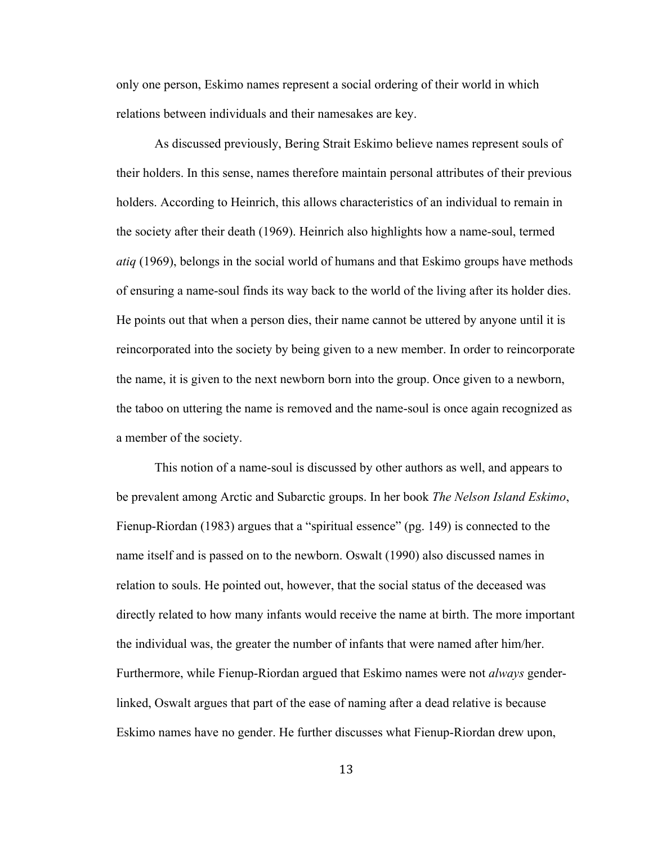only one person, Eskimo names represent a social ordering of their world in which relations between individuals and their namesakes are key.

As discussed previously, Bering Strait Eskimo believe names represent souls of their holders. In this sense, names therefore maintain personal attributes of their previous holders. According to Heinrich, this allows characteristics of an individual to remain in the society after their death (1969). Heinrich also highlights how a name-soul, termed *atiq* (1969), belongs in the social world of humans and that Eskimo groups have methods of ensuring a name-soul finds its way back to the world of the living after its holder dies. He points out that when a person dies, their name cannot be uttered by anyone until it is reincorporated into the society by being given to a new member. In order to reincorporate the name, it is given to the next newborn born into the group. Once given to a newborn, the taboo on uttering the name is removed and the name-soul is once again recognized as a member of the society.

This notion of a name-soul is discussed by other authors as well, and appears to be prevalent among Arctic and Subarctic groups. In her book *The Nelson Island Eskimo*, Fienup-Riordan (1983) argues that a "spiritual essence" (pg. 149) is connected to the name itself and is passed on to the newborn. Oswalt (1990) also discussed names in relation to souls. He pointed out, however, that the social status of the deceased was directly related to how many infants would receive the name at birth. The more important the individual was, the greater the number of infants that were named after him/her. Furthermore, while Fienup-Riordan argued that Eskimo names were not *always* genderlinked, Oswalt argues that part of the ease of naming after a dead relative is because Eskimo names have no gender. He further discusses what Fienup-Riordan drew upon,

13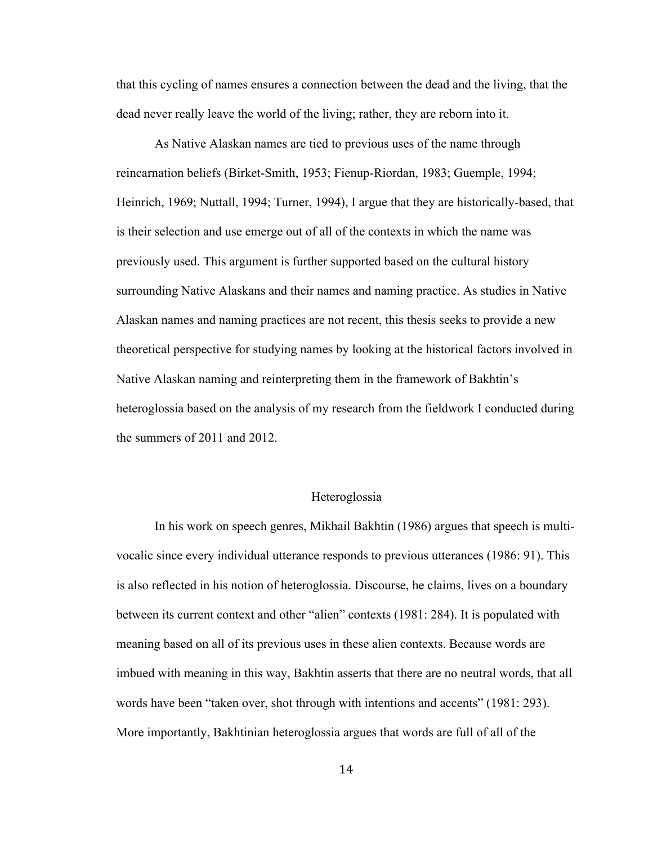that this cycling of names ensures a connection between the dead and the living, that the dead never really leave the world of the living; rather, they are reborn into it.

As Native Alaskan names are tied to previous uses of the name through reincarnation beliefs (Birket-Smith, 1953; Fienup-Riordan, 1983; Guemple, 1994; Heinrich, 1969; Nuttall, 1994; Turner, 1994), I argue that they are historically-based, that is their selection and use emerge out of all of the contexts in which the name was previously used. This argument is further supported based on the cultural history surrounding Native Alaskans and their names and naming practice. As studies in Native Alaskan names and naming practices are not recent, this thesis seeks to provide a new theoretical perspective for studying names by looking at the historical factors involved in Native Alaskan naming and reinterpreting them in the framework of Bakhtin's heteroglossia based on the analysis of my research from the fieldwork I conducted during the summers of 2011 and 2012.

#### Heteroglossia

In his work on speech genres, Mikhail Bakhtin (1986) argues that speech is multivocalic since every individual utterance responds to previous utterances (1986: 91). This is also reflected in his notion of heteroglossia. Discourse, he claims, lives on a boundary between its current context and other "alien" contexts (1981: 284). It is populated with meaning based on all of its previous uses in these alien contexts. Because words are imbued with meaning in this way, Bakhtin asserts that there are no neutral words, that all words have been "taken over, shot through with intentions and accents" (1981: 293). More importantly, Bakhtinian heteroglossia argues that words are full of all of the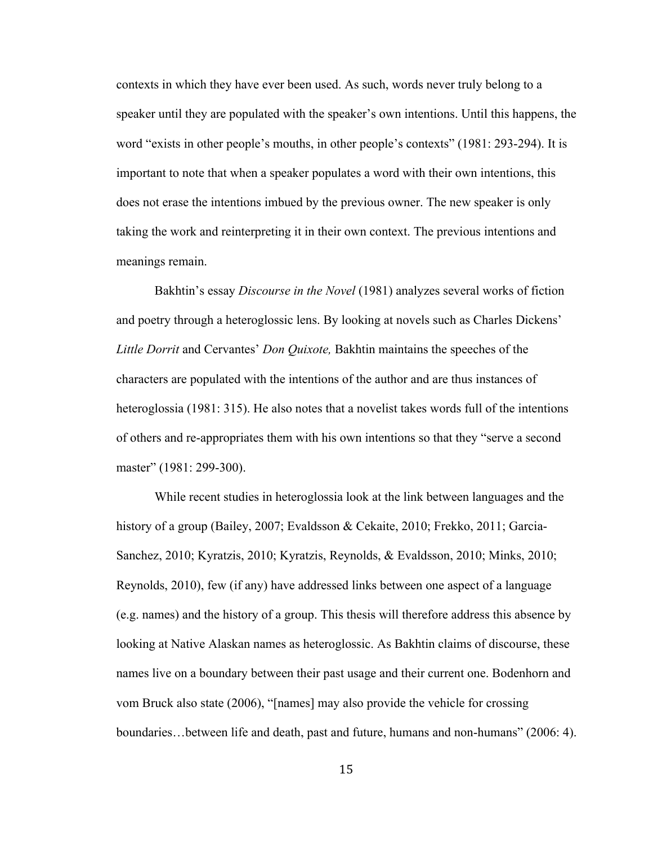contexts in which they have ever been used. As such, words never truly belong to a speaker until they are populated with the speaker's own intentions. Until this happens, the word "exists in other people's mouths, in other people's contexts" (1981: 293-294). It is important to note that when a speaker populates a word with their own intentions, this does not erase the intentions imbued by the previous owner. The new speaker is only taking the work and reinterpreting it in their own context. The previous intentions and meanings remain.

Bakhtin's essay *Discourse in the Novel* (1981) analyzes several works of fiction and poetry through a heteroglossic lens. By looking at novels such as Charles Dickens' *Little Dorrit* and Cervantes' *Don Quixote,* Bakhtin maintains the speeches of the characters are populated with the intentions of the author and are thus instances of heteroglossia (1981: 315). He also notes that a novelist takes words full of the intentions of others and re-appropriates them with his own intentions so that they "serve a second master" (1981: 299-300).

While recent studies in heteroglossia look at the link between languages and the history of a group (Bailey, 2007; Evaldsson & Cekaite, 2010; Frekko, 2011; Garcia-Sanchez, 2010; Kyratzis, 2010; Kyratzis, Reynolds, & Evaldsson, 2010; Minks, 2010; Reynolds, 2010), few (if any) have addressed links between one aspect of a language (e.g. names) and the history of a group. This thesis will therefore address this absence by looking at Native Alaskan names as heteroglossic. As Bakhtin claims of discourse, these names live on a boundary between their past usage and their current one. Bodenhorn and vom Bruck also state (2006), "[names] may also provide the vehicle for crossing boundaries…between life and death, past and future, humans and non-humans" (2006: 4).

15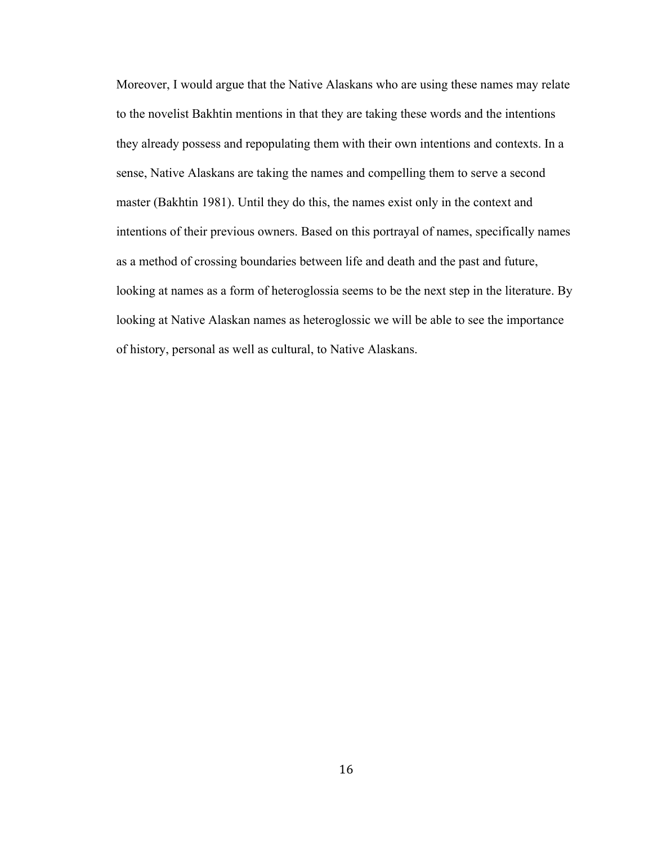Moreover, I would argue that the Native Alaskans who are using these names may relate to the novelist Bakhtin mentions in that they are taking these words and the intentions they already possess and repopulating them with their own intentions and contexts. In a sense, Native Alaskans are taking the names and compelling them to serve a second master (Bakhtin 1981). Until they do this, the names exist only in the context and intentions of their previous owners. Based on this portrayal of names, specifically names as a method of crossing boundaries between life and death and the past and future, looking at names as a form of heteroglossia seems to be the next step in the literature. By looking at Native Alaskan names as heteroglossic we will be able to see the importance of history, personal as well as cultural, to Native Alaskans.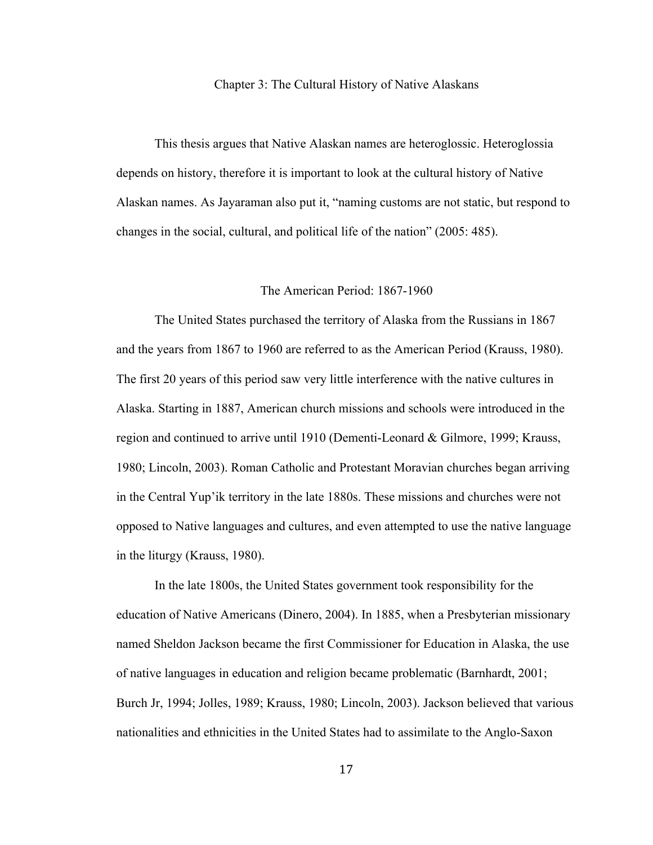#### Chapter 3: The Cultural History of Native Alaskans

This thesis argues that Native Alaskan names are heteroglossic. Heteroglossia depends on history, therefore it is important to look at the cultural history of Native Alaskan names. As Jayaraman also put it, "naming customs are not static, but respond to changes in the social, cultural, and political life of the nation" (2005: 485).

#### The American Period: 1867-1960

The United States purchased the territory of Alaska from the Russians in 1867 and the years from 1867 to 1960 are referred to as the American Period (Krauss, 1980). The first 20 years of this period saw very little interference with the native cultures in Alaska. Starting in 1887, American church missions and schools were introduced in the region and continued to arrive until 1910 (Dementi-Leonard & Gilmore, 1999; Krauss, 1980; Lincoln, 2003). Roman Catholic and Protestant Moravian churches began arriving in the Central Yup'ik territory in the late 1880s. These missions and churches were not opposed to Native languages and cultures, and even attempted to use the native language in the liturgy (Krauss, 1980).

In the late 1800s, the United States government took responsibility for the education of Native Americans (Dinero, 2004). In 1885, when a Presbyterian missionary named Sheldon Jackson became the first Commissioner for Education in Alaska, the use of native languages in education and religion became problematic (Barnhardt, 2001; Burch Jr, 1994; Jolles, 1989; Krauss, 1980; Lincoln, 2003). Jackson believed that various nationalities and ethnicities in the United States had to assimilate to the Anglo-Saxon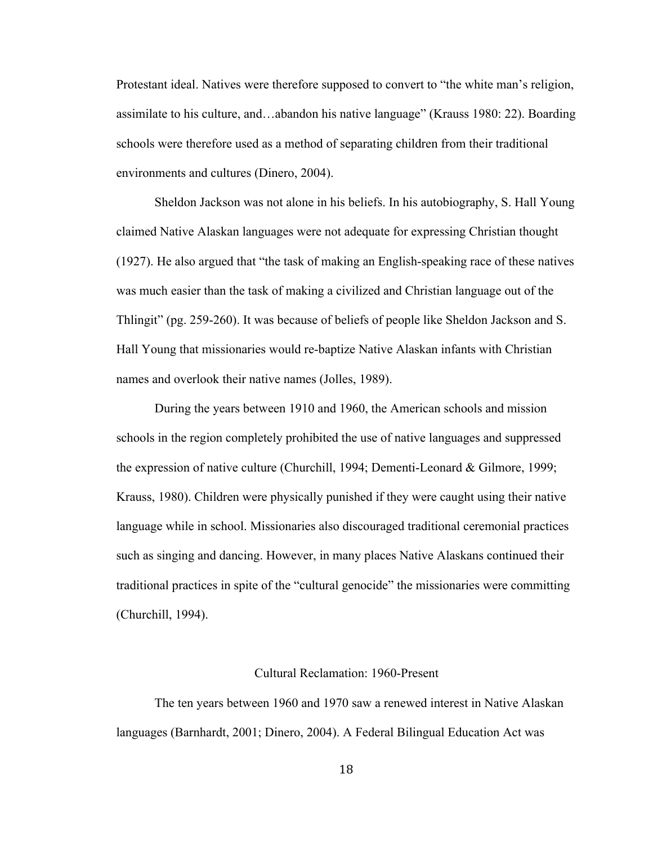Protestant ideal. Natives were therefore supposed to convert to "the white man's religion, assimilate to his culture, and…abandon his native language" (Krauss 1980: 22). Boarding schools were therefore used as a method of separating children from their traditional environments and cultures (Dinero, 2004).

Sheldon Jackson was not alone in his beliefs. In his autobiography, S. Hall Young claimed Native Alaskan languages were not adequate for expressing Christian thought (1927). He also argued that "the task of making an English-speaking race of these natives was much easier than the task of making a civilized and Christian language out of the Thlingit" (pg. 259-260). It was because of beliefs of people like Sheldon Jackson and S. Hall Young that missionaries would re-baptize Native Alaskan infants with Christian names and overlook their native names (Jolles, 1989).

During the years between 1910 and 1960, the American schools and mission schools in the region completely prohibited the use of native languages and suppressed the expression of native culture (Churchill, 1994; Dementi-Leonard & Gilmore, 1999; Krauss, 1980). Children were physically punished if they were caught using their native language while in school. Missionaries also discouraged traditional ceremonial practices such as singing and dancing. However, in many places Native Alaskans continued their traditional practices in spite of the "cultural genocide" the missionaries were committing (Churchill, 1994).

#### Cultural Reclamation: 1960-Present

The ten years between 1960 and 1970 saw a renewed interest in Native Alaskan languages (Barnhardt, 2001; Dinero, 2004). A Federal Bilingual Education Act was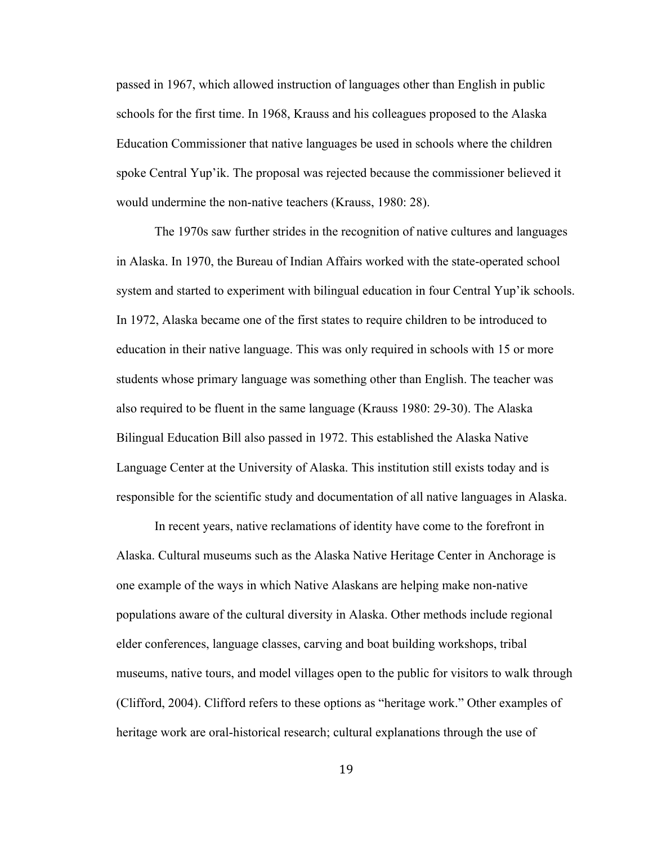passed in 1967, which allowed instruction of languages other than English in public schools for the first time. In 1968, Krauss and his colleagues proposed to the Alaska Education Commissioner that native languages be used in schools where the children spoke Central Yup'ik. The proposal was rejected because the commissioner believed it would undermine the non-native teachers (Krauss, 1980: 28).

The 1970s saw further strides in the recognition of native cultures and languages in Alaska. In 1970, the Bureau of Indian Affairs worked with the state-operated school system and started to experiment with bilingual education in four Central Yup'ik schools. In 1972, Alaska became one of the first states to require children to be introduced to education in their native language. This was only required in schools with 15 or more students whose primary language was something other than English. The teacher was also required to be fluent in the same language (Krauss 1980: 29-30). The Alaska Bilingual Education Bill also passed in 1972. This established the Alaska Native Language Center at the University of Alaska. This institution still exists today and is responsible for the scientific study and documentation of all native languages in Alaska.

In recent years, native reclamations of identity have come to the forefront in Alaska. Cultural museums such as the Alaska Native Heritage Center in Anchorage is one example of the ways in which Native Alaskans are helping make non-native populations aware of the cultural diversity in Alaska. Other methods include regional elder conferences, language classes, carving and boat building workshops, tribal museums, native tours, and model villages open to the public for visitors to walk through (Clifford, 2004). Clifford refers to these options as "heritage work." Other examples of heritage work are oral-historical research; cultural explanations through the use of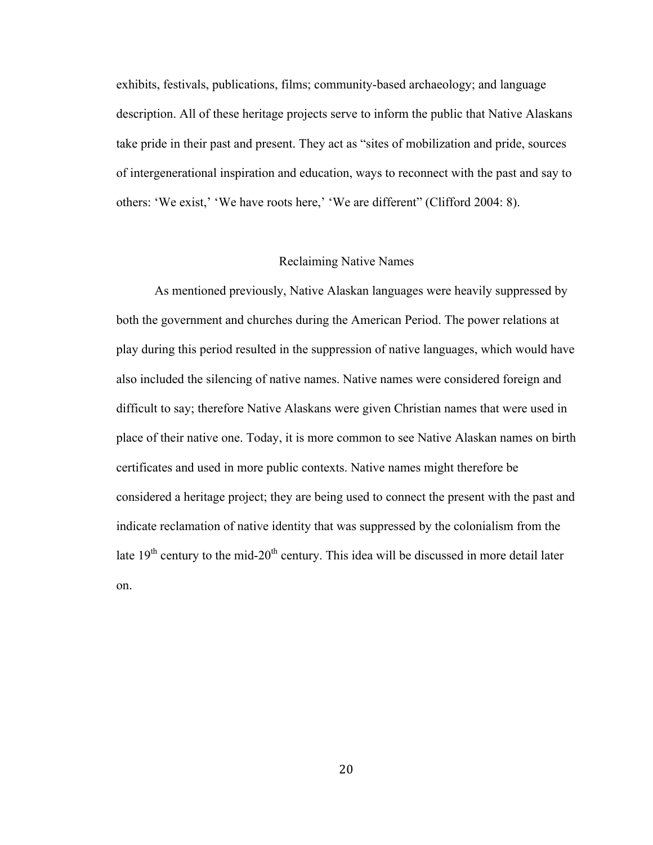exhibits, festivals, publications, films; community-based archaeology; and language description. All of these heritage projects serve to inform the public that Native Alaskans take pride in their past and present. They act as "sites of mobilization and pride, sources of intergenerational inspiration and education, ways to reconnect with the past and say to others: 'We exist,' 'We have roots here,' 'We are different" (Clifford 2004: 8).

#### Reclaiming Native Names

As mentioned previously, Native Alaskan languages were heavily suppressed by both the government and churches during the American Period. The power relations at play during this period resulted in the suppression of native languages, which would have also included the silencing of native names. Native names were considered foreign and difficult to say; therefore Native Alaskans were given Christian names that were used in place of their native one. Today, it is more common to see Native Alaskan names on birth certificates and used in more public contexts. Native names might therefore be considered a heritage project; they are being used to connect the present with the past and indicate reclamation of native identity that was suppressed by the colonialism from the late  $19<sup>th</sup>$  century to the mid-20<sup>th</sup> century. This idea will be discussed in more detail later on.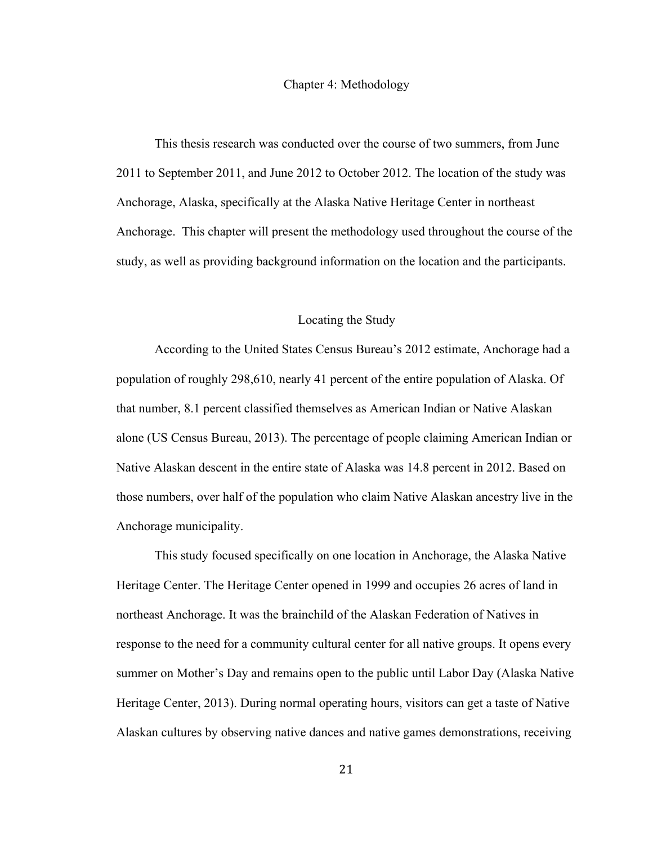#### Chapter 4: Methodology

This thesis research was conducted over the course of two summers, from June 2011 to September 2011, and June 2012 to October 2012. The location of the study was Anchorage, Alaska, specifically at the Alaska Native Heritage Center in northeast Anchorage. This chapter will present the methodology used throughout the course of the study, as well as providing background information on the location and the participants.

#### Locating the Study

According to the United States Census Bureau's 2012 estimate, Anchorage had a population of roughly 298,610, nearly 41 percent of the entire population of Alaska. Of that number, 8.1 percent classified themselves as American Indian or Native Alaskan alone (US Census Bureau, 2013). The percentage of people claiming American Indian or Native Alaskan descent in the entire state of Alaska was 14.8 percent in 2012. Based on those numbers, over half of the population who claim Native Alaskan ancestry live in the Anchorage municipality.

This study focused specifically on one location in Anchorage, the Alaska Native Heritage Center. The Heritage Center opened in 1999 and occupies 26 acres of land in northeast Anchorage. It was the brainchild of the Alaskan Federation of Natives in response to the need for a community cultural center for all native groups. It opens every summer on Mother's Day and remains open to the public until Labor Day (Alaska Native Heritage Center, 2013). During normal operating hours, visitors can get a taste of Native Alaskan cultures by observing native dances and native games demonstrations, receiving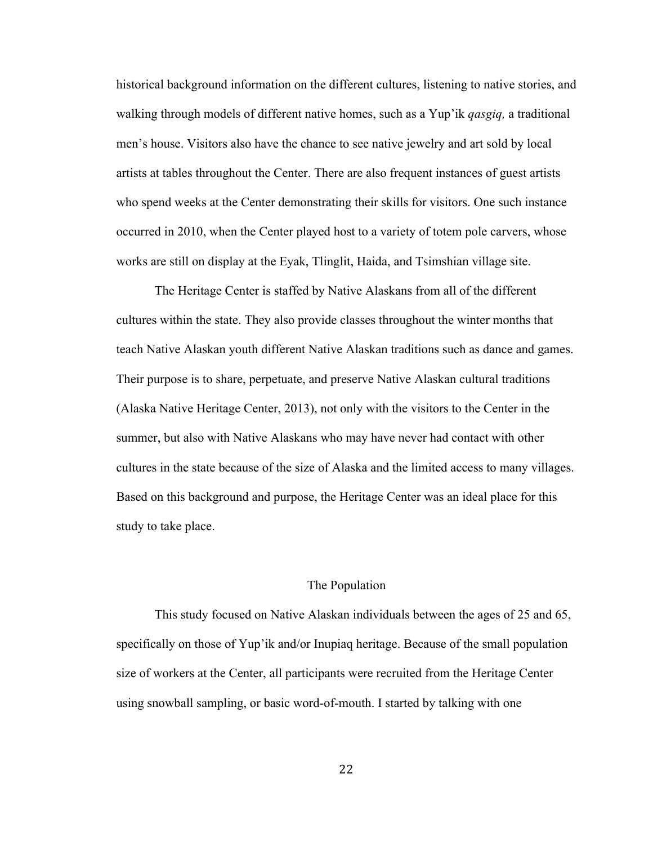historical background information on the different cultures, listening to native stories, and walking through models of different native homes, such as a Yup'ik *qasgiq,* a traditional men's house. Visitors also have the chance to see native jewelry and art sold by local artists at tables throughout the Center. There are also frequent instances of guest artists who spend weeks at the Center demonstrating their skills for visitors. One such instance occurred in 2010, when the Center played host to a variety of totem pole carvers, whose works are still on display at the Eyak, Tlinglit, Haida, and Tsimshian village site.

The Heritage Center is staffed by Native Alaskans from all of the different cultures within the state. They also provide classes throughout the winter months that teach Native Alaskan youth different Native Alaskan traditions such as dance and games. Their purpose is to share, perpetuate, and preserve Native Alaskan cultural traditions (Alaska Native Heritage Center, 2013), not only with the visitors to the Center in the summer, but also with Native Alaskans who may have never had contact with other cultures in the state because of the size of Alaska and the limited access to many villages. Based on this background and purpose, the Heritage Center was an ideal place for this study to take place.

#### The Population

This study focused on Native Alaskan individuals between the ages of 25 and 65, specifically on those of Yup'ik and/or Inupiaq heritage. Because of the small population size of workers at the Center, all participants were recruited from the Heritage Center using snowball sampling, or basic word-of-mouth. I started by talking with one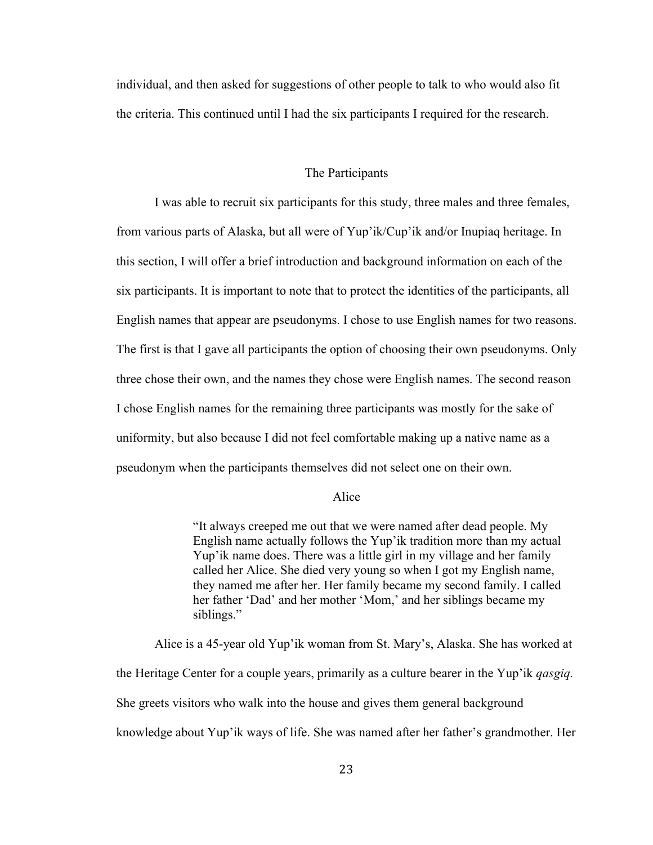individual, and then asked for suggestions of other people to talk to who would also fit the criteria. This continued until I had the six participants I required for the research.

#### The Participants

I was able to recruit six participants for this study, three males and three females, from various parts of Alaska, but all were of Yup'ik/Cup'ik and/or Inupiaq heritage. In this section, I will offer a brief introduction and background information on each of the six participants. It is important to note that to protect the identities of the participants, all English names that appear are pseudonyms. I chose to use English names for two reasons. The first is that I gave all participants the option of choosing their own pseudonyms. Only three chose their own, and the names they chose were English names. The second reason I chose English names for the remaining three participants was mostly for the sake of uniformity, but also because I did not feel comfortable making up a native name as a pseudonym when the participants themselves did not select one on their own.

#### Alice

"It always creeped me out that we were named after dead people. My English name actually follows the Yup'ik tradition more than my actual Yup'ik name does. There was a little girl in my village and her family called her Alice. She died very young so when I got my English name, they named me after her. Her family became my second family. I called her father 'Dad' and her mother 'Mom,' and her siblings became my siblings."

Alice is a 45-year old Yup'ik woman from St. Mary's, Alaska. She has worked at the Heritage Center for a couple years, primarily as a culture bearer in the Yup'ik *qasgiq.* She greets visitors who walk into the house and gives them general background knowledge about Yup'ik ways of life. She was named after her father's grandmother. Her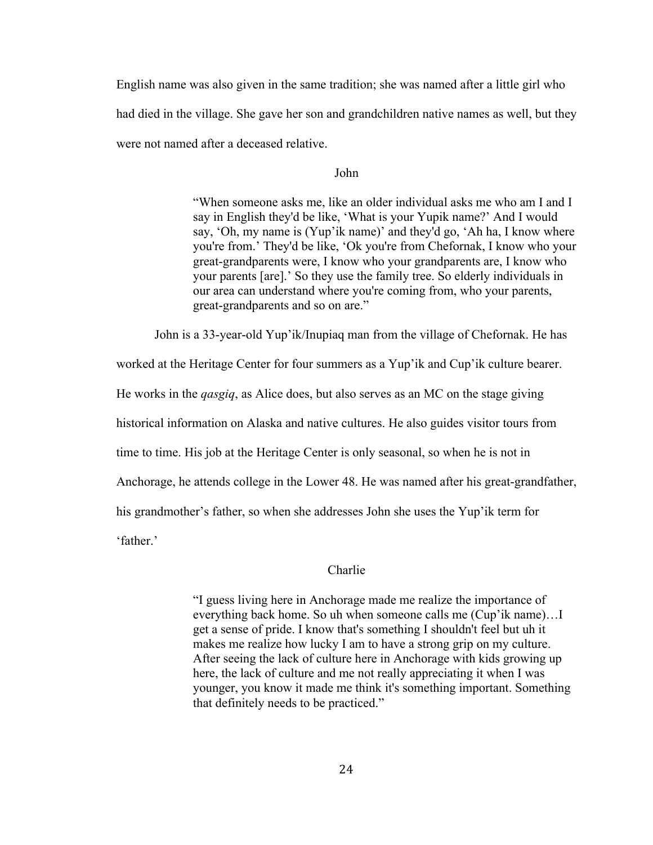English name was also given in the same tradition; she was named after a little girl who had died in the village. She gave her son and grandchildren native names as well, but they were not named after a deceased relative.

John

"When someone asks me, like an older individual asks me who am I and I say in English they'd be like, 'What is your Yupik name?' And I would say, 'Oh, my name is (Yup'ik name)' and they'd go, 'Ah ha, I know where you're from.' They'd be like, 'Ok you're from Chefornak, I know who your great-grandparents were, I know who your grandparents are, I know who your parents [are].' So they use the family tree. So elderly individuals in our area can understand where you're coming from, who your parents, great-grandparents and so on are."

John is a 33-year-old Yup'ik/Inupiaq man from the village of Chefornak. He has

worked at the Heritage Center for four summers as a Yup'ik and Cup'ik culture bearer.

He works in the *qasgiq*, as Alice does, but also serves as an MC on the stage giving

historical information on Alaska and native cultures. He also guides visitor tours from

time to time. His job at the Heritage Center is only seasonal, so when he is not in

Anchorage, he attends college in the Lower 48. He was named after his great-grandfather,

his grandmother's father, so when she addresses John she uses the Yup'ik term for

'father.'

#### Charlie

"I guess living here in Anchorage made me realize the importance of everything back home. So uh when someone calls me (Cup'ik name)…I get a sense of pride. I know that's something I shouldn't feel but uh it makes me realize how lucky I am to have a strong grip on my culture. After seeing the lack of culture here in Anchorage with kids growing up here, the lack of culture and me not really appreciating it when I was younger, you know it made me think it's something important. Something that definitely needs to be practiced."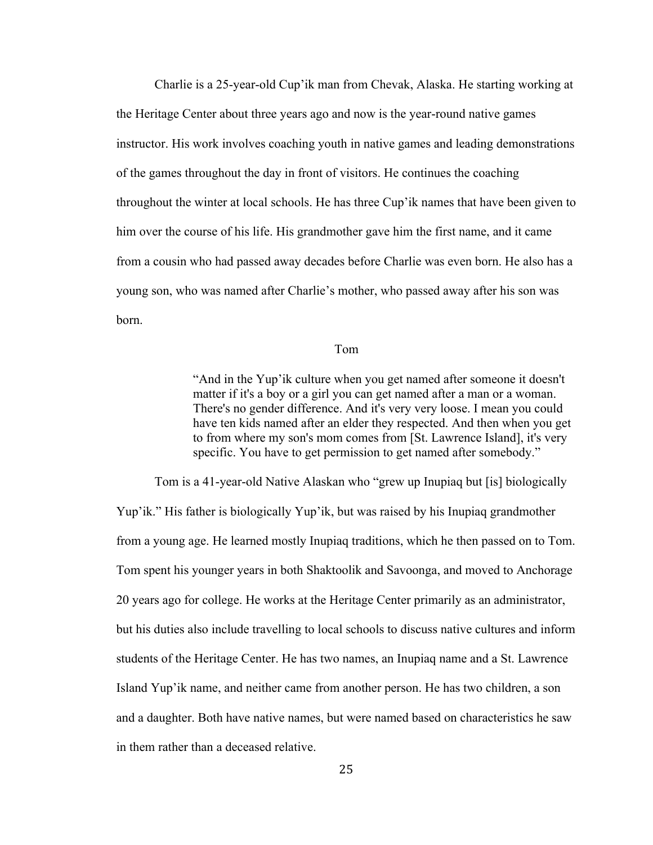Charlie is a 25-year-old Cup'ik man from Chevak, Alaska. He starting working at the Heritage Center about three years ago and now is the year-round native games instructor. His work involves coaching youth in native games and leading demonstrations of the games throughout the day in front of visitors. He continues the coaching throughout the winter at local schools. He has three Cup'ik names that have been given to him over the course of his life. His grandmother gave him the first name, and it came from a cousin who had passed away decades before Charlie was even born. He also has a young son, who was named after Charlie's mother, who passed away after his son was born.

#### Tom

"And in the Yup'ik culture when you get named after someone it doesn't matter if it's a boy or a girl you can get named after a man or a woman. There's no gender difference. And it's very very loose. I mean you could have ten kids named after an elder they respected. And then when you get to from where my son's mom comes from [St. Lawrence Island], it's very specific. You have to get permission to get named after somebody."

Tom is a 41-year-old Native Alaskan who "grew up Inupiaq but [is] biologically Yup'ik." His father is biologically Yup'ik, but was raised by his Inupiaq grandmother from a young age. He learned mostly Inupiaq traditions, which he then passed on to Tom. Tom spent his younger years in both Shaktoolik and Savoonga, and moved to Anchorage 20 years ago for college. He works at the Heritage Center primarily as an administrator, but his duties also include travelling to local schools to discuss native cultures and inform students of the Heritage Center. He has two names, an Inupiaq name and a St. Lawrence Island Yup'ik name, and neither came from another person. He has two children, a son and a daughter. Both have native names, but were named based on characteristics he saw in them rather than a deceased relative.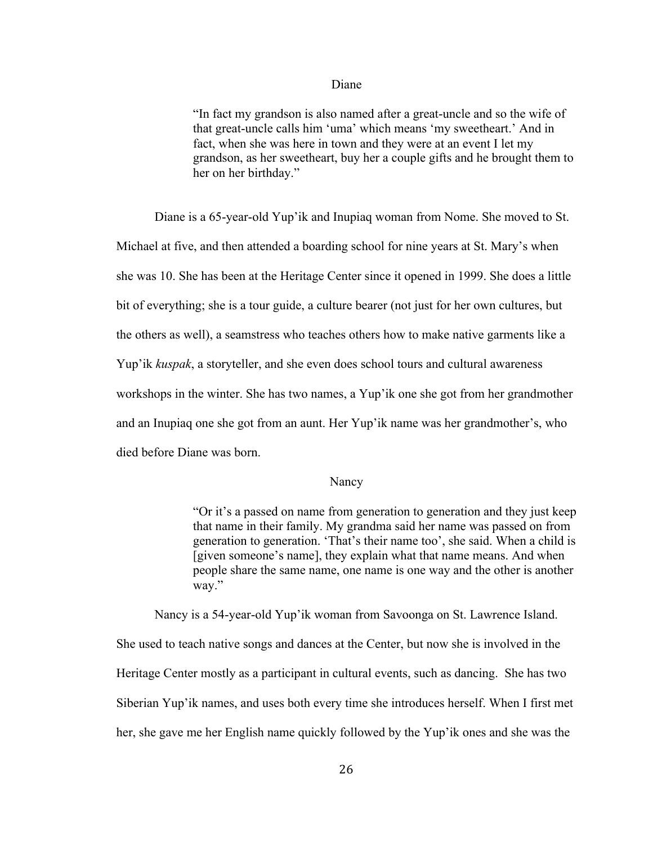#### Diane

"In fact my grandson is also named after a great-uncle and so the wife of that great-uncle calls him 'uma' which means 'my sweetheart.' And in fact, when she was here in town and they were at an event I let my grandson, as her sweetheart, buy her a couple gifts and he brought them to her on her birthday."

Diane is a 65-year-old Yup'ik and Inupiaq woman from Nome. She moved to St. Michael at five, and then attended a boarding school for nine years at St. Mary's when she was 10. She has been at the Heritage Center since it opened in 1999. She does a little bit of everything; she is a tour guide, a culture bearer (not just for her own cultures, but the others as well), a seamstress who teaches others how to make native garments like a Yup'ik *kuspak*, a storyteller, and she even does school tours and cultural awareness workshops in the winter. She has two names, a Yup'ik one she got from her grandmother and an Inupiaq one she got from an aunt. Her Yup'ik name was her grandmother's, who died before Diane was born.

#### Nancy

"Or it's a passed on name from generation to generation and they just keep that name in their family. My grandma said her name was passed on from generation to generation. 'That's their name too', she said. When a child is [given someone's name], they explain what that name means. And when people share the same name, one name is one way and the other is another way."

Nancy is a 54-year-old Yup'ik woman from Savoonga on St. Lawrence Island. She used to teach native songs and dances at the Center, but now she is involved in the Heritage Center mostly as a participant in cultural events, such as dancing. She has two Siberian Yup'ik names, and uses both every time she introduces herself. When I first met her, she gave me her English name quickly followed by the Yup'ik ones and she was the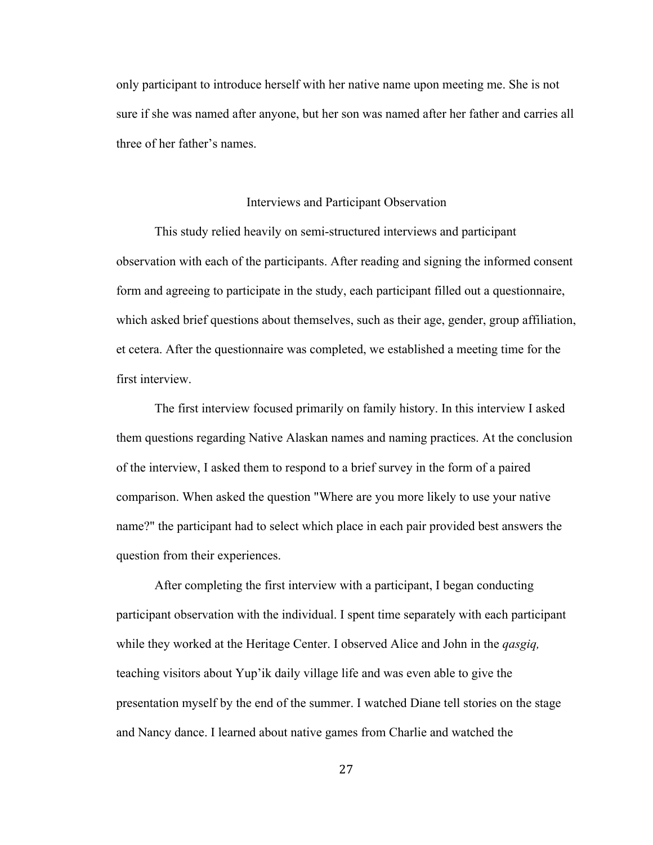only participant to introduce herself with her native name upon meeting me. She is not sure if she was named after anyone, but her son was named after her father and carries all three of her father's names.

#### Interviews and Participant Observation

This study relied heavily on semi-structured interviews and participant observation with each of the participants. After reading and signing the informed consent form and agreeing to participate in the study, each participant filled out a questionnaire, which asked brief questions about themselves, such as their age, gender, group affiliation, et cetera. After the questionnaire was completed, we established a meeting time for the first interview.

The first interview focused primarily on family history. In this interview I asked them questions regarding Native Alaskan names and naming practices. At the conclusion of the interview, I asked them to respond to a brief survey in the form of a paired comparison. When asked the question "Where are you more likely to use your native name?" the participant had to select which place in each pair provided best answers the question from their experiences.

After completing the first interview with a participant, I began conducting participant observation with the individual. I spent time separately with each participant while they worked at the Heritage Center. I observed Alice and John in the *qasgiq,*  teaching visitors about Yup'ik daily village life and was even able to give the presentation myself by the end of the summer. I watched Diane tell stories on the stage and Nancy dance. I learned about native games from Charlie and watched the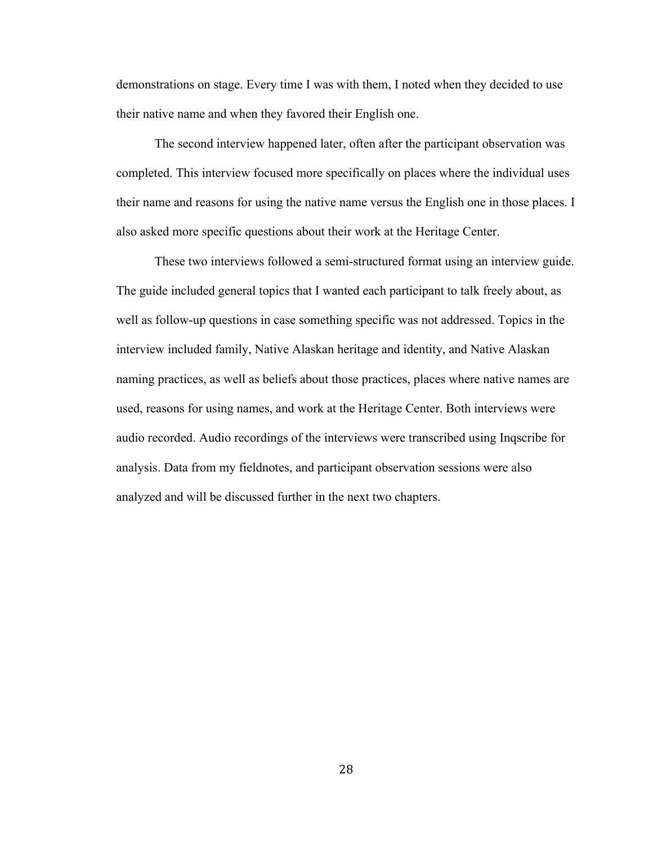demonstrations on stage. Every time I was with them, I noted when they decided to use their native name and when they favored their English one.

The second interview happened later, often after the participant observation was completed. This interview focused more specifically on places where the individual uses their name and reasons for using the native name versus the English one in those places. I also asked more specific questions about their work at the Heritage Center.

These two interviews followed a semi-structured format using an interview guide. The guide included general topics that I wanted each participant to talk freely about, as well as follow-up questions in case something specific was not addressed. Topics in the interview included family, Native Alaskan heritage and identity, and Native Alaskan naming practices, as well as beliefs about those practices, places where native names are used, reasons for using names, and work at the Heritage Center. Both interviews were audio recorded. Audio recordings of the interviews were transcribed using Inqscribe for analysis. Data from my fieldnotes, and participant observation sessions were also analyzed and will be discussed further in the next two chapters.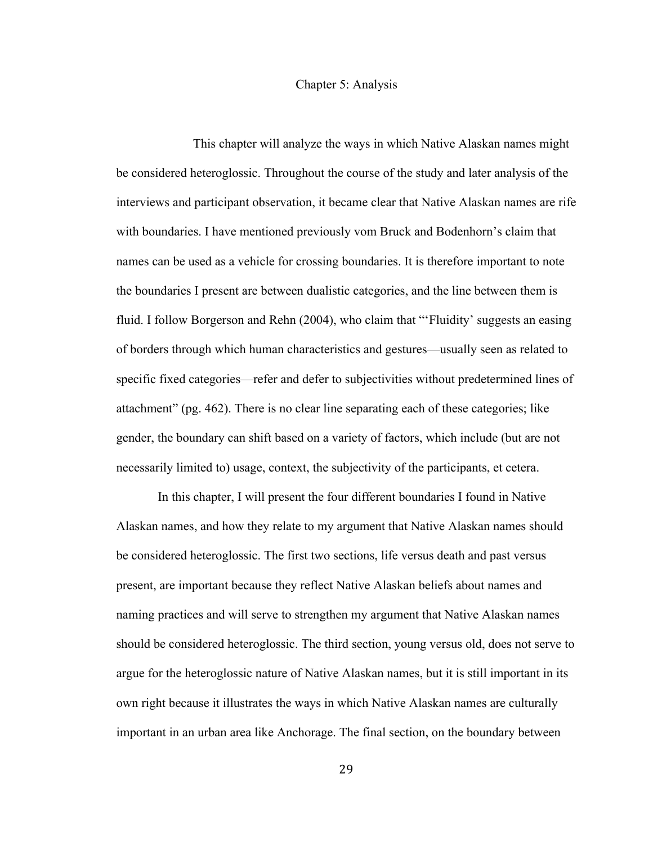#### Chapter 5: Analysis

This chapter will analyze the ways in which Native Alaskan names might be considered heteroglossic. Throughout the course of the study and later analysis of the interviews and participant observation, it became clear that Native Alaskan names are rife with boundaries. I have mentioned previously vom Bruck and Bodenhorn's claim that names can be used as a vehicle for crossing boundaries. It is therefore important to note the boundaries I present are between dualistic categories, and the line between them is fluid. I follow Borgerson and Rehn (2004), who claim that "'Fluidity' suggests an easing of borders through which human characteristics and gestures—usually seen as related to specific fixed categories—refer and defer to subjectivities without predetermined lines of attachment" (pg. 462). There is no clear line separating each of these categories; like gender, the boundary can shift based on a variety of factors, which include (but are not necessarily limited to) usage, context, the subjectivity of the participants, et cetera.

In this chapter, I will present the four different boundaries I found in Native Alaskan names, and how they relate to my argument that Native Alaskan names should be considered heteroglossic. The first two sections, life versus death and past versus present, are important because they reflect Native Alaskan beliefs about names and naming practices and will serve to strengthen my argument that Native Alaskan names should be considered heteroglossic. The third section, young versus old, does not serve to argue for the heteroglossic nature of Native Alaskan names, but it is still important in its own right because it illustrates the ways in which Native Alaskan names are culturally important in an urban area like Anchorage. The final section, on the boundary between

29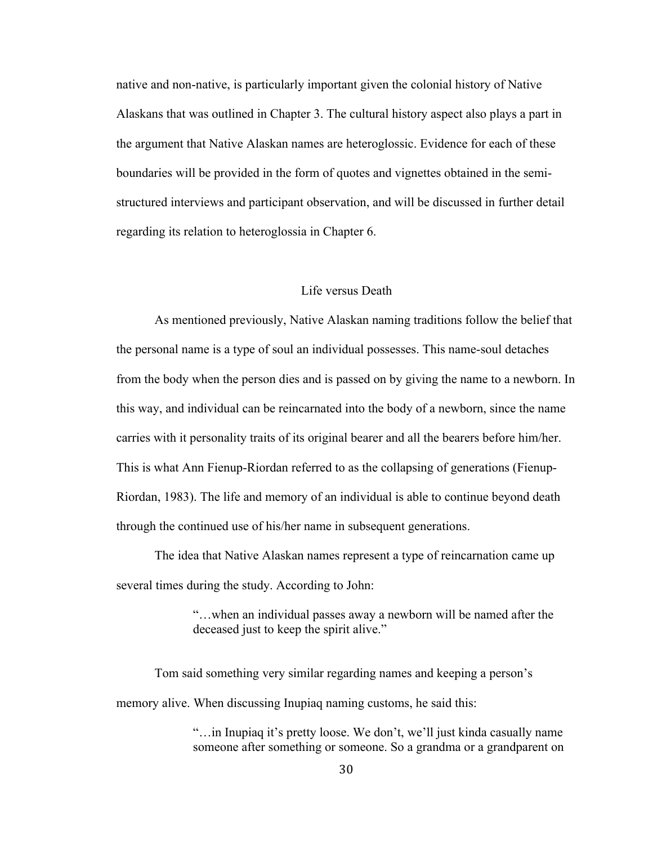native and non-native, is particularly important given the colonial history of Native Alaskans that was outlined in Chapter 3. The cultural history aspect also plays a part in the argument that Native Alaskan names are heteroglossic. Evidence for each of these boundaries will be provided in the form of quotes and vignettes obtained in the semistructured interviews and participant observation, and will be discussed in further detail regarding its relation to heteroglossia in Chapter 6.

#### Life versus Death

As mentioned previously, Native Alaskan naming traditions follow the belief that the personal name is a type of soul an individual possesses. This name-soul detaches from the body when the person dies and is passed on by giving the name to a newborn. In this way, and individual can be reincarnated into the body of a newborn, since the name carries with it personality traits of its original bearer and all the bearers before him/her. This is what Ann Fienup-Riordan referred to as the collapsing of generations (Fienup-Riordan, 1983). The life and memory of an individual is able to continue beyond death through the continued use of his/her name in subsequent generations.

The idea that Native Alaskan names represent a type of reincarnation came up several times during the study. According to John:

> "…when an individual passes away a newborn will be named after the deceased just to keep the spirit alive."

Tom said something very similar regarding names and keeping a person's memory alive. When discussing Inupiaq naming customs, he said this:

> "…in Inupiaq it's pretty loose. We don't, we'll just kinda casually name someone after something or someone. So a grandma or a grandparent on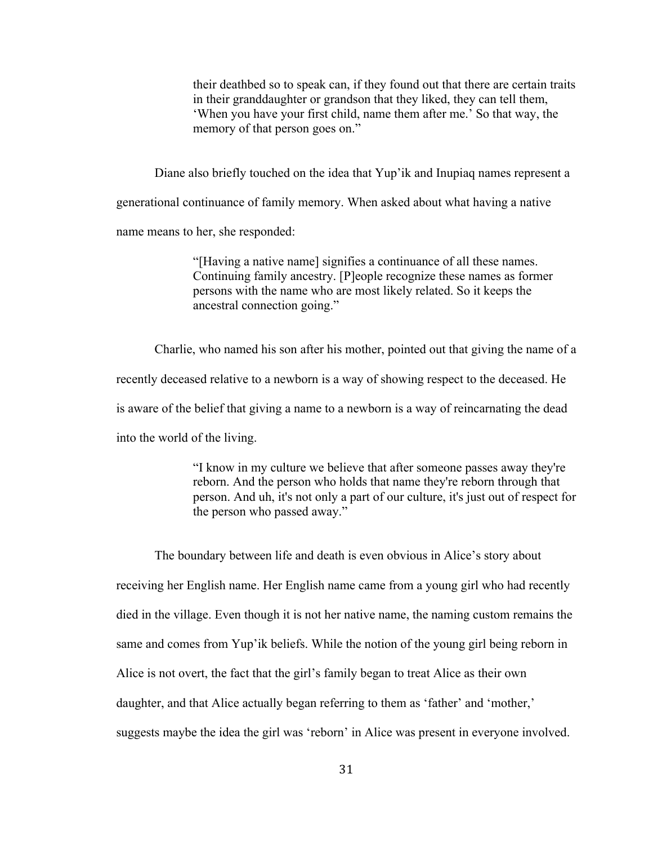their deathbed so to speak can, if they found out that there are certain traits in their granddaughter or grandson that they liked, they can tell them, 'When you have your first child, name them after me.' So that way, the memory of that person goes on."

Diane also briefly touched on the idea that Yup'ik and Inupiaq names represent a

generational continuance of family memory. When asked about what having a native

name means to her, she responded:

"[Having a native name] signifies a continuance of all these names. Continuing family ancestry. [P]eople recognize these names as former persons with the name who are most likely related. So it keeps the ancestral connection going."

Charlie, who named his son after his mother, pointed out that giving the name of a recently deceased relative to a newborn is a way of showing respect to the deceased. He is aware of the belief that giving a name to a newborn is a way of reincarnating the dead into the world of the living.

> "I know in my culture we believe that after someone passes away they're reborn. And the person who holds that name they're reborn through that person. And uh, it's not only a part of our culture, it's just out of respect for the person who passed away."

The boundary between life and death is even obvious in Alice's story about receiving her English name. Her English name came from a young girl who had recently died in the village. Even though it is not her native name, the naming custom remains the same and comes from Yup'ik beliefs. While the notion of the young girl being reborn in Alice is not overt, the fact that the girl's family began to treat Alice as their own daughter, and that Alice actually began referring to them as 'father' and 'mother,' suggests maybe the idea the girl was 'reborn' in Alice was present in everyone involved.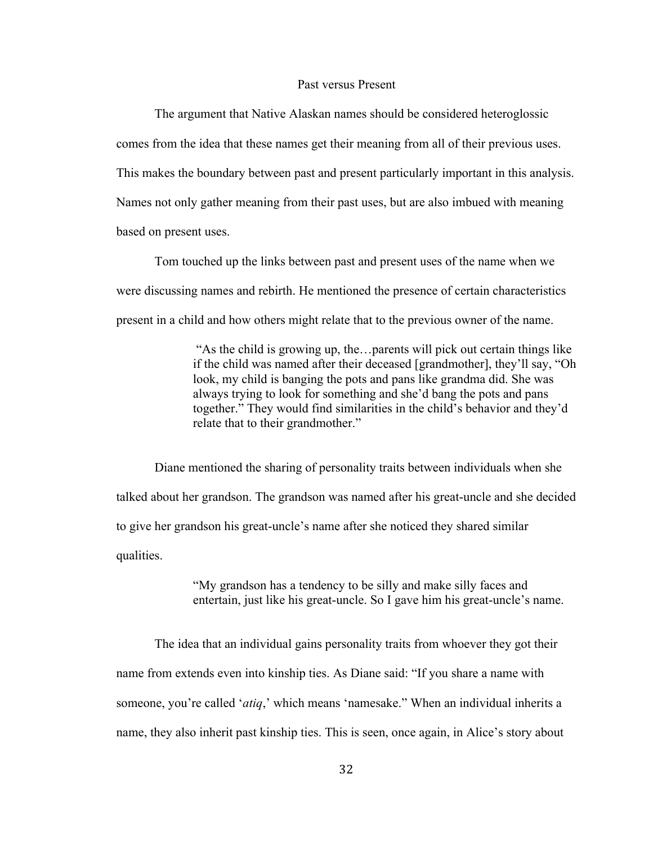#### Past versus Present

The argument that Native Alaskan names should be considered heteroglossic comes from the idea that these names get their meaning from all of their previous uses. This makes the boundary between past and present particularly important in this analysis. Names not only gather meaning from their past uses, but are also imbued with meaning based on present uses.

Tom touched up the links between past and present uses of the name when we were discussing names and rebirth. He mentioned the presence of certain characteristics present in a child and how others might relate that to the previous owner of the name.

> "As the child is growing up, the…parents will pick out certain things like if the child was named after their deceased [grandmother], they'll say, "Oh look, my child is banging the pots and pans like grandma did. She was always trying to look for something and she'd bang the pots and pans together." They would find similarities in the child's behavior and they'd relate that to their grandmother."

Diane mentioned the sharing of personality traits between individuals when she talked about her grandson. The grandson was named after his great-uncle and she decided to give her grandson his great-uncle's name after she noticed they shared similar qualities.

> "My grandson has a tendency to be silly and make silly faces and entertain, just like his great-uncle. So I gave him his great-uncle's name.

The idea that an individual gains personality traits from whoever they got their name from extends even into kinship ties. As Diane said: "If you share a name with someone, you're called '*atiq*,' which means 'namesake." When an individual inherits a name, they also inherit past kinship ties. This is seen, once again, in Alice's story about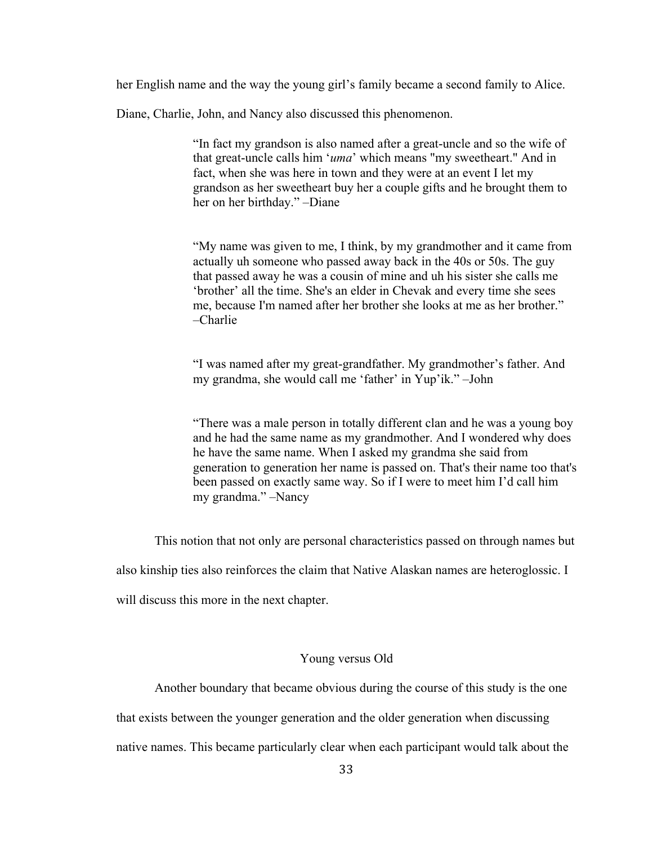her English name and the way the young girl's family became a second family to Alice.

Diane, Charlie, John, and Nancy also discussed this phenomenon.

"In fact my grandson is also named after a great-uncle and so the wife of that great-uncle calls him '*uma*' which means "my sweetheart." And in fact, when she was here in town and they were at an event I let my grandson as her sweetheart buy her a couple gifts and he brought them to her on her birthday." –Diane

"My name was given to me, I think, by my grandmother and it came from actually uh someone who passed away back in the 40s or 50s. The guy that passed away he was a cousin of mine and uh his sister she calls me 'brother' all the time. She's an elder in Chevak and every time she sees me, because I'm named after her brother she looks at me as her brother." –Charlie

"I was named after my great-grandfather. My grandmother's father. And my grandma, she would call me 'father' in Yup'ik." –John

"There was a male person in totally different clan and he was a young boy and he had the same name as my grandmother. And I wondered why does he have the same name. When I asked my grandma she said from generation to generation her name is passed on. That's their name too that's been passed on exactly same way. So if I were to meet him I'd call him my grandma." –Nancy

This notion that not only are personal characteristics passed on through names but

also kinship ties also reinforces the claim that Native Alaskan names are heteroglossic. I

will discuss this more in the next chapter.

#### Young versus Old

Another boundary that became obvious during the course of this study is the one

that exists between the younger generation and the older generation when discussing

native names. This became particularly clear when each participant would talk about the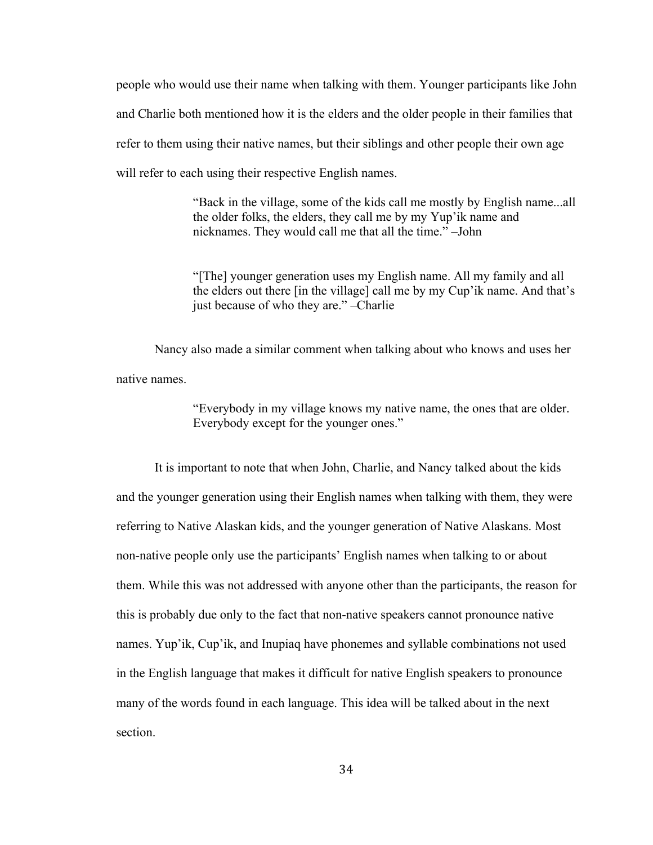people who would use their name when talking with them. Younger participants like John and Charlie both mentioned how it is the elders and the older people in their families that refer to them using their native names, but their siblings and other people their own age will refer to each using their respective English names.

> "Back in the village, some of the kids call me mostly by English name...all the older folks, the elders, they call me by my Yup'ik name and nicknames. They would call me that all the time." –John

> "[The] younger generation uses my English name. All my family and all the elders out there [in the village] call me by my Cup'ik name. And that's just because of who they are." –Charlie

Nancy also made a similar comment when talking about who knows and uses her native names.

> "Everybody in my village knows my native name, the ones that are older. Everybody except for the younger ones."

It is important to note that when John, Charlie, and Nancy talked about the kids and the younger generation using their English names when talking with them, they were referring to Native Alaskan kids, and the younger generation of Native Alaskans. Most non-native people only use the participants' English names when talking to or about them. While this was not addressed with anyone other than the participants, the reason for this is probably due only to the fact that non-native speakers cannot pronounce native names. Yup'ik, Cup'ik, and Inupiaq have phonemes and syllable combinations not used in the English language that makes it difficult for native English speakers to pronounce many of the words found in each language. This idea will be talked about in the next section.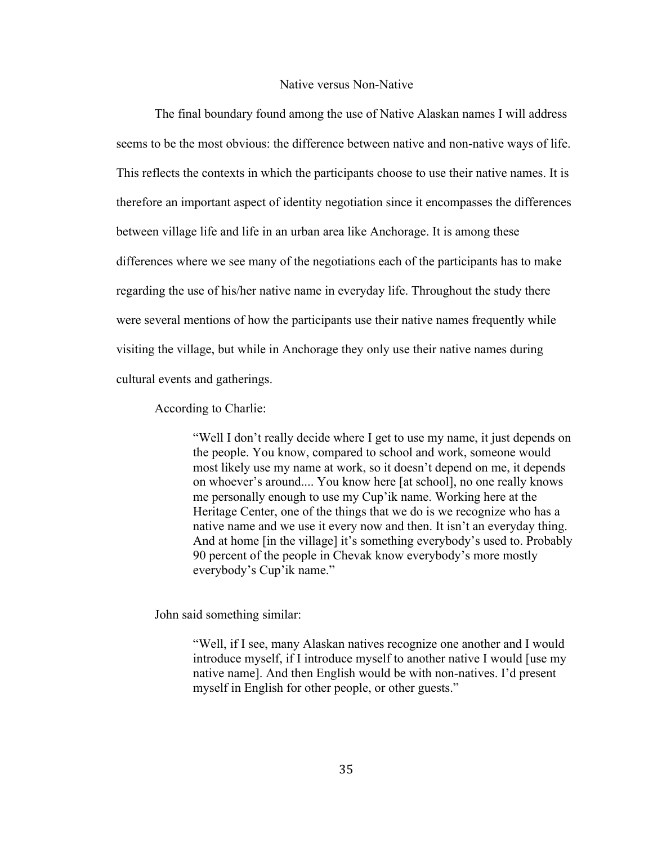#### Native versus Non-Native

The final boundary found among the use of Native Alaskan names I will address seems to be the most obvious: the difference between native and non-native ways of life. This reflects the contexts in which the participants choose to use their native names. It is therefore an important aspect of identity negotiation since it encompasses the differences between village life and life in an urban area like Anchorage. It is among these differences where we see many of the negotiations each of the participants has to make regarding the use of his/her native name in everyday life. Throughout the study there were several mentions of how the participants use their native names frequently while visiting the village, but while in Anchorage they only use their native names during cultural events and gatherings.

According to Charlie:

"Well I don't really decide where I get to use my name, it just depends on the people. You know, compared to school and work, someone would most likely use my name at work, so it doesn't depend on me, it depends on whoever's around.... You know here [at school], no one really knows me personally enough to use my Cup'ik name. Working here at the Heritage Center, one of the things that we do is we recognize who has a native name and we use it every now and then. It isn't an everyday thing. And at home [in the village] it's something everybody's used to. Probably 90 percent of the people in Chevak know everybody's more mostly everybody's Cup'ik name."

John said something similar:

"Well, if I see, many Alaskan natives recognize one another and I would introduce myself, if I introduce myself to another native I would [use my native name]. And then English would be with non-natives. I'd present myself in English for other people, or other guests."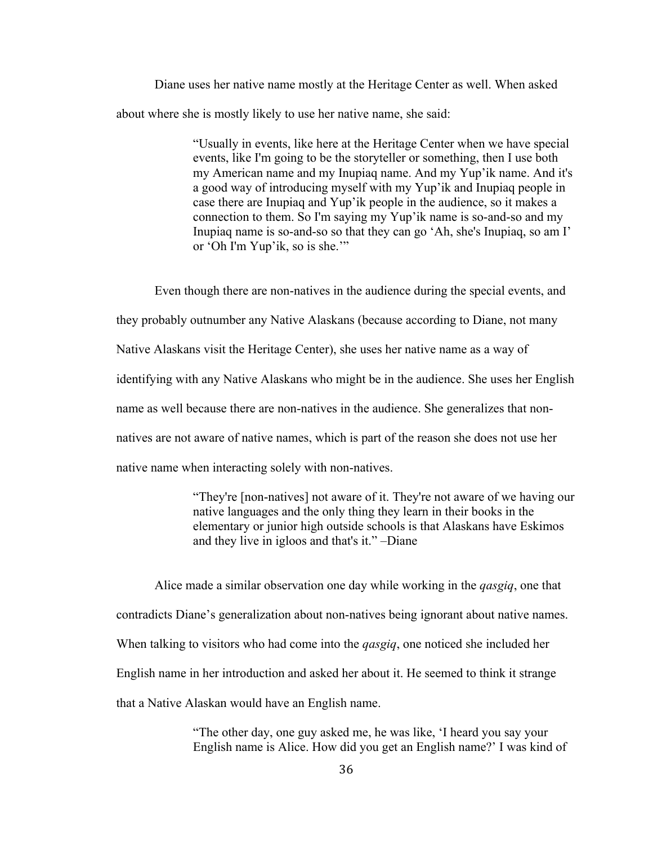Diane uses her native name mostly at the Heritage Center as well. When asked about where she is mostly likely to use her native name, she said:

> "Usually in events, like here at the Heritage Center when we have special events, like I'm going to be the storyteller or something, then I use both my American name and my Inupiaq name. And my Yup'ik name. And it's a good way of introducing myself with my Yup'ik and Inupiaq people in case there are Inupiaq and Yup'ik people in the audience, so it makes a connection to them. So I'm saying my Yup'ik name is so-and-so and my Inupiaq name is so-and-so so that they can go 'Ah, she's Inupiaq, so am I' or 'Oh I'm Yup'ik, so is she.'"

Even though there are non-natives in the audience during the special events, and they probably outnumber any Native Alaskans (because according to Diane, not many Native Alaskans visit the Heritage Center), she uses her native name as a way of identifying with any Native Alaskans who might be in the audience. She uses her English name as well because there are non-natives in the audience. She generalizes that nonnatives are not aware of native names, which is part of the reason she does not use her native name when interacting solely with non-natives.

> "They're [non-natives] not aware of it. They're not aware of we having our native languages and the only thing they learn in their books in the elementary or junior high outside schools is that Alaskans have Eskimos and they live in igloos and that's it." –Diane

Alice made a similar observation one day while working in the *qasgiq*, one that contradicts Diane's generalization about non-natives being ignorant about native names. When talking to visitors who had come into the *qasgiq*, one noticed she included her English name in her introduction and asked her about it. He seemed to think it strange that a Native Alaskan would have an English name.

> "The other day, one guy asked me, he was like, 'I heard you say your English name is Alice. How did you get an English name?' I was kind of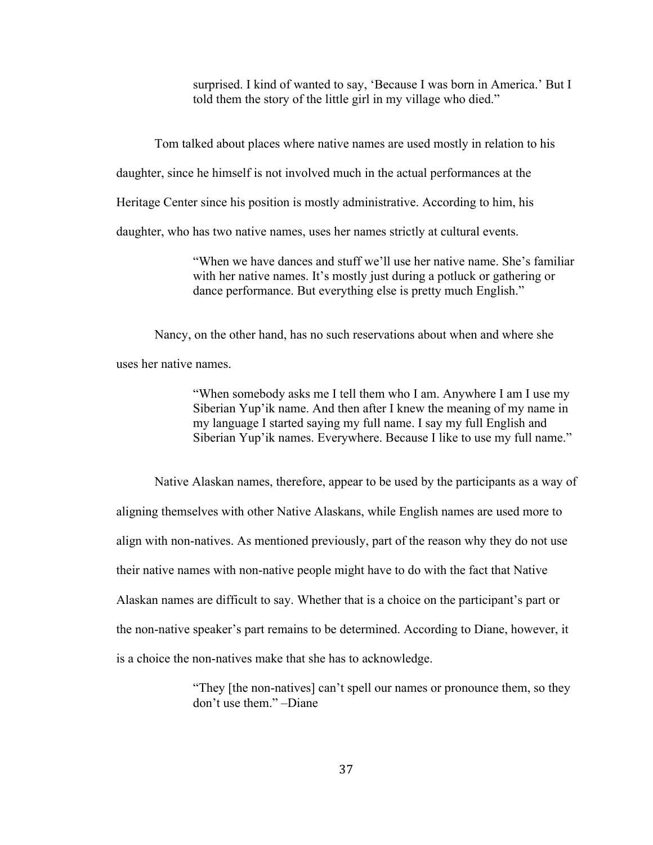surprised. I kind of wanted to say, 'Because I was born in America.' But I told them the story of the little girl in my village who died."

Tom talked about places where native names are used mostly in relation to his

daughter, since he himself is not involved much in the actual performances at the

Heritage Center since his position is mostly administrative. According to him, his

daughter, who has two native names, uses her names strictly at cultural events.

"When we have dances and stuff we'll use her native name. She's familiar with her native names. It's mostly just during a potluck or gathering or dance performance. But everything else is pretty much English."

Nancy, on the other hand, has no such reservations about when and where she

uses her native names.

"When somebody asks me I tell them who I am. Anywhere I am I use my Siberian Yup'ik name. And then after I knew the meaning of my name in my language I started saying my full name. I say my full English and Siberian Yup'ik names. Everywhere. Because I like to use my full name."

Native Alaskan names, therefore, appear to be used by the participants as a way of aligning themselves with other Native Alaskans, while English names are used more to align with non-natives. As mentioned previously, part of the reason why they do not use their native names with non-native people might have to do with the fact that Native Alaskan names are difficult to say. Whether that is a choice on the participant's part or the non-native speaker's part remains to be determined. According to Diane, however, it is a choice the non-natives make that she has to acknowledge.

> "They [the non-natives] can't spell our names or pronounce them, so they don't use them." –Diane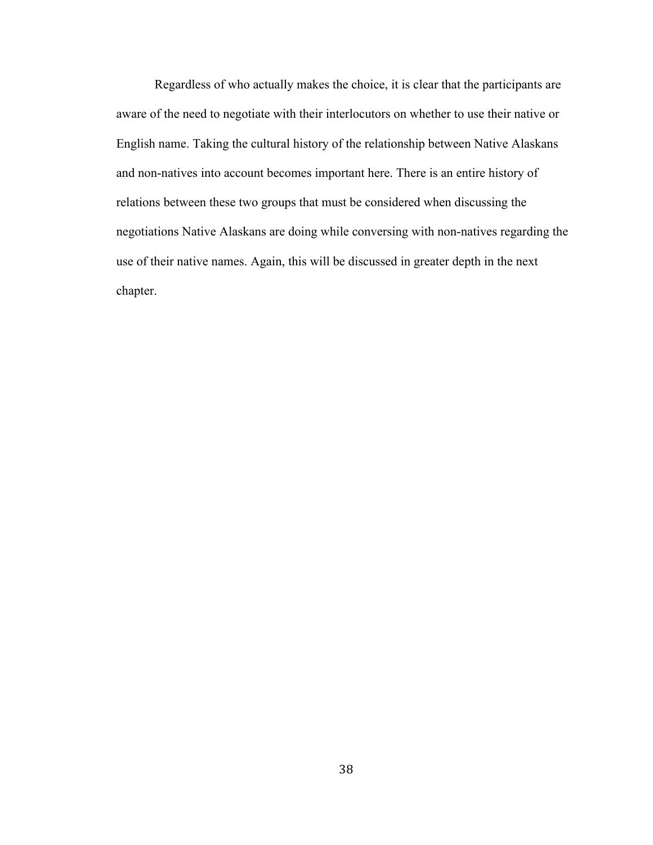Regardless of who actually makes the choice, it is clear that the participants are aware of the need to negotiate with their interlocutors on whether to use their native or English name. Taking the cultural history of the relationship between Native Alaskans and non-natives into account becomes important here. There is an entire history of relations between these two groups that must be considered when discussing the negotiations Native Alaskans are doing while conversing with non-natives regarding the use of their native names. Again, this will be discussed in greater depth in the next chapter.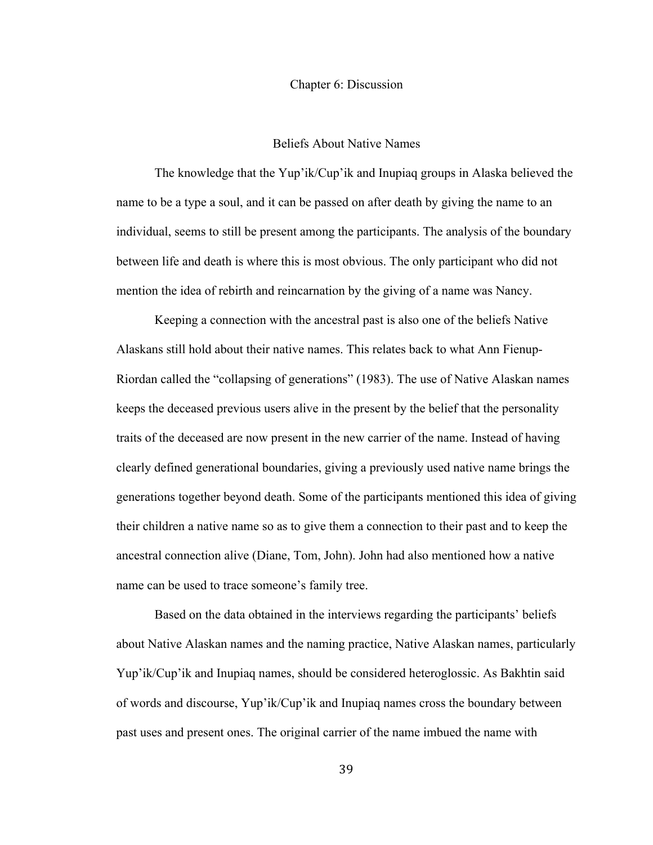#### Chapter 6: Discussion

### Beliefs About Native Names

The knowledge that the Yup'ik/Cup'ik and Inupiaq groups in Alaska believed the name to be a type a soul, and it can be passed on after death by giving the name to an individual, seems to still be present among the participants. The analysis of the boundary between life and death is where this is most obvious. The only participant who did not mention the idea of rebirth and reincarnation by the giving of a name was Nancy.

Keeping a connection with the ancestral past is also one of the beliefs Native Alaskans still hold about their native names. This relates back to what Ann Fienup-Riordan called the "collapsing of generations" (1983). The use of Native Alaskan names keeps the deceased previous users alive in the present by the belief that the personality traits of the deceased are now present in the new carrier of the name. Instead of having clearly defined generational boundaries, giving a previously used native name brings the generations together beyond death. Some of the participants mentioned this idea of giving their children a native name so as to give them a connection to their past and to keep the ancestral connection alive (Diane, Tom, John). John had also mentioned how a native name can be used to trace someone's family tree.

Based on the data obtained in the interviews regarding the participants' beliefs about Native Alaskan names and the naming practice, Native Alaskan names, particularly Yup'ik/Cup'ik and Inupiaq names, should be considered heteroglossic. As Bakhtin said of words and discourse, Yup'ik/Cup'ik and Inupiaq names cross the boundary between past uses and present ones. The original carrier of the name imbued the name with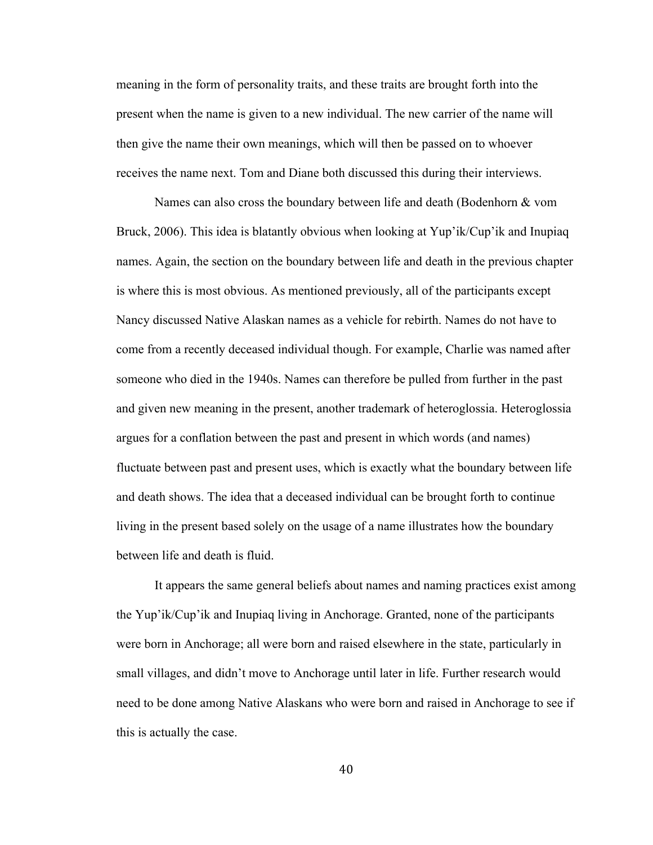meaning in the form of personality traits, and these traits are brought forth into the present when the name is given to a new individual. The new carrier of the name will then give the name their own meanings, which will then be passed on to whoever receives the name next. Tom and Diane both discussed this during their interviews.

Names can also cross the boundary between life and death (Bodenhorn & vom Bruck, 2006). This idea is blatantly obvious when looking at Yup'ik/Cup'ik and Inupiaq names. Again, the section on the boundary between life and death in the previous chapter is where this is most obvious. As mentioned previously, all of the participants except Nancy discussed Native Alaskan names as a vehicle for rebirth. Names do not have to come from a recently deceased individual though. For example, Charlie was named after someone who died in the 1940s. Names can therefore be pulled from further in the past and given new meaning in the present, another trademark of heteroglossia. Heteroglossia argues for a conflation between the past and present in which words (and names) fluctuate between past and present uses, which is exactly what the boundary between life and death shows. The idea that a deceased individual can be brought forth to continue living in the present based solely on the usage of a name illustrates how the boundary between life and death is fluid.

It appears the same general beliefs about names and naming practices exist among the Yup'ik/Cup'ik and Inupiaq living in Anchorage. Granted, none of the participants were born in Anchorage; all were born and raised elsewhere in the state, particularly in small villages, and didn't move to Anchorage until later in life. Further research would need to be done among Native Alaskans who were born and raised in Anchorage to see if this is actually the case.

40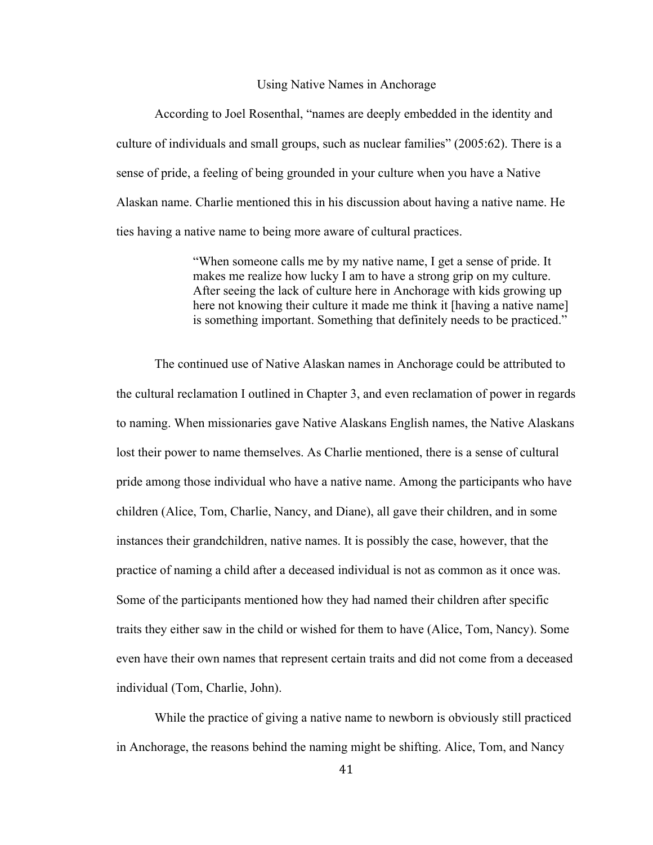#### Using Native Names in Anchorage

According to Joel Rosenthal, "names are deeply embedded in the identity and culture of individuals and small groups, such as nuclear families" (2005:62). There is a sense of pride, a feeling of being grounded in your culture when you have a Native Alaskan name. Charlie mentioned this in his discussion about having a native name. He ties having a native name to being more aware of cultural practices.

> "When someone calls me by my native name, I get a sense of pride. It makes me realize how lucky I am to have a strong grip on my culture. After seeing the lack of culture here in Anchorage with kids growing up here not knowing their culture it made me think it [having a native name] is something important. Something that definitely needs to be practiced."

The continued use of Native Alaskan names in Anchorage could be attributed to the cultural reclamation I outlined in Chapter 3, and even reclamation of power in regards to naming. When missionaries gave Native Alaskans English names, the Native Alaskans lost their power to name themselves. As Charlie mentioned, there is a sense of cultural pride among those individual who have a native name. Among the participants who have children (Alice, Tom, Charlie, Nancy, and Diane), all gave their children, and in some instances their grandchildren, native names. It is possibly the case, however, that the practice of naming a child after a deceased individual is not as common as it once was. Some of the participants mentioned how they had named their children after specific traits they either saw in the child or wished for them to have (Alice, Tom, Nancy). Some even have their own names that represent certain traits and did not come from a deceased individual (Tom, Charlie, John).

While the practice of giving a native name to newborn is obviously still practiced in Anchorage, the reasons behind the naming might be shifting. Alice, Tom, and Nancy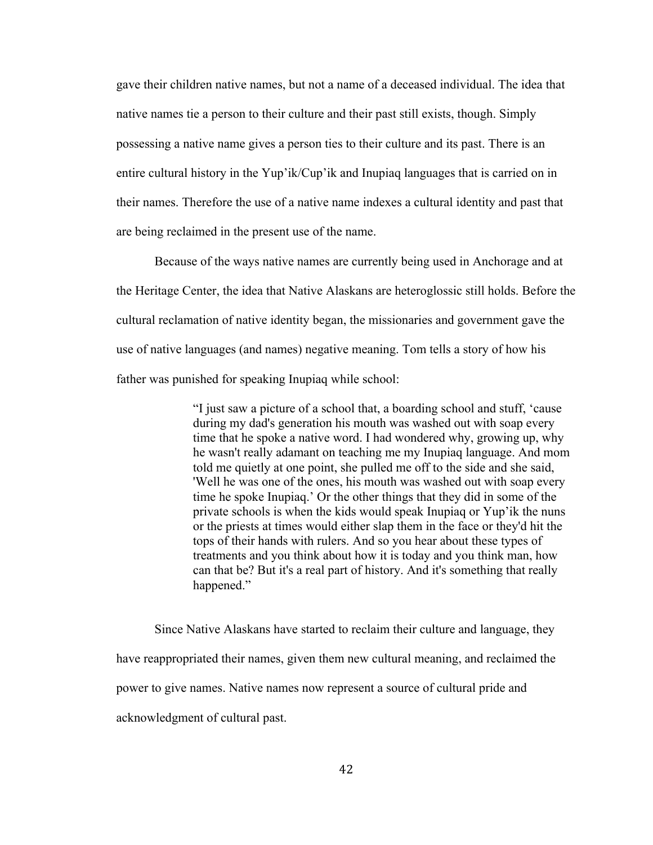gave their children native names, but not a name of a deceased individual. The idea that native names tie a person to their culture and their past still exists, though. Simply possessing a native name gives a person ties to their culture and its past. There is an entire cultural history in the Yup'ik/Cup'ik and Inupiaq languages that is carried on in their names. Therefore the use of a native name indexes a cultural identity and past that are being reclaimed in the present use of the name.

Because of the ways native names are currently being used in Anchorage and at the Heritage Center, the idea that Native Alaskans are heteroglossic still holds. Before the cultural reclamation of native identity began, the missionaries and government gave the use of native languages (and names) negative meaning. Tom tells a story of how his father was punished for speaking Inupiaq while school:

> "I just saw a picture of a school that, a boarding school and stuff, 'cause during my dad's generation his mouth was washed out with soap every time that he spoke a native word. I had wondered why, growing up, why he wasn't really adamant on teaching me my Inupiaq language. And mom told me quietly at one point, she pulled me off to the side and she said, 'Well he was one of the ones, his mouth was washed out with soap every time he spoke Inupiaq.' Or the other things that they did in some of the private schools is when the kids would speak Inupiaq or Yup'ik the nuns or the priests at times would either slap them in the face or they'd hit the tops of their hands with rulers. And so you hear about these types of treatments and you think about how it is today and you think man, how can that be? But it's a real part of history. And it's something that really happened."

Since Native Alaskans have started to reclaim their culture and language, they have reappropriated their names, given them new cultural meaning, and reclaimed the power to give names. Native names now represent a source of cultural pride and acknowledgment of cultural past.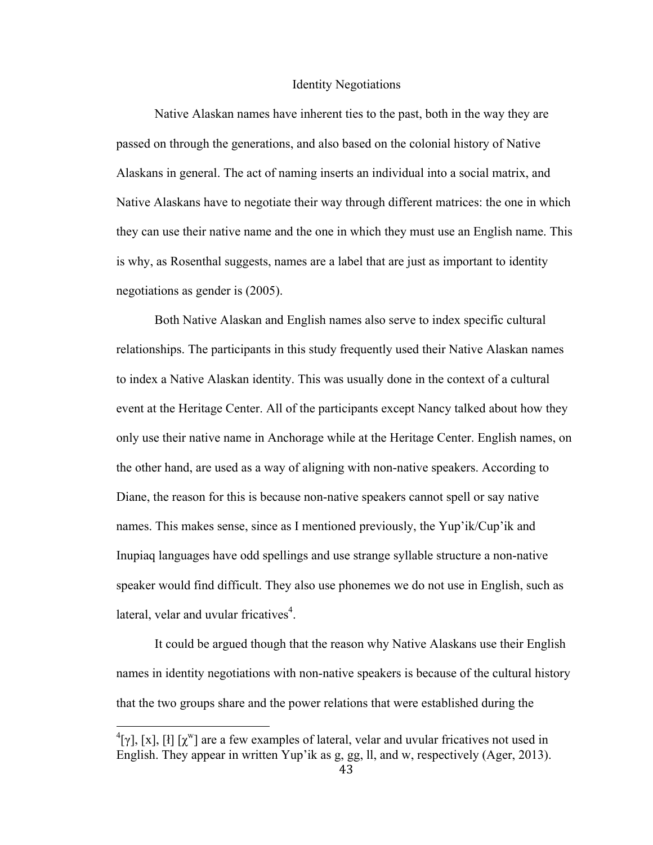#### Identity Negotiations

Native Alaskan names have inherent ties to the past, both in the way they are passed on through the generations, and also based on the colonial history of Native Alaskans in general. The act of naming inserts an individual into a social matrix, and Native Alaskans have to negotiate their way through different matrices: the one in which they can use their native name and the one in which they must use an English name. This is why, as Rosenthal suggests, names are a label that are just as important to identity negotiations as gender is (2005).

Both Native Alaskan and English names also serve to index specific cultural relationships. The participants in this study frequently used their Native Alaskan names to index a Native Alaskan identity. This was usually done in the context of a cultural event at the Heritage Center. All of the participants except Nancy talked about how they only use their native name in Anchorage while at the Heritage Center. English names, on the other hand, are used as a way of aligning with non-native speakers. According to Diane, the reason for this is because non-native speakers cannot spell or say native names. This makes sense, since as I mentioned previously, the Yup'ik/Cup'ik and Inupiaq languages have odd spellings and use strange syllable structure a non-native speaker would find difficult. They also use phonemes we do not use in English, such as lateral, velar and uvular fricatives<sup>4</sup>.

It could be argued though that the reason why Native Alaskans use their English names in identity negotiations with non-native speakers is because of the cultural history that the two groups share and the power relations that were established during the

 $\frac{4}{\gamma}$ [x], [x], [ł] [x<sup>w</sup>] are a few examples of lateral, velar and uvular fricatives not used in English. They appear in written Yup'ik as g, gg, ll, and w, respectively (Ager, 2013).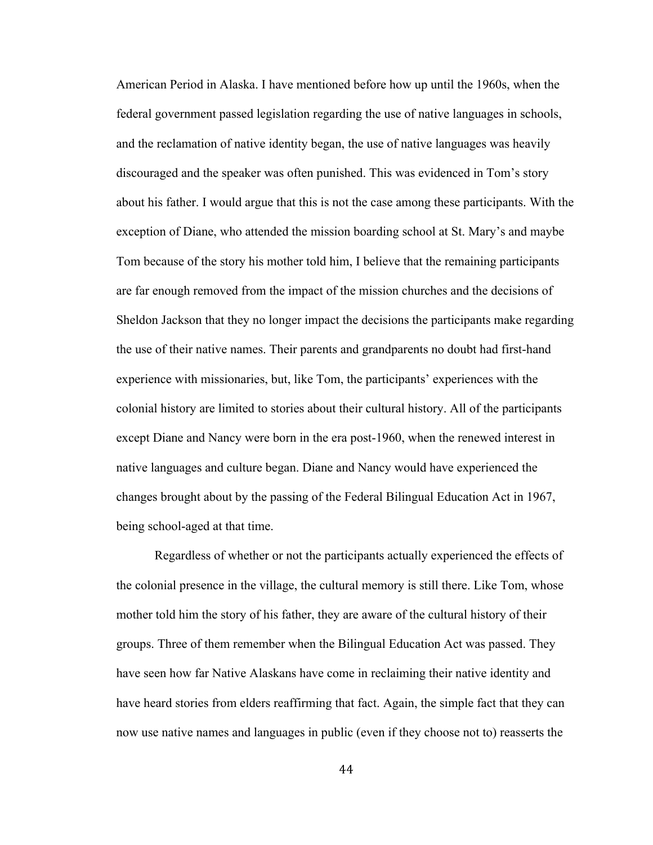American Period in Alaska. I have mentioned before how up until the 1960s, when the federal government passed legislation regarding the use of native languages in schools, and the reclamation of native identity began, the use of native languages was heavily discouraged and the speaker was often punished. This was evidenced in Tom's story about his father. I would argue that this is not the case among these participants. With the exception of Diane, who attended the mission boarding school at St. Mary's and maybe Tom because of the story his mother told him, I believe that the remaining participants are far enough removed from the impact of the mission churches and the decisions of Sheldon Jackson that they no longer impact the decisions the participants make regarding the use of their native names. Their parents and grandparents no doubt had first-hand experience with missionaries, but, like Tom, the participants' experiences with the colonial history are limited to stories about their cultural history. All of the participants except Diane and Nancy were born in the era post-1960, when the renewed interest in native languages and culture began. Diane and Nancy would have experienced the changes brought about by the passing of the Federal Bilingual Education Act in 1967, being school-aged at that time.

Regardless of whether or not the participants actually experienced the effects of the colonial presence in the village, the cultural memory is still there. Like Tom, whose mother told him the story of his father, they are aware of the cultural history of their groups. Three of them remember when the Bilingual Education Act was passed. They have seen how far Native Alaskans have come in reclaiming their native identity and have heard stories from elders reaffirming that fact. Again, the simple fact that they can now use native names and languages in public (even if they choose not to) reasserts the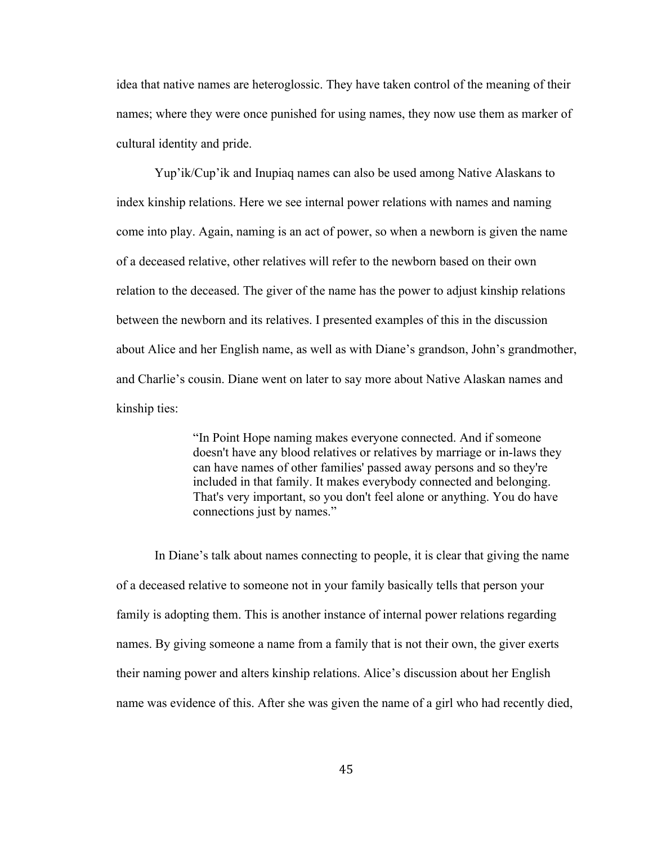idea that native names are heteroglossic. They have taken control of the meaning of their names; where they were once punished for using names, they now use them as marker of cultural identity and pride.

Yup'ik/Cup'ik and Inupiaq names can also be used among Native Alaskans to index kinship relations. Here we see internal power relations with names and naming come into play. Again, naming is an act of power, so when a newborn is given the name of a deceased relative, other relatives will refer to the newborn based on their own relation to the deceased. The giver of the name has the power to adjust kinship relations between the newborn and its relatives. I presented examples of this in the discussion about Alice and her English name, as well as with Diane's grandson, John's grandmother, and Charlie's cousin. Diane went on later to say more about Native Alaskan names and kinship ties:

> "In Point Hope naming makes everyone connected. And if someone doesn't have any blood relatives or relatives by marriage or in-laws they can have names of other families' passed away persons and so they're included in that family. It makes everybody connected and belonging. That's very important, so you don't feel alone or anything. You do have connections just by names."

In Diane's talk about names connecting to people, it is clear that giving the name of a deceased relative to someone not in your family basically tells that person your family is adopting them. This is another instance of internal power relations regarding names. By giving someone a name from a family that is not their own, the giver exerts their naming power and alters kinship relations. Alice's discussion about her English name was evidence of this. After she was given the name of a girl who had recently died,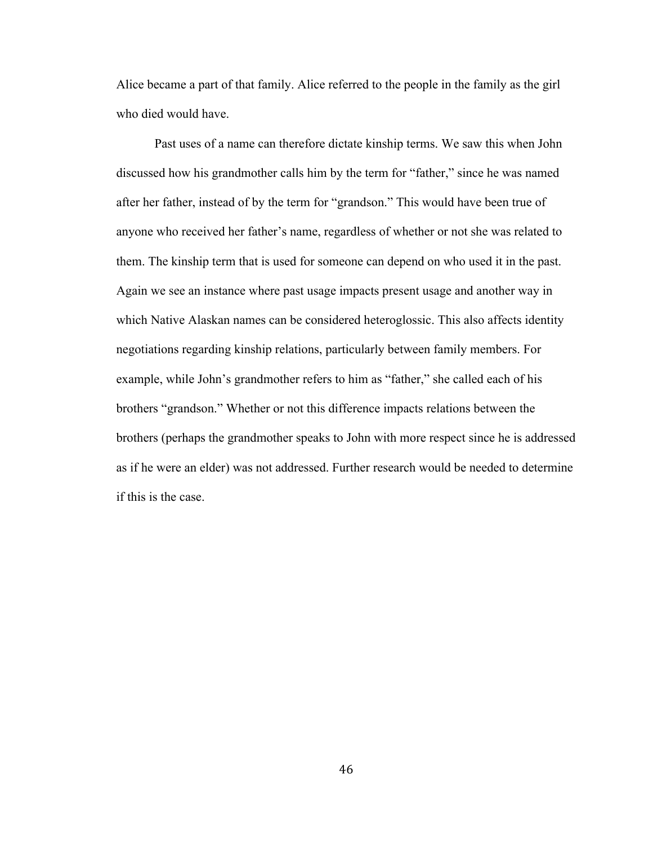Alice became a part of that family. Alice referred to the people in the family as the girl who died would have.

Past uses of a name can therefore dictate kinship terms. We saw this when John discussed how his grandmother calls him by the term for "father," since he was named after her father, instead of by the term for "grandson." This would have been true of anyone who received her father's name, regardless of whether or not she was related to them. The kinship term that is used for someone can depend on who used it in the past. Again we see an instance where past usage impacts present usage and another way in which Native Alaskan names can be considered heteroglossic. This also affects identity negotiations regarding kinship relations, particularly between family members. For example, while John's grandmother refers to him as "father," she called each of his brothers "grandson." Whether or not this difference impacts relations between the brothers (perhaps the grandmother speaks to John with more respect since he is addressed as if he were an elder) was not addressed. Further research would be needed to determine if this is the case.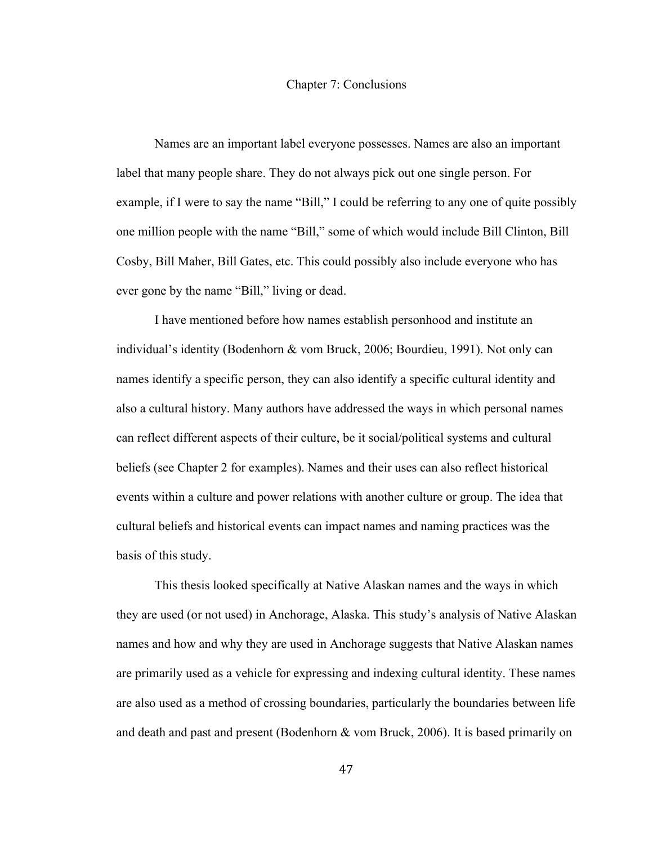#### Chapter 7: Conclusions

Names are an important label everyone possesses. Names are also an important label that many people share. They do not always pick out one single person. For example, if I were to say the name "Bill," I could be referring to any one of quite possibly one million people with the name "Bill," some of which would include Bill Clinton, Bill Cosby, Bill Maher, Bill Gates, etc. This could possibly also include everyone who has ever gone by the name "Bill," living or dead.

I have mentioned before how names establish personhood and institute an individual's identity (Bodenhorn & vom Bruck, 2006; Bourdieu, 1991). Not only can names identify a specific person, they can also identify a specific cultural identity and also a cultural history. Many authors have addressed the ways in which personal names can reflect different aspects of their culture, be it social/political systems and cultural beliefs (see Chapter 2 for examples). Names and their uses can also reflect historical events within a culture and power relations with another culture or group. The idea that cultural beliefs and historical events can impact names and naming practices was the basis of this study.

This thesis looked specifically at Native Alaskan names and the ways in which they are used (or not used) in Anchorage, Alaska. This study's analysis of Native Alaskan names and how and why they are used in Anchorage suggests that Native Alaskan names are primarily used as a vehicle for expressing and indexing cultural identity. These names are also used as a method of crossing boundaries, particularly the boundaries between life and death and past and present (Bodenhorn & vom Bruck, 2006). It is based primarily on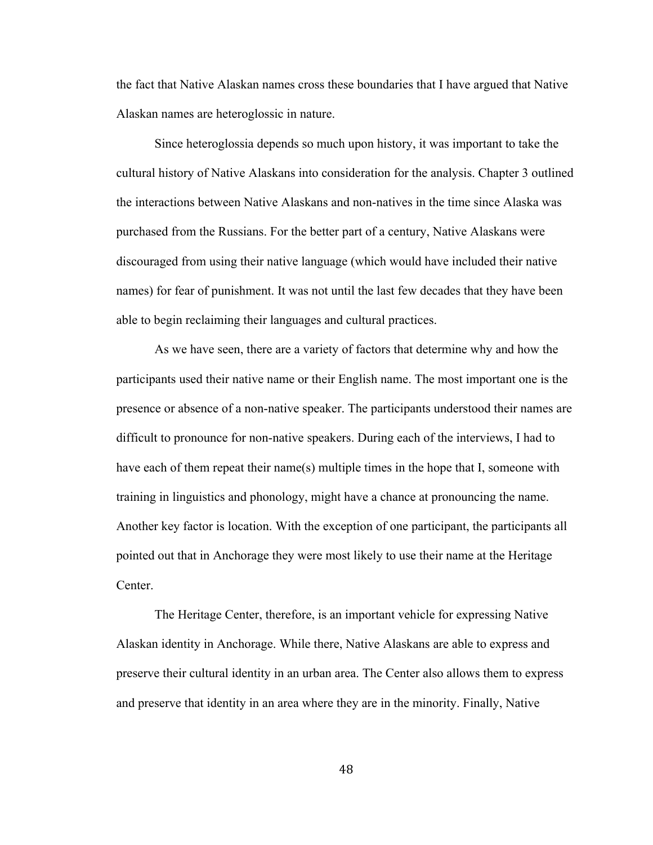the fact that Native Alaskan names cross these boundaries that I have argued that Native Alaskan names are heteroglossic in nature.

Since heteroglossia depends so much upon history, it was important to take the cultural history of Native Alaskans into consideration for the analysis. Chapter 3 outlined the interactions between Native Alaskans and non-natives in the time since Alaska was purchased from the Russians. For the better part of a century, Native Alaskans were discouraged from using their native language (which would have included their native names) for fear of punishment. It was not until the last few decades that they have been able to begin reclaiming their languages and cultural practices.

As we have seen, there are a variety of factors that determine why and how the participants used their native name or their English name. The most important one is the presence or absence of a non-native speaker. The participants understood their names are difficult to pronounce for non-native speakers. During each of the interviews, I had to have each of them repeat their name(s) multiple times in the hope that I, someone with training in linguistics and phonology, might have a chance at pronouncing the name. Another key factor is location. With the exception of one participant, the participants all pointed out that in Anchorage they were most likely to use their name at the Heritage Center.

The Heritage Center, therefore, is an important vehicle for expressing Native Alaskan identity in Anchorage. While there, Native Alaskans are able to express and preserve their cultural identity in an urban area. The Center also allows them to express and preserve that identity in an area where they are in the minority. Finally, Native

48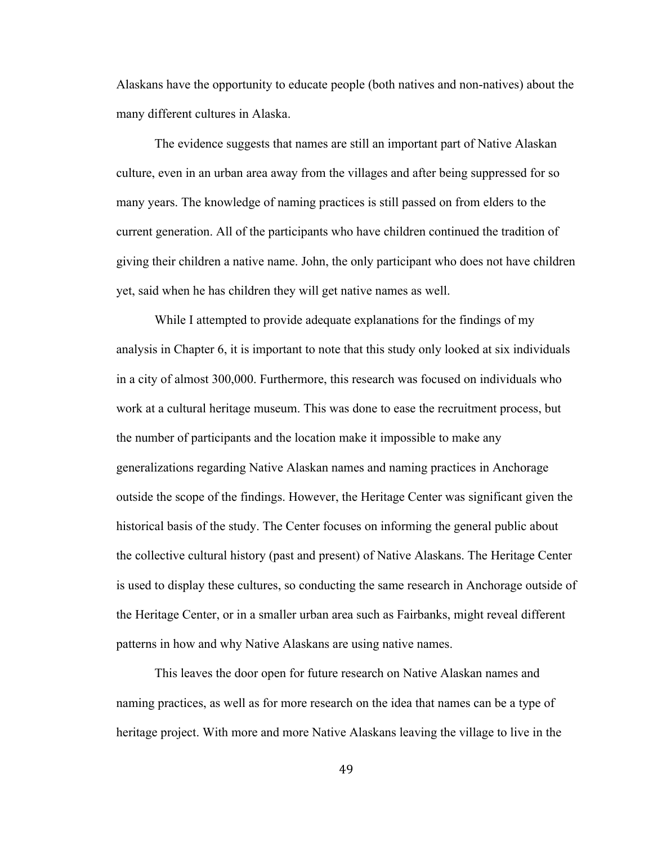Alaskans have the opportunity to educate people (both natives and non-natives) about the many different cultures in Alaska.

The evidence suggests that names are still an important part of Native Alaskan culture, even in an urban area away from the villages and after being suppressed for so many years. The knowledge of naming practices is still passed on from elders to the current generation. All of the participants who have children continued the tradition of giving their children a native name. John, the only participant who does not have children yet, said when he has children they will get native names as well.

While I attempted to provide adequate explanations for the findings of my analysis in Chapter 6, it is important to note that this study only looked at six individuals in a city of almost 300,000. Furthermore, this research was focused on individuals who work at a cultural heritage museum. This was done to ease the recruitment process, but the number of participants and the location make it impossible to make any generalizations regarding Native Alaskan names and naming practices in Anchorage outside the scope of the findings. However, the Heritage Center was significant given the historical basis of the study. The Center focuses on informing the general public about the collective cultural history (past and present) of Native Alaskans. The Heritage Center is used to display these cultures, so conducting the same research in Anchorage outside of the Heritage Center, or in a smaller urban area such as Fairbanks, might reveal different patterns in how and why Native Alaskans are using native names.

This leaves the door open for future research on Native Alaskan names and naming practices, as well as for more research on the idea that names can be a type of heritage project. With more and more Native Alaskans leaving the village to live in the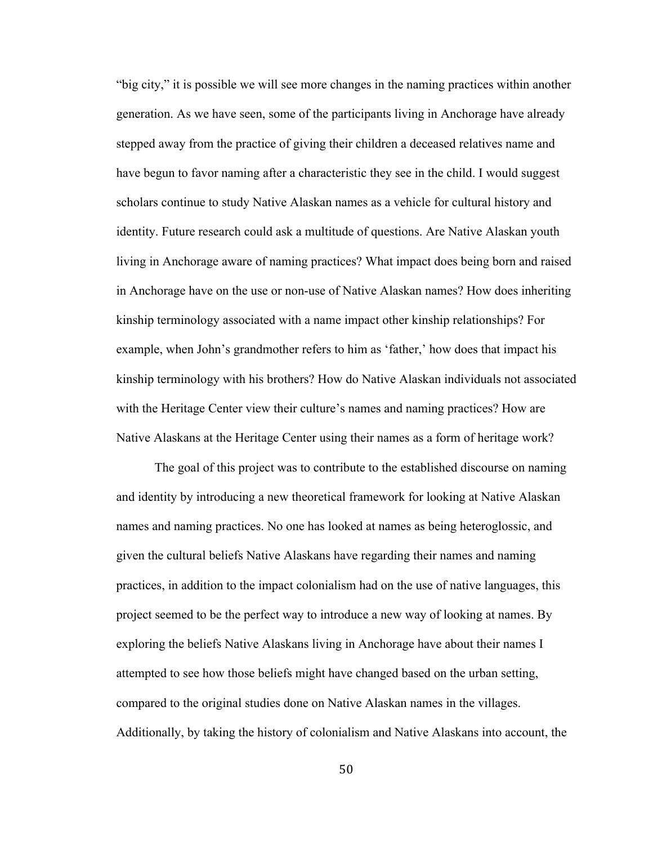"big city," it is possible we will see more changes in the naming practices within another generation. As we have seen, some of the participants living in Anchorage have already stepped away from the practice of giving their children a deceased relatives name and have begun to favor naming after a characteristic they see in the child. I would suggest scholars continue to study Native Alaskan names as a vehicle for cultural history and identity. Future research could ask a multitude of questions. Are Native Alaskan youth living in Anchorage aware of naming practices? What impact does being born and raised in Anchorage have on the use or non-use of Native Alaskan names? How does inheriting kinship terminology associated with a name impact other kinship relationships? For example, when John's grandmother refers to him as 'father,' how does that impact his kinship terminology with his brothers? How do Native Alaskan individuals not associated with the Heritage Center view their culture's names and naming practices? How are Native Alaskans at the Heritage Center using their names as a form of heritage work?

The goal of this project was to contribute to the established discourse on naming and identity by introducing a new theoretical framework for looking at Native Alaskan names and naming practices. No one has looked at names as being heteroglossic, and given the cultural beliefs Native Alaskans have regarding their names and naming practices, in addition to the impact colonialism had on the use of native languages, this project seemed to be the perfect way to introduce a new way of looking at names. By exploring the beliefs Native Alaskans living in Anchorage have about their names I attempted to see how those beliefs might have changed based on the urban setting, compared to the original studies done on Native Alaskan names in the villages. Additionally, by taking the history of colonialism and Native Alaskans into account, the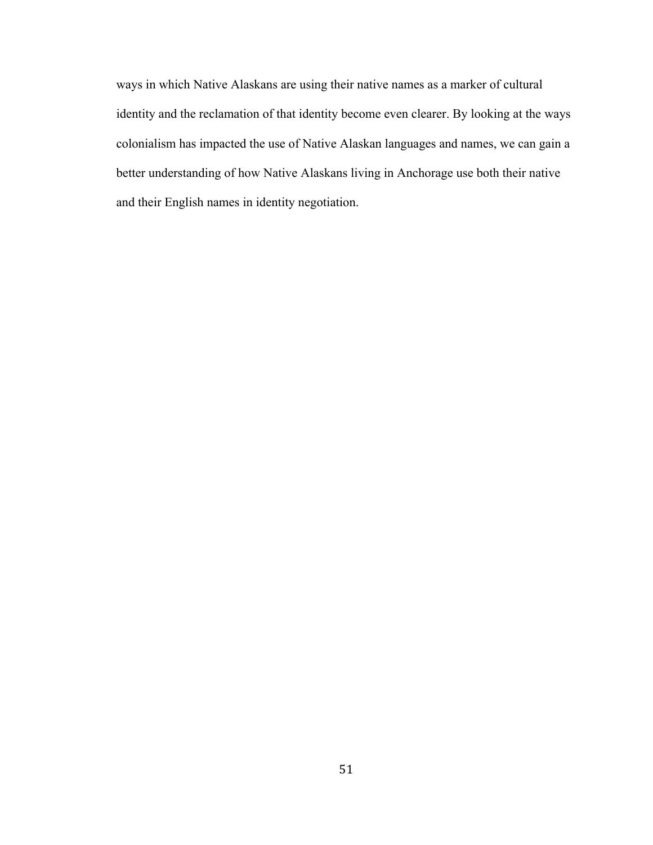ways in which Native Alaskans are using their native names as a marker of cultural identity and the reclamation of that identity become even clearer. By looking at the ways colonialism has impacted the use of Native Alaskan languages and names, we can gain a better understanding of how Native Alaskans living in Anchorage use both their native and their English names in identity negotiation.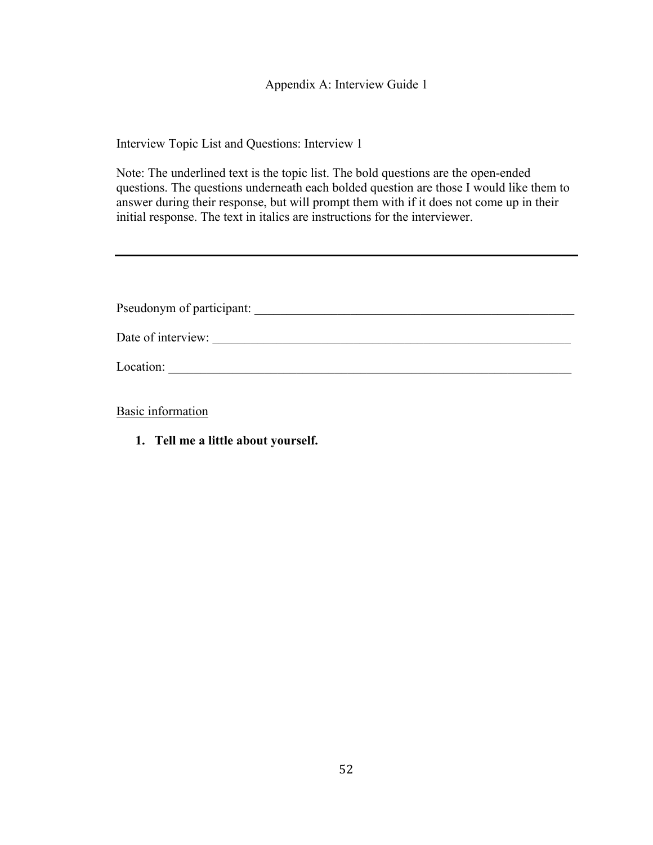Appendix A: Interview Guide 1

Interview Topic List and Questions: Interview 1

Note: The underlined text is the topic list. The bold questions are the open-ended questions. The questions underneath each bolded question are those I would like them to answer during their response, but will prompt them with if it does not come up in their initial response. The text in italics are instructions for the interviewer.

| Pseudonym of participant: |
|---------------------------|
| Date of interview:        |
| Location:                 |

Basic information

**1. Tell me a little about yourself.**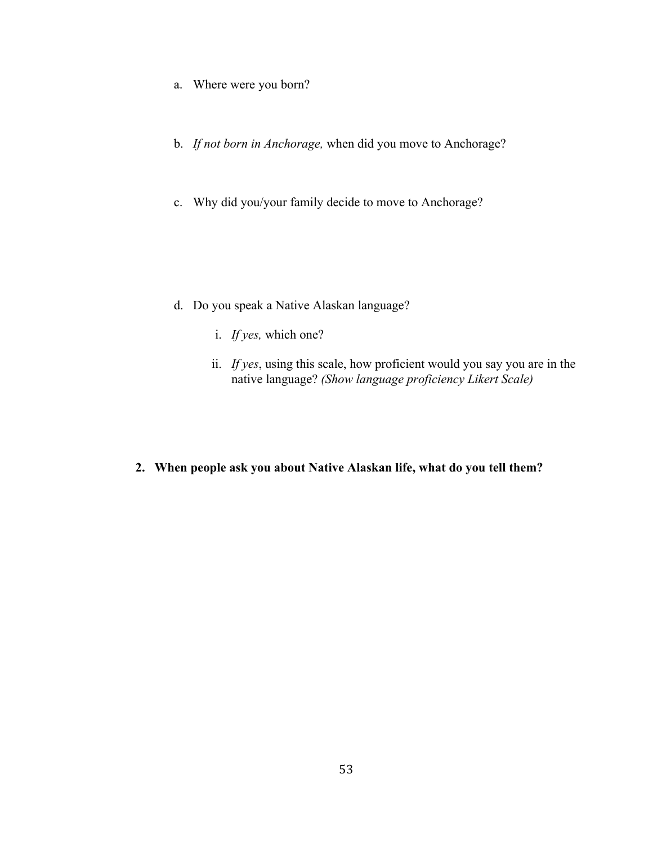- a. Where were you born?
- b. *If not born in Anchorage,* when did you move to Anchorage?
- c. Why did you/your family decide to move to Anchorage?

- d. Do you speak a Native Alaskan language?
	- i. *If yes,* which one?
	- ii. *If yes*, using this scale, how proficient would you say you are in the native language? *(Show language proficiency Likert Scale)*
- **2. When people ask you about Native Alaskan life, what do you tell them?**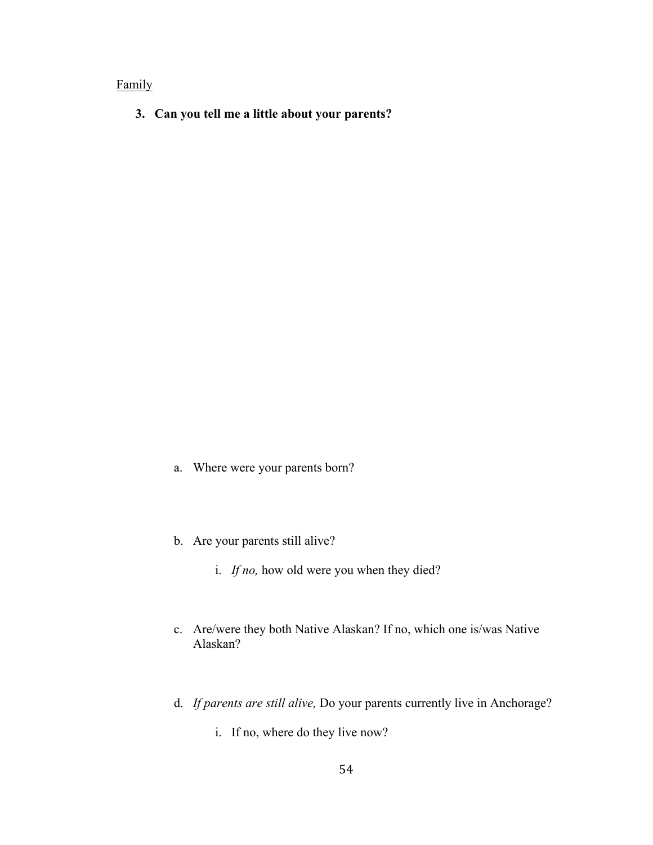## Family

**3. Can you tell me a little about your parents?**

- a. Where were your parents born?
- b. Are your parents still alive?
	- i. *If no,* how old were you when they died?
- c. Are/were they both Native Alaskan? If no, which one is/was Native Alaskan?
- d. *If parents are still alive,* Do your parents currently live in Anchorage?
	- i. If no, where do they live now?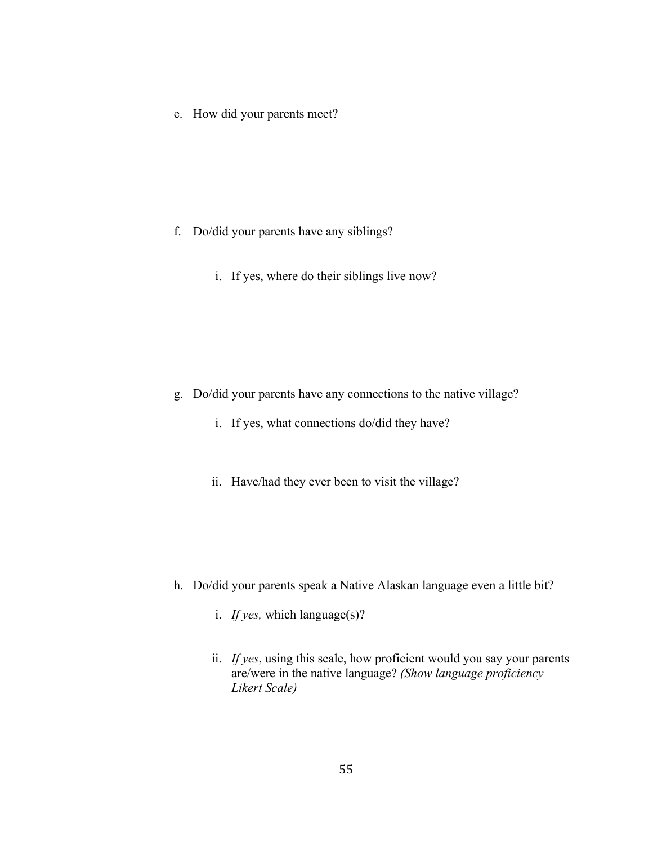e. How did your parents meet?

- f. Do/did your parents have any siblings?
	- i. If yes, where do their siblings live now?

- g. Do/did your parents have any connections to the native village?
	- i. If yes, what connections do/did they have?
	- ii. Have/had they ever been to visit the village?

- h. Do/did your parents speak a Native Alaskan language even a little bit?
	- i. *If yes,* which language(s)?
	- ii. *If yes*, using this scale, how proficient would you say your parents are/were in the native language? *(Show language proficiency Likert Scale)*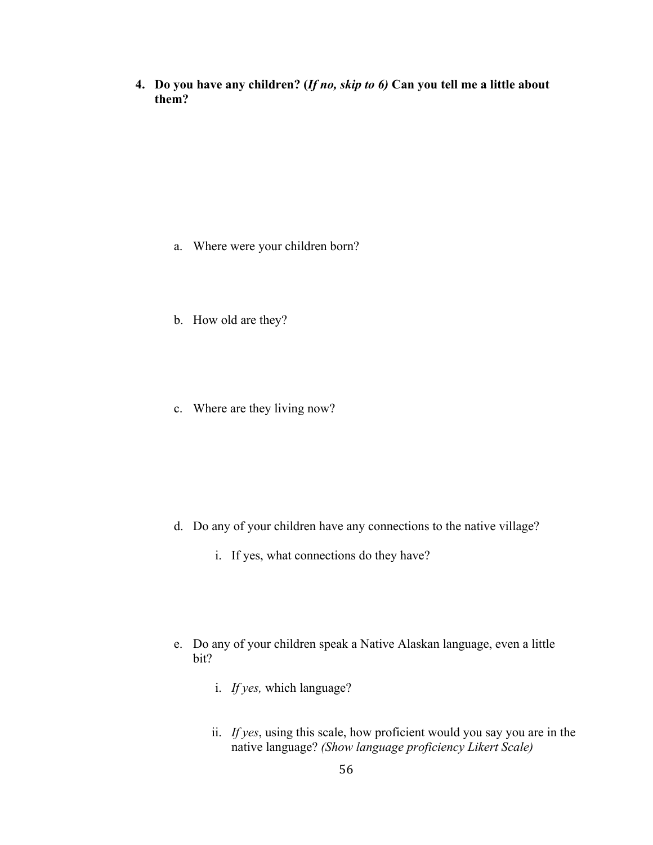**4. Do you have any children? (***If no, skip to 6)* **Can you tell me a little about them?**

- a. Where were your children born?
- b. How old are they?
- c. Where are they living now?

- d. Do any of your children have any connections to the native village?
	- i. If yes, what connections do they have?
- e. Do any of your children speak a Native Alaskan language, even a little bit?
	- i. *If yes,* which language?
	- ii. *If yes*, using this scale, how proficient would you say you are in the native language? *(Show language proficiency Likert Scale)*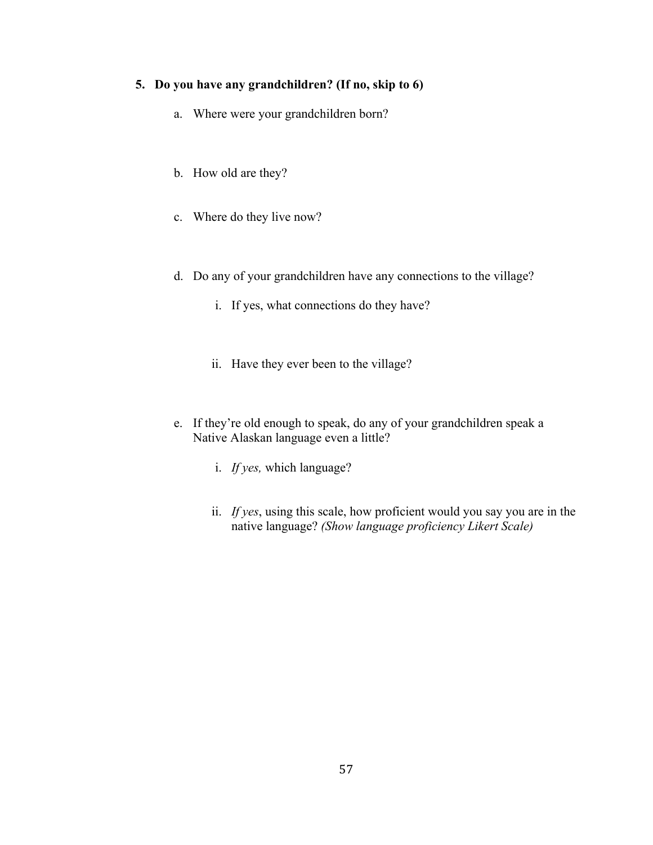## **5. Do you have any grandchildren? (If no, skip to 6)**

- a. Where were your grandchildren born?
- b. How old are they?
- c. Where do they live now?
- d. Do any of your grandchildren have any connections to the village?
	- i. If yes, what connections do they have?
	- ii. Have they ever been to the village?
- e. If they're old enough to speak, do any of your grandchildren speak a Native Alaskan language even a little?
	- i. *If yes,* which language?
	- ii. *If yes*, using this scale, how proficient would you say you are in the native language? *(Show language proficiency Likert Scale)*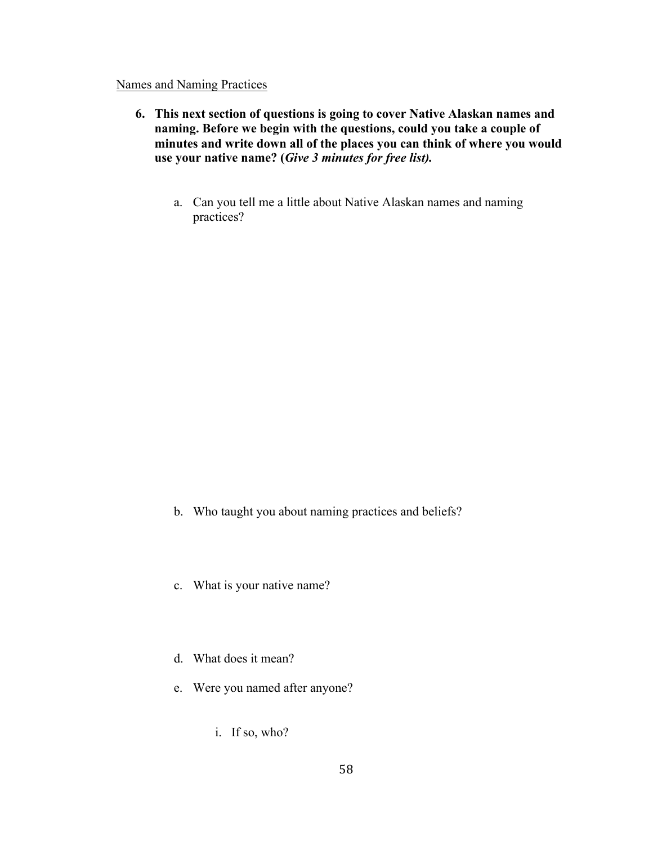#### Names and Naming Practices

- **6. This next section of questions is going to cover Native Alaskan names and naming. Before we begin with the questions, could you take a couple of minutes and write down all of the places you can think of where you would use your native name? (***Give 3 minutes for free list).*
	- a. Can you tell me a little about Native Alaskan names and naming practices?

- b. Who taught you about naming practices and beliefs?
- c. What is your native name?
- d. What does it mean?
- e. Were you named after anyone?
	- i. If so, who?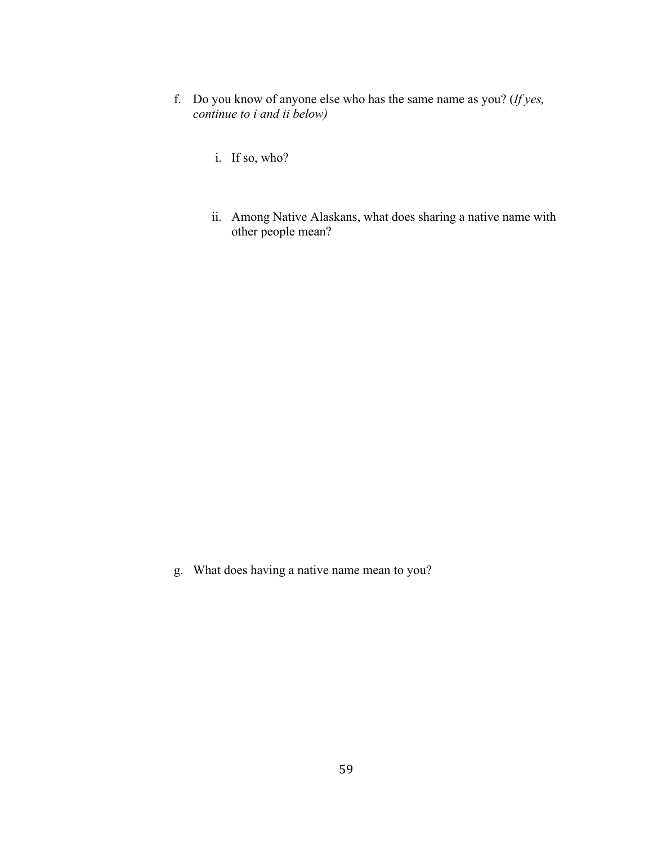- f. Do you know of anyone else who has the same name as you? (*If yes, continue to i and ii below)*
	- i. If so, who?
	- ii. Among Native Alaskans, what does sharing a native name with other people mean?

g. What does having a native name mean to you?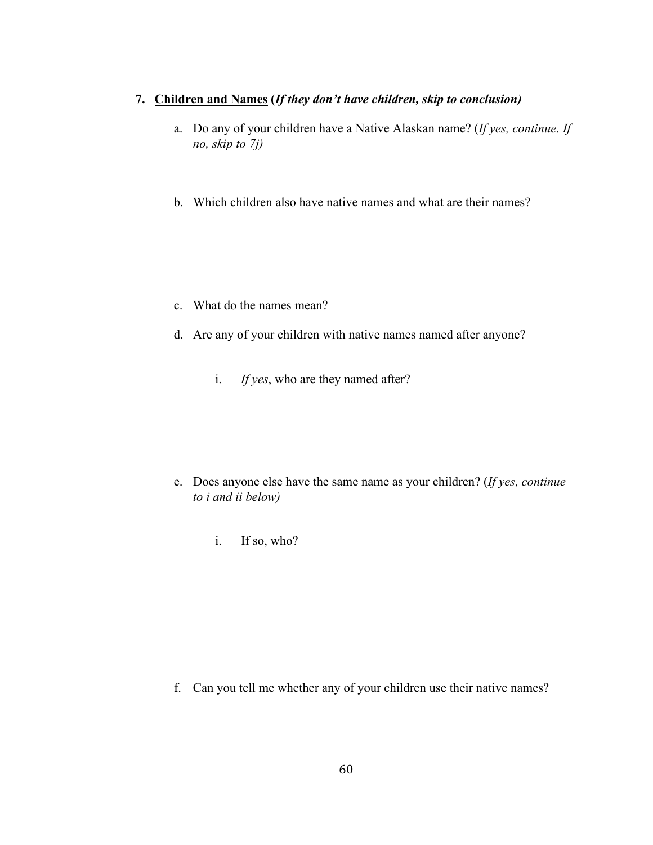### **7. Children and Names (***If they don't have children, skip to conclusion)*

- a. Do any of your children have a Native Alaskan name? (*If yes, continue. If no, skip to 7j)*
- b. Which children also have native names and what are their names?

- c. What do the names mean?
- d. Are any of your children with native names named after anyone?
	- i. *If yes*, who are they named after?

- e. Does anyone else have the same name as your children? (*If yes, continue to i and ii below)*
	- i. If so, who?

f. Can you tell me whether any of your children use their native names?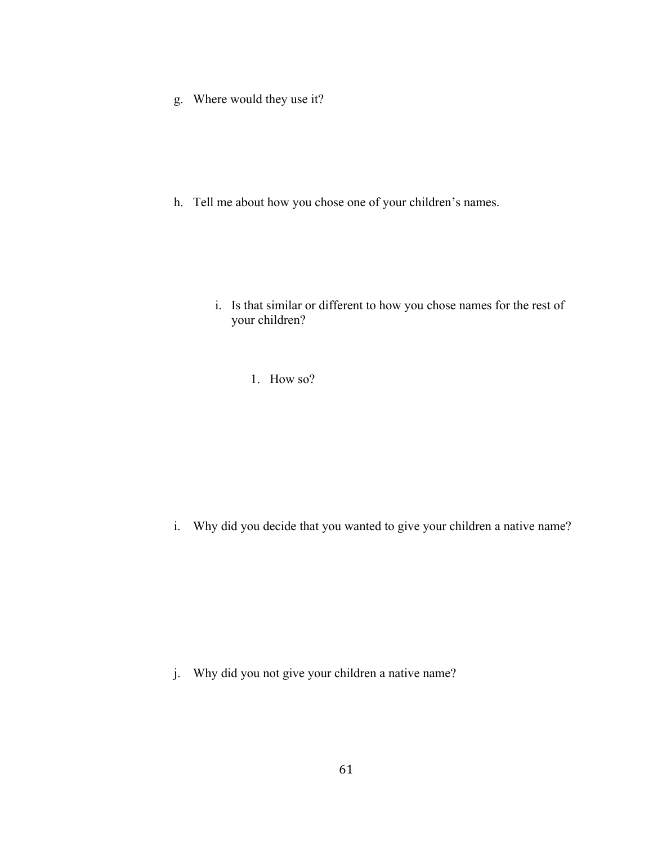g. Where would they use it?

h. Tell me about how you chose one of your children's names.

- i. Is that similar or different to how you chose names for the rest of your children?
	- 1. How so?

i. Why did you decide that you wanted to give your children a native name?

j. Why did you not give your children a native name?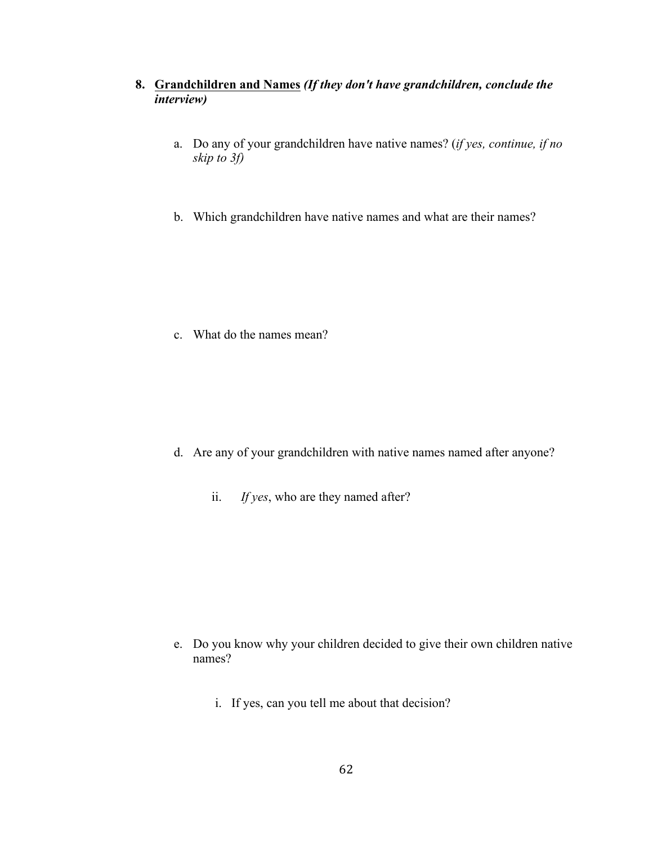### **8. Grandchildren and Names** *(If they don't have grandchildren, conclude the interview)*

- a. Do any of your grandchildren have native names? (*if yes, continue, if no skip to 3f)*
- b. Which grandchildren have native names and what are their names?

c. What do the names mean?

- d. Are any of your grandchildren with native names named after anyone?
	- ii. *If yes*, who are they named after?

- e. Do you know why your children decided to give their own children native names?
	- i. If yes, can you tell me about that decision?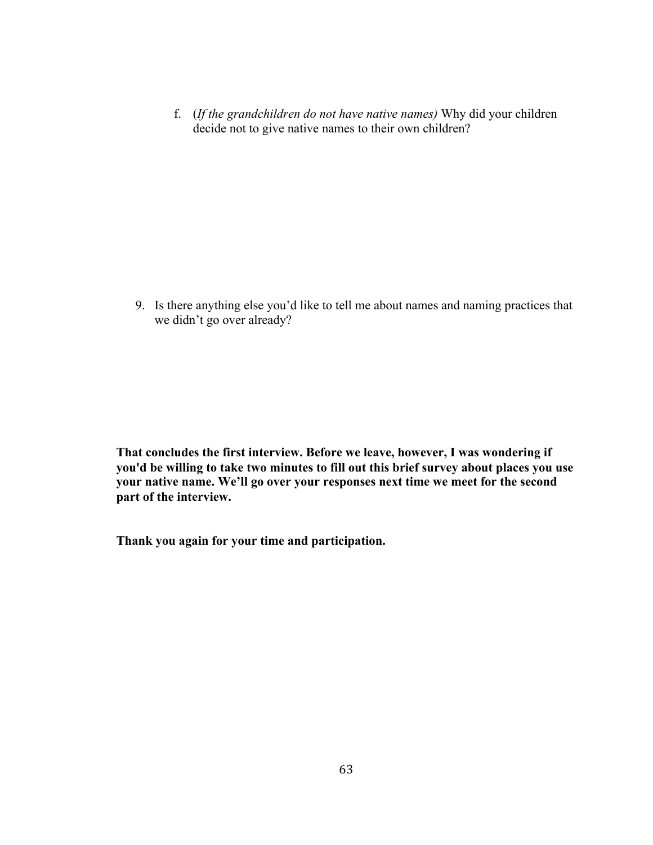f. (*If the grandchildren do not have native names)* Why did your children decide not to give native names to their own children?

9. Is there anything else you'd like to tell me about names and naming practices that we didn't go over already?

**That concludes the first interview. Before we leave, however, I was wondering if you'd be willing to take two minutes to fill out this brief survey about places you use your native name. We'll go over your responses next time we meet for the second part of the interview.**

**Thank you again for your time and participation.**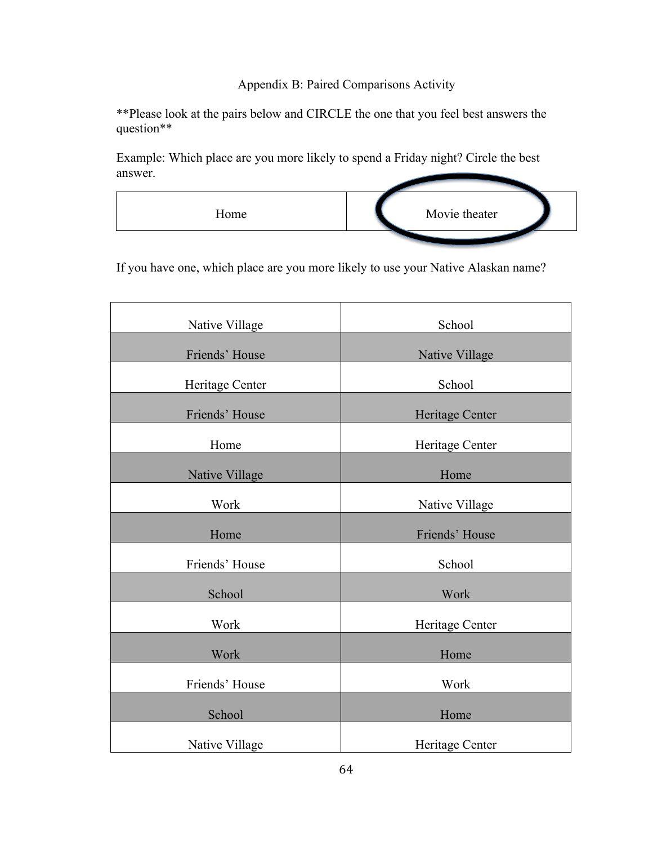# Appendix B: Paired Comparisons Activity

\*\*Please look at the pairs below and CIRCLE the one that you feel best answers the question\*\*

Example: Which place are you more likely to spend a Friday night? Circle the best answer.



If you have one, which place are you more likely to use your Native Alaskan name?

| Native Village  | School                |
|-----------------|-----------------------|
| Friends' House  | <b>Native Village</b> |
| Heritage Center | School                |
| Friends' House  | Heritage Center       |
| Home            | Heritage Center       |
| Native Village  | Home                  |
| Work            | Native Village        |
| Home            | Friends' House        |
| Friends' House  | School                |
| School          | Work                  |
| Work            | Heritage Center       |
| Work            | Home                  |
| Friends' House  | Work                  |
| School          | Home                  |
| Native Village  | Heritage Center       |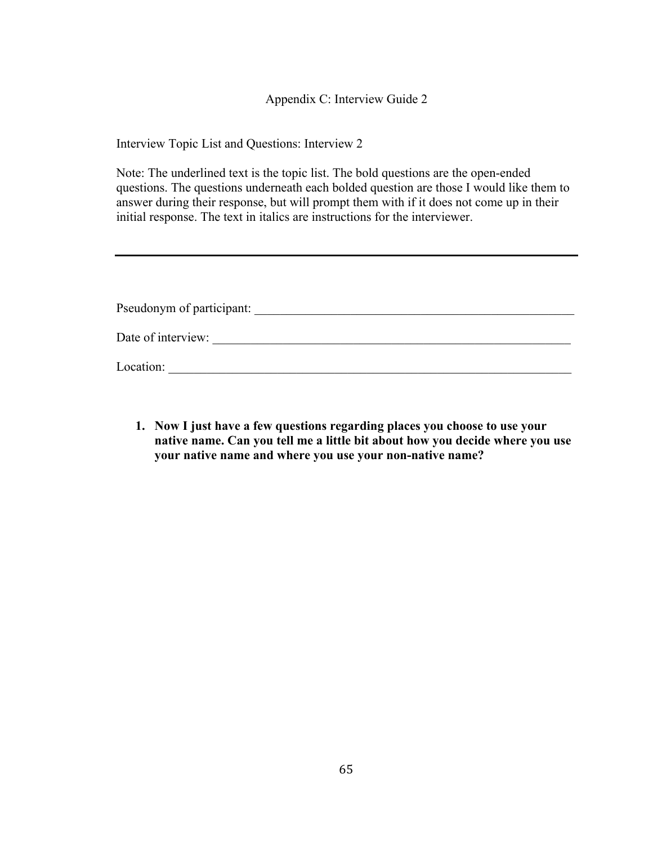Appendix C: Interview Guide 2

Interview Topic List and Questions: Interview 2

Note: The underlined text is the topic list. The bold questions are the open-ended questions. The questions underneath each bolded question are those I would like them to answer during their response, but will prompt them with if it does not come up in their initial response. The text in italics are instructions for the interviewer.

| Pseudonym of participant: |  |
|---------------------------|--|
| Date of interview:        |  |
| Location:                 |  |

**1. Now I just have a few questions regarding places you choose to use your native name. Can you tell me a little bit about how you decide where you use your native name and where you use your non-native name?**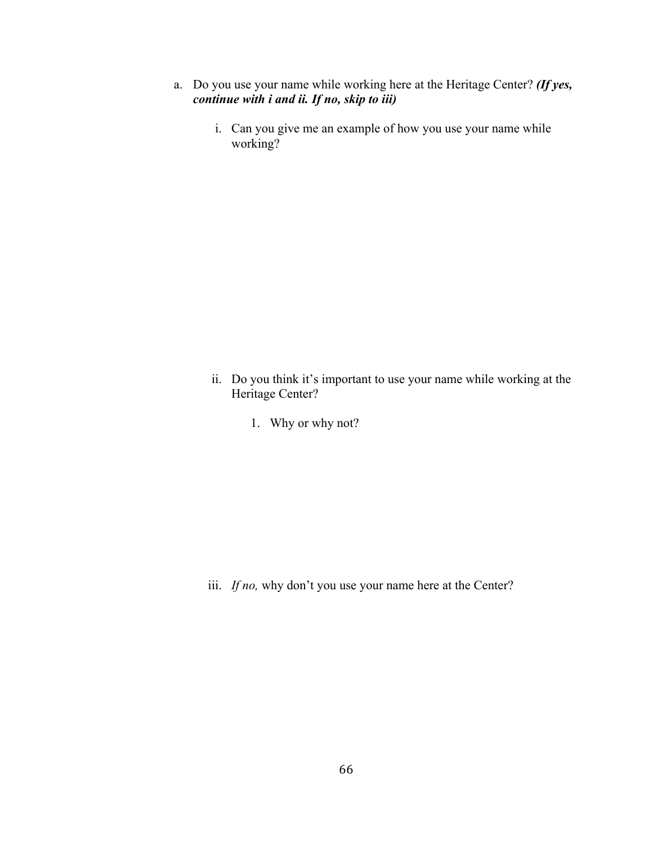- a. Do you use your name while working here at the Heritage Center? *(If yes, continue with i and ii. If no, skip to iii)*
	- i. Can you give me an example of how you use your name while working?

- ii. Do you think it's important to use your name while working at the Heritage Center?
	- 1. Why or why not?

iii. *If no,* why don't you use your name here at the Center?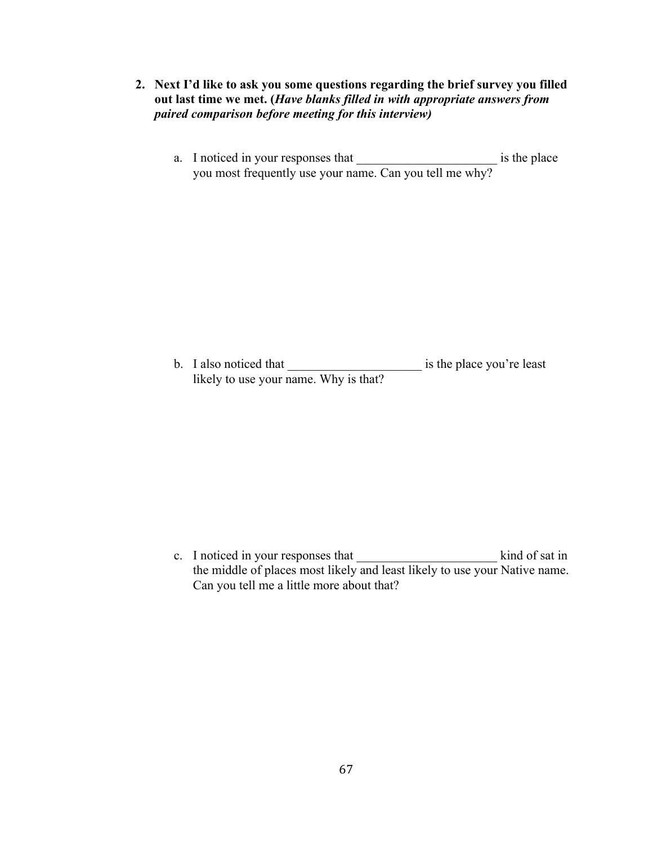- **2. Next I'd like to ask you some questions regarding the brief survey you filled out last time we met. (***Have blanks filled in with appropriate answers from paired comparison before meeting for this interview)*
	- a. I noticed in your responses that is the place you most frequently use your name. Can you tell me why?

b. I also noticed that is the place you're least likely to use your name. Why is that?

c. I noticed in your responses that \_\_\_\_\_\_\_\_\_\_\_\_\_\_\_\_\_\_\_\_\_\_ kind of sat in the middle of places most likely and least likely to use your Native name. Can you tell me a little more about that?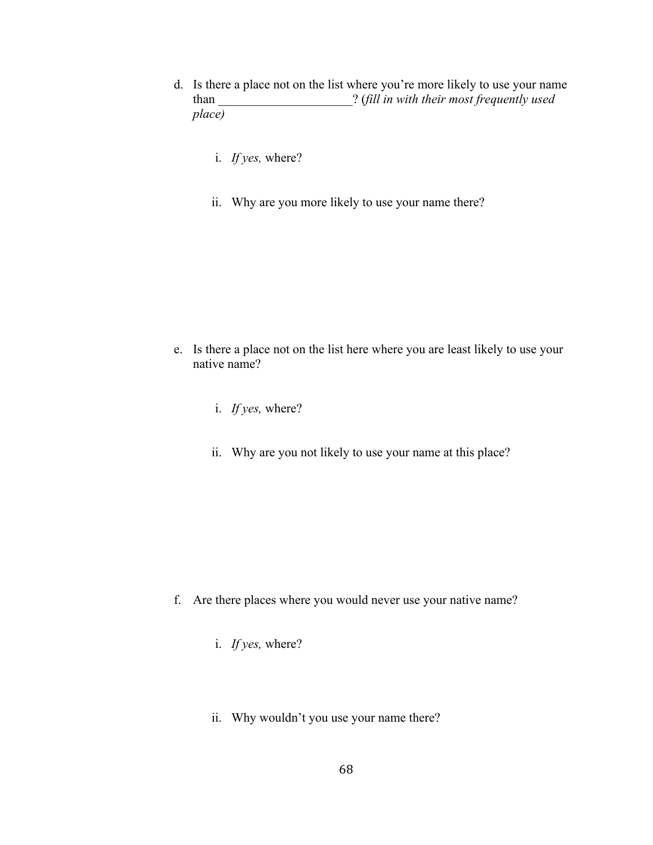- d. Is there a place not on the list where you're more likely to use your name than \_\_\_\_\_\_\_\_\_\_\_\_\_\_\_\_\_\_\_\_\_? (*fill in with their most frequently used place)*
	- i. *If yes,* where?
	- ii. Why are you more likely to use your name there?

- e. Is there a place not on the list here where you are least likely to use your native name?
	- i. *If yes,* where?
	- ii. Why are you not likely to use your name at this place?

- f. Are there places where you would never use your native name?
	- i. *If yes,* where?
	- ii. Why wouldn't you use your name there?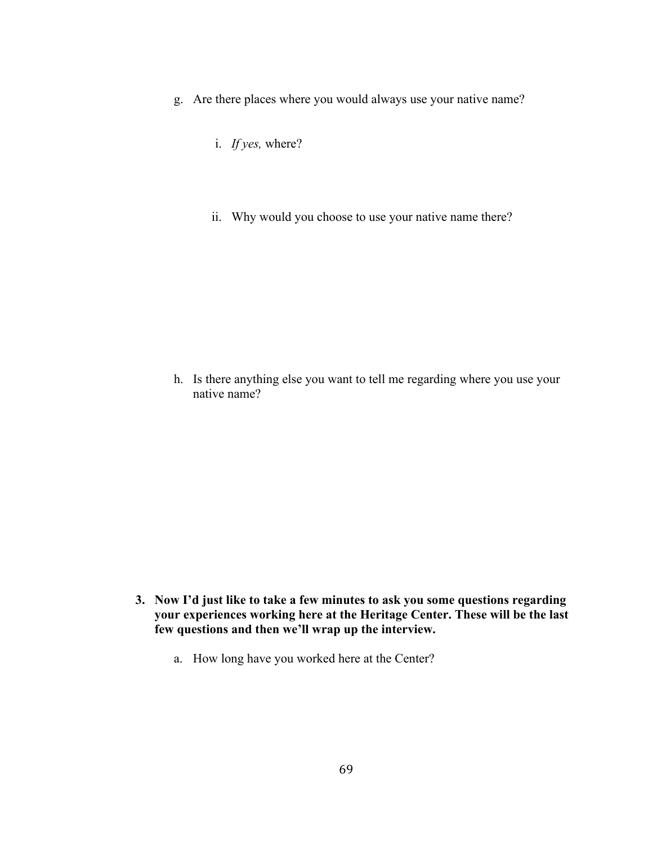- g. Are there places where you would always use your native name?
	- i. *If yes,* where?
	- ii. Why would you choose to use your native name there?

h. Is there anything else you want to tell me regarding where you use your native name?

- **3. Now I'd just like to take a few minutes to ask you some questions regarding your experiences working here at the Heritage Center. These will be the last few questions and then we'll wrap up the interview.**
	- a. How long have you worked here at the Center?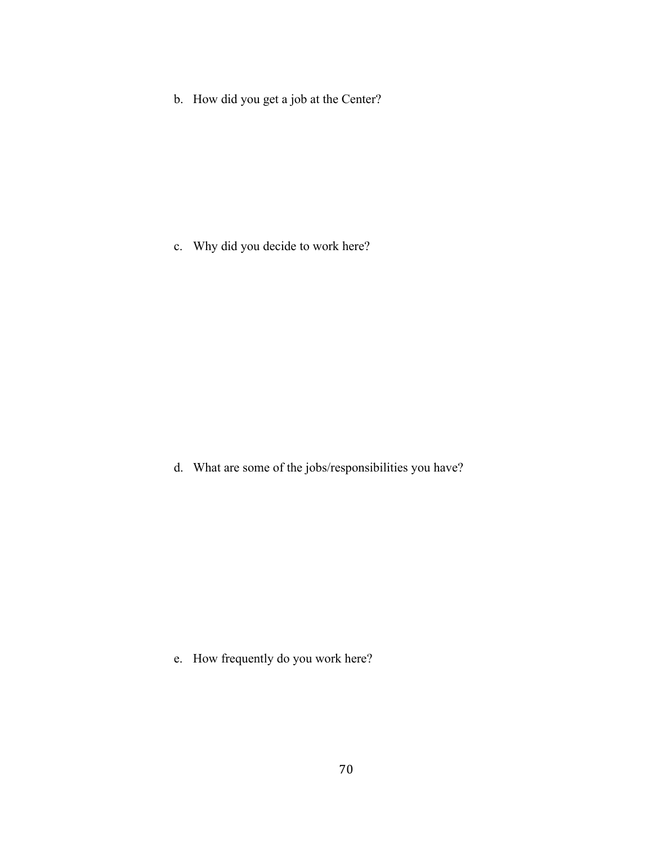b. How did you get a job at the Center?

c. Why did you decide to work here?

d. What are some of the jobs/responsibilities you have?

e. How frequently do you work here?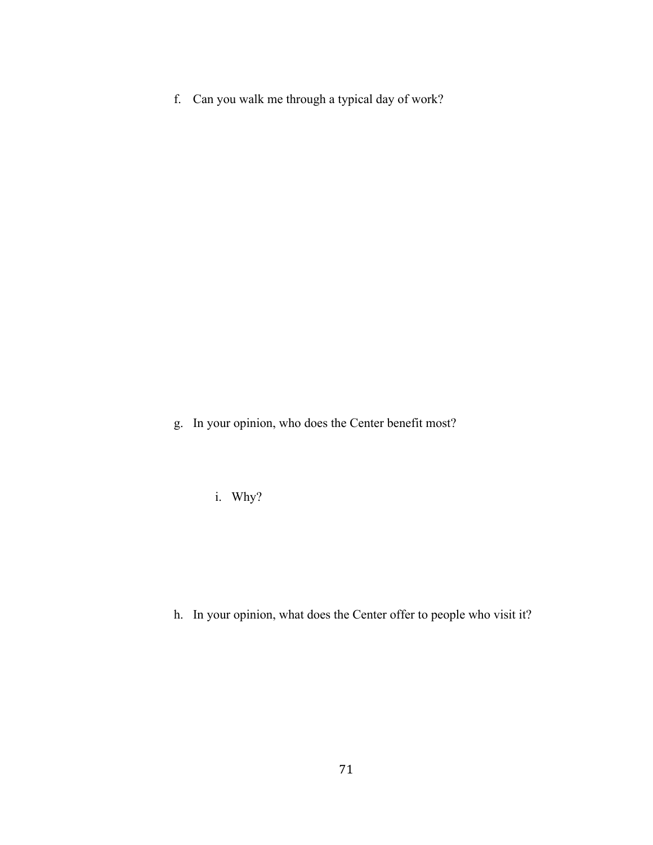f. Can you walk me through a typical day of work?

g. In your opinion, who does the Center benefit most?

i. Why?

h. In your opinion, what does the Center offer to people who visit it?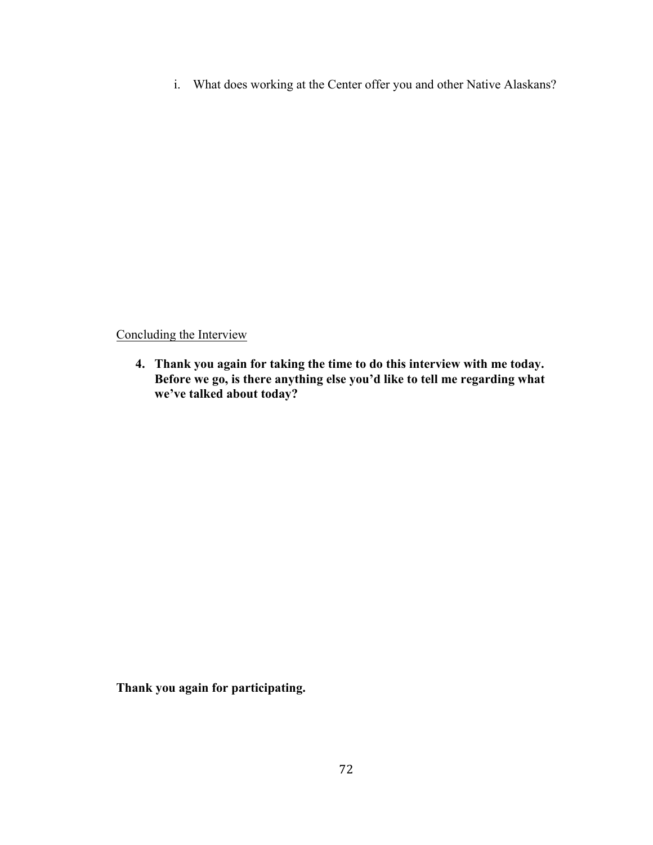i. What does working at the Center offer you and other Native Alaskans?

Concluding the Interview

**4. Thank you again for taking the time to do this interview with me today. Before we go, is there anything else you'd like to tell me regarding what we've talked about today?**

**Thank you again for participating.**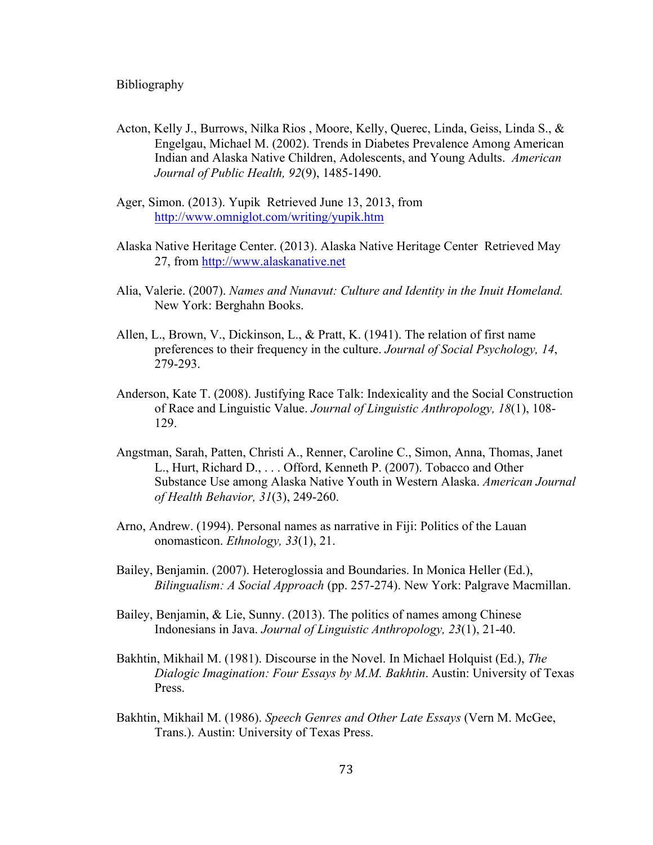- Acton, Kelly J., Burrows, Nilka Rios , Moore, Kelly, Querec, Linda, Geiss, Linda S., & Engelgau, Michael M. (2002). Trends in Diabetes Prevalence Among American Indian and Alaska Native Children, Adolescents, and Young Adults. *American Journal of Public Health, 92*(9), 1485-1490.
- Ager, Simon. (2013). Yupik Retrieved June 13, 2013, from http://www.omniglot.com/writing/yupik.htm
- Alaska Native Heritage Center. (2013). Alaska Native Heritage Center Retrieved May 27, from http://www.alaskanative.net
- Alia, Valerie. (2007). *Names and Nunavut: Culture and Identity in the Inuit Homeland.* New York: Berghahn Books.
- Allen, L., Brown, V., Dickinson, L., & Pratt, K. (1941). The relation of first name preferences to their frequency in the culture. *Journal of Social Psychology, 14*, 279-293.
- Anderson, Kate T. (2008). Justifying Race Talk: Indexicality and the Social Construction of Race and Linguistic Value. *Journal of Linguistic Anthropology, 18*(1), 108- 129.
- Angstman, Sarah, Patten, Christi A., Renner, Caroline C., Simon, Anna, Thomas, Janet L., Hurt, Richard D., . . . Offord, Kenneth P. (2007). Tobacco and Other Substance Use among Alaska Native Youth in Western Alaska. *American Journal of Health Behavior, 31*(3), 249-260.
- Arno, Andrew. (1994). Personal names as narrative in Fiji: Politics of the Lauan onomasticon. *Ethnology, 33*(1), 21.
- Bailey, Benjamin. (2007). Heteroglossia and Boundaries. In Monica Heller (Ed.), *Bilingualism: A Social Approach* (pp. 257-274). New York: Palgrave Macmillan.
- Bailey, Benjamin, & Lie, Sunny. (2013). The politics of names among Chinese Indonesians in Java. *Journal of Linguistic Anthropology, 23*(1), 21-40.
- Bakhtin, Mikhail M. (1981). Discourse in the Novel. In Michael Holquist (Ed.), *The Dialogic Imagination: Four Essays by M.M. Bakhtin*. Austin: University of Texas Press.
- Bakhtin, Mikhail M. (1986). *Speech Genres and Other Late Essays* (Vern M. McGee, Trans.). Austin: University of Texas Press.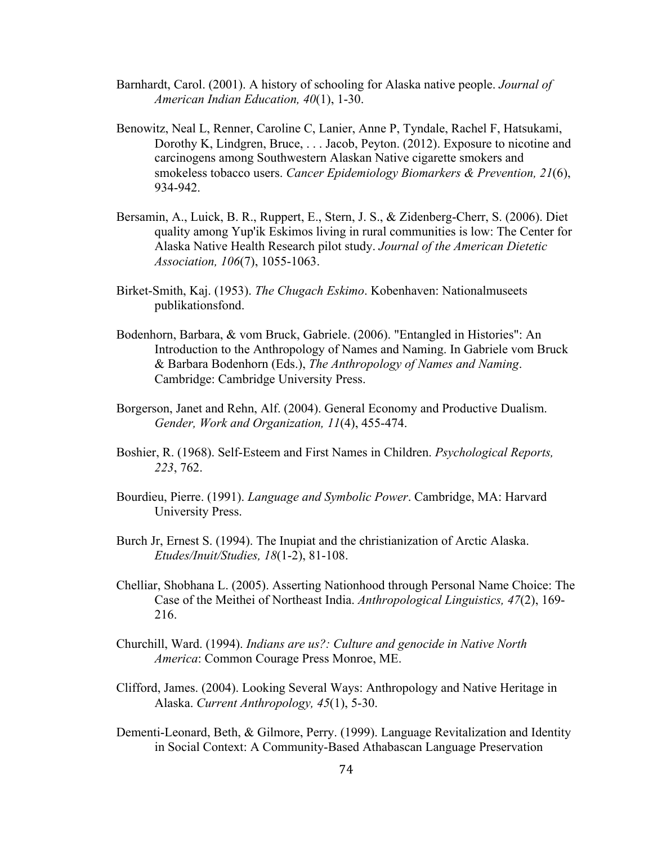- Barnhardt, Carol. (2001). A history of schooling for Alaska native people. *Journal of American Indian Education, 40*(1), 1-30.
- Benowitz, Neal L, Renner, Caroline C, Lanier, Anne P, Tyndale, Rachel F, Hatsukami, Dorothy K, Lindgren, Bruce, . . . Jacob, Peyton. (2012). Exposure to nicotine and carcinogens among Southwestern Alaskan Native cigarette smokers and smokeless tobacco users. *Cancer Epidemiology Biomarkers & Prevention, 21*(6), 934-942.
- Bersamin, A., Luick, B. R., Ruppert, E., Stern, J. S., & Zidenberg-Cherr, S. (2006). Diet quality among Yup'ik Eskimos living in rural communities is low: The Center for Alaska Native Health Research pilot study. *Journal of the American Dietetic Association, 106*(7), 1055-1063.
- Birket-Smith, Kaj. (1953). *The Chugach Eskimo*. Kobenhaven: Nationalmuseets publikationsfond.
- Bodenhorn, Barbara, & vom Bruck, Gabriele. (2006). "Entangled in Histories": An Introduction to the Anthropology of Names and Naming. In Gabriele vom Bruck & Barbara Bodenhorn (Eds.), *The Anthropology of Names and Naming*. Cambridge: Cambridge University Press.
- Borgerson, Janet and Rehn, Alf. (2004). General Economy and Productive Dualism. *Gender, Work and Organization, 11*(4), 455-474.
- Boshier, R. (1968). Self-Esteem and First Names in Children. *Psychological Reports, 223*, 762.
- Bourdieu, Pierre. (1991). *Language and Symbolic Power*. Cambridge, MA: Harvard University Press.
- Burch Jr, Ernest S. (1994). The Inupiat and the christianization of Arctic Alaska. *Etudes/Inuit/Studies, 18*(1-2), 81-108.
- Chelliar, Shobhana L. (2005). Asserting Nationhood through Personal Name Choice: The Case of the Meithei of Northeast India. *Anthropological Linguistics, 47*(2), 169- 216.
- Churchill, Ward. (1994). *Indians are us?: Culture and genocide in Native North America*: Common Courage Press Monroe, ME.
- Clifford, James. (2004). Looking Several Ways: Anthropology and Native Heritage in Alaska. *Current Anthropology, 45*(1), 5-30.
- Dementi-Leonard, Beth, & Gilmore, Perry. (1999). Language Revitalization and Identity in Social Context: A Community-Based Athabascan Language Preservation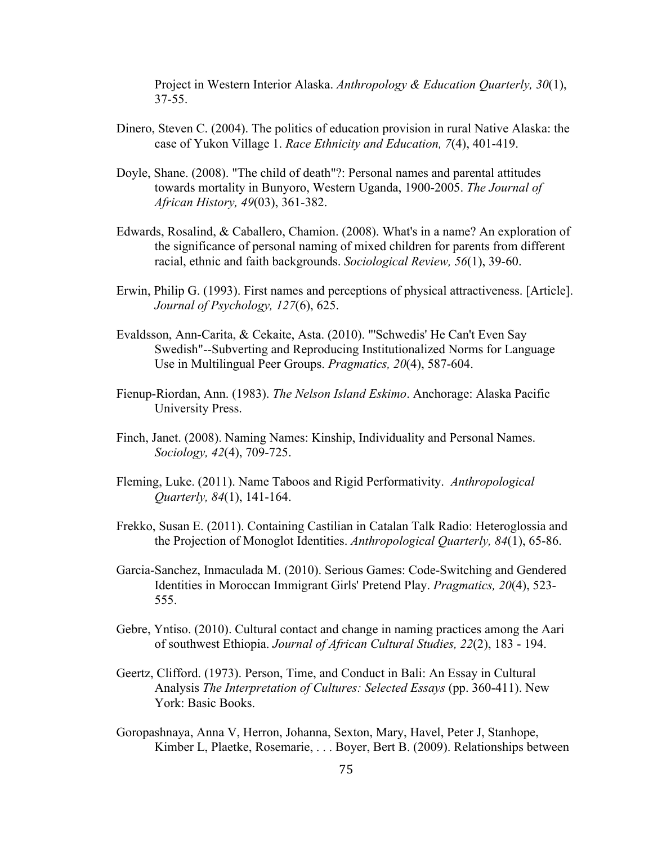Project in Western Interior Alaska. *Anthropology & Education Quarterly, 30*(1), 37-55.

- Dinero, Steven C. (2004). The politics of education provision in rural Native Alaska: the case of Yukon Village 1. *Race Ethnicity and Education, 7*(4), 401-419.
- Doyle, Shane. (2008). "The child of death"?: Personal names and parental attitudes towards mortality in Bunyoro, Western Uganda, 1900-2005. *The Journal of African History, 49*(03), 361-382.
- Edwards, Rosalind, & Caballero, Chamion. (2008). What's in a name? An exploration of the significance of personal naming of mixed children for parents from different racial, ethnic and faith backgrounds. *Sociological Review, 56*(1), 39-60.
- Erwin, Philip G. (1993). First names and perceptions of physical attractiveness. [Article]. *Journal of Psychology, 127*(6), 625.
- Evaldsson, Ann-Carita, & Cekaite, Asta. (2010). "'Schwedis' He Can't Even Say Swedish"--Subverting and Reproducing Institutionalized Norms for Language Use in Multilingual Peer Groups. *Pragmatics, 20*(4), 587-604.
- Fienup-Riordan, Ann. (1983). *The Nelson Island Eskimo*. Anchorage: Alaska Pacific University Press.
- Finch, Janet. (2008). Naming Names: Kinship, Individuality and Personal Names. *Sociology, 42*(4), 709-725.
- Fleming, Luke. (2011). Name Taboos and Rigid Performativity. *Anthropological Quarterly, 84*(1), 141-164.
- Frekko, Susan E. (2011). Containing Castilian in Catalan Talk Radio: Heteroglossia and the Projection of Monoglot Identities. *Anthropological Quarterly, 84*(1), 65-86.
- Garcia-Sanchez, Inmaculada M. (2010). Serious Games: Code-Switching and Gendered Identities in Moroccan Immigrant Girls' Pretend Play. *Pragmatics, 20*(4), 523- 555.
- Gebre, Yntiso. (2010). Cultural contact and change in naming practices among the Aari of southwest Ethiopia. *Journal of African Cultural Studies, 22*(2), 183 - 194.
- Geertz, Clifford. (1973). Person, Time, and Conduct in Bali: An Essay in Cultural Analysis *The Interpretation of Cultures: Selected Essays* (pp. 360-411). New York: Basic Books.
- Goropashnaya, Anna V, Herron, Johanna, Sexton, Mary, Havel, Peter J, Stanhope, Kimber L, Plaetke, Rosemarie, . . . Boyer, Bert B. (2009). Relationships between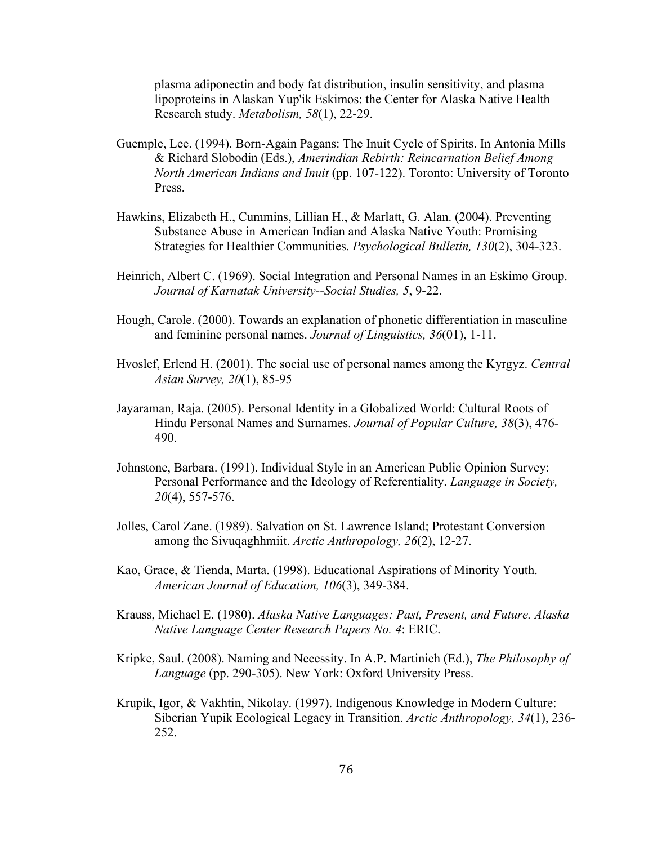plasma adiponectin and body fat distribution, insulin sensitivity, and plasma lipoproteins in Alaskan Yup'ik Eskimos: the Center for Alaska Native Health Research study. *Metabolism, 58*(1), 22-29.

- Guemple, Lee. (1994). Born-Again Pagans: The Inuit Cycle of Spirits. In Antonia Mills & Richard Slobodin (Eds.), *Amerindian Rebirth: Reincarnation Belief Among North American Indians and Inuit* (pp. 107-122). Toronto: University of Toronto Press.
- Hawkins, Elizabeth H., Cummins, Lillian H., & Marlatt, G. Alan. (2004). Preventing Substance Abuse in American Indian and Alaska Native Youth: Promising Strategies for Healthier Communities. *Psychological Bulletin, 130*(2), 304-323.
- Heinrich, Albert C. (1969). Social Integration and Personal Names in an Eskimo Group. *Journal of Karnatak University--Social Studies, 5*, 9-22.
- Hough, Carole. (2000). Towards an explanation of phonetic differentiation in masculine and feminine personal names. *Journal of Linguistics, 36*(01), 1-11.
- Hvoslef, Erlend H. (2001). The social use of personal names among the Kyrgyz. *Central Asian Survey, 20*(1), 85-95
- Jayaraman, Raja. (2005). Personal Identity in a Globalized World: Cultural Roots of Hindu Personal Names and Surnames. *Journal of Popular Culture, 38*(3), 476- 490.
- Johnstone, Barbara. (1991). Individual Style in an American Public Opinion Survey: Personal Performance and the Ideology of Referentiality. *Language in Society, 20*(4), 557-576.
- Jolles, Carol Zane. (1989). Salvation on St. Lawrence Island; Protestant Conversion among the Sivuqaghhmiit. *Arctic Anthropology, 26*(2), 12-27.
- Kao, Grace, & Tienda, Marta. (1998). Educational Aspirations of Minority Youth. *American Journal of Education, 106*(3), 349-384.
- Krauss, Michael E. (1980). *Alaska Native Languages: Past, Present, and Future. Alaska Native Language Center Research Papers No. 4*: ERIC.
- Kripke, Saul. (2008). Naming and Necessity. In A.P. Martinich (Ed.), *The Philosophy of Language* (pp. 290-305). New York: Oxford University Press.
- Krupik, Igor, & Vakhtin, Nikolay. (1997). Indigenous Knowledge in Modern Culture: Siberian Yupik Ecological Legacy in Transition. *Arctic Anthropology, 34*(1), 236- 252.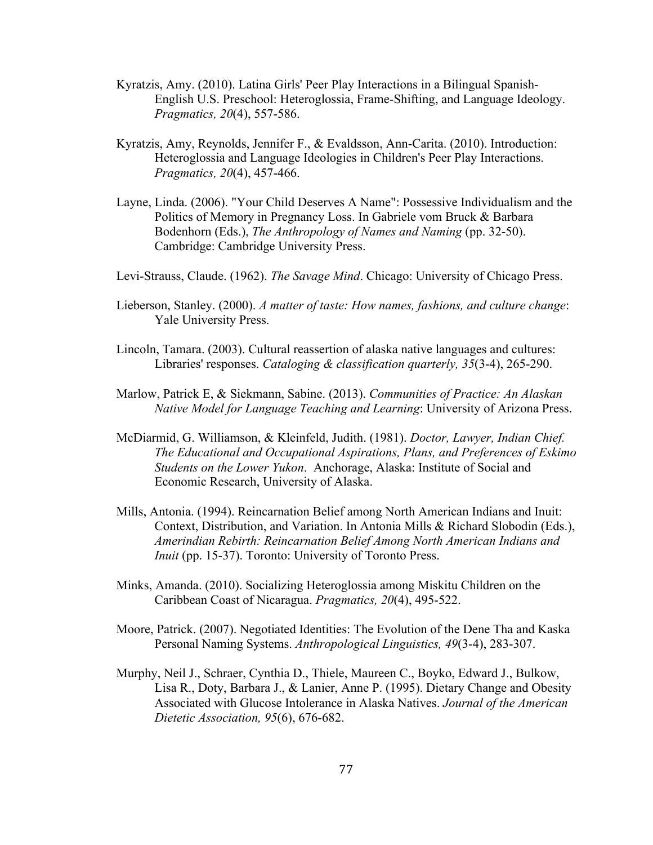- Kyratzis, Amy. (2010). Latina Girls' Peer Play Interactions in a Bilingual Spanish-English U.S. Preschool: Heteroglossia, Frame-Shifting, and Language Ideology. *Pragmatics, 20*(4), 557-586.
- Kyratzis, Amy, Reynolds, Jennifer F., & Evaldsson, Ann-Carita. (2010). Introduction: Heteroglossia and Language Ideologies in Children's Peer Play Interactions. *Pragmatics, 20*(4), 457-466.
- Layne, Linda. (2006). "Your Child Deserves A Name": Possessive Individualism and the Politics of Memory in Pregnancy Loss. In Gabriele vom Bruck & Barbara Bodenhorn (Eds.), *The Anthropology of Names and Naming* (pp. 32-50). Cambridge: Cambridge University Press.
- Levi-Strauss, Claude. (1962). *The Savage Mind*. Chicago: University of Chicago Press.
- Lieberson, Stanley. (2000). *A matter of taste: How names, fashions, and culture change*: Yale University Press.
- Lincoln, Tamara. (2003). Cultural reassertion of alaska native languages and cultures: Libraries' responses. *Cataloging & classification quarterly, 35*(3-4), 265-290.
- Marlow, Patrick E, & Siekmann, Sabine. (2013). *Communities of Practice: An Alaskan Native Model for Language Teaching and Learning*: University of Arizona Press.
- McDiarmid, G. Williamson, & Kleinfeld, Judith. (1981). *Doctor, Lawyer, Indian Chief. The Educational and Occupational Aspirations, Plans, and Preferences of Eskimo Students on the Lower Yukon*. Anchorage, Alaska: Institute of Social and Economic Research, University of Alaska.
- Mills, Antonia. (1994). Reincarnation Belief among North American Indians and Inuit: Context, Distribution, and Variation. In Antonia Mills & Richard Slobodin (Eds.), *Amerindian Rebirth: Reincarnation Belief Among North American Indians and Inuit* (pp. 15-37). Toronto: University of Toronto Press.
- Minks, Amanda. (2010). Socializing Heteroglossia among Miskitu Children on the Caribbean Coast of Nicaragua. *Pragmatics, 20*(4), 495-522.
- Moore, Patrick. (2007). Negotiated Identities: The Evolution of the Dene Tha and Kaska Personal Naming Systems. *Anthropological Linguistics, 49*(3-4), 283-307.
- Murphy, Neil J., Schraer, Cynthia D., Thiele, Maureen C., Boyko, Edward J., Bulkow, Lisa R., Doty, Barbara J., & Lanier, Anne P. (1995). Dietary Change and Obesity Associated with Glucose Intolerance in Alaska Natives. *Journal of the American Dietetic Association, 95*(6), 676-682.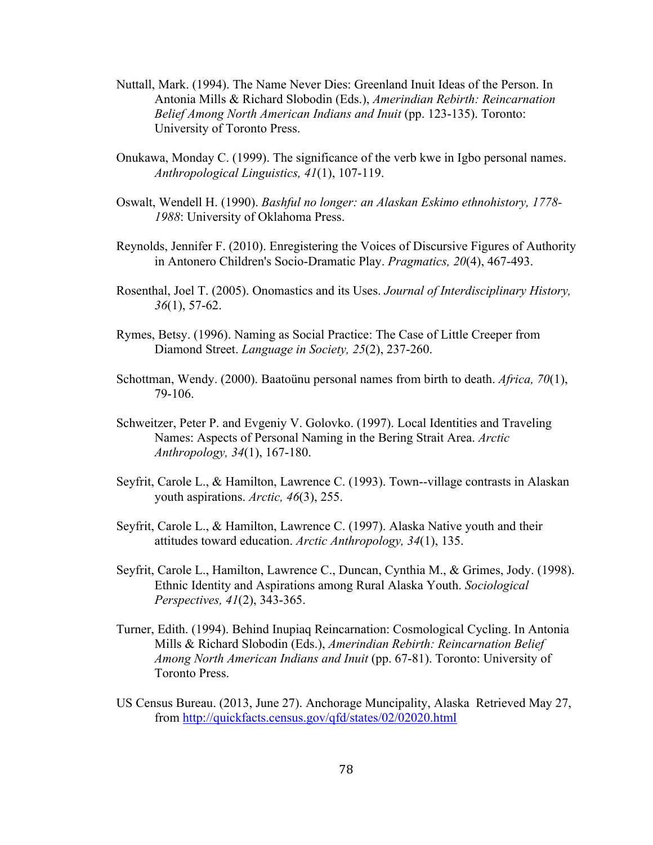- Nuttall, Mark. (1994). The Name Never Dies: Greenland Inuit Ideas of the Person. In Antonia Mills & Richard Slobodin (Eds.), *Amerindian Rebirth: Reincarnation Belief Among North American Indians and Inuit* (pp. 123-135). Toronto: University of Toronto Press.
- Onukawa, Monday C. (1999). The significance of the verb kwe in Igbo personal names. *Anthropological Linguistics, 41*(1), 107-119.
- Oswalt, Wendell H. (1990). *Bashful no longer: an Alaskan Eskimo ethnohistory, 1778- 1988*: University of Oklahoma Press.
- Reynolds, Jennifer F. (2010). Enregistering the Voices of Discursive Figures of Authority in Antonero Children's Socio-Dramatic Play. *Pragmatics, 20*(4), 467-493.
- Rosenthal, Joel T. (2005). Onomastics and its Uses. *Journal of Interdisciplinary History, 36*(1), 57-62.
- Rymes, Betsy. (1996). Naming as Social Practice: The Case of Little Creeper from Diamond Street. *Language in Society, 25*(2), 237-260.
- Schottman, Wendy. (2000). Baatoünu personal names from birth to death. *Africa, 70*(1), 79-106.
- Schweitzer, Peter P. and Evgeniy V. Golovko. (1997). Local Identities and Traveling Names: Aspects of Personal Naming in the Bering Strait Area. *Arctic Anthropology, 34*(1), 167-180.
- Seyfrit, Carole L., & Hamilton, Lawrence C. (1993). Town--village contrasts in Alaskan youth aspirations. *Arctic, 46*(3), 255.
- Seyfrit, Carole L., & Hamilton, Lawrence C. (1997). Alaska Native youth and their attitudes toward education. *Arctic Anthropology, 34*(1), 135.
- Seyfrit, Carole L., Hamilton, Lawrence C., Duncan, Cynthia M., & Grimes, Jody. (1998). Ethnic Identity and Aspirations among Rural Alaska Youth. *Sociological Perspectives, 41*(2), 343-365.
- Turner, Edith. (1994). Behind Inupiaq Reincarnation: Cosmological Cycling. In Antonia Mills & Richard Slobodin (Eds.), *Amerindian Rebirth: Reincarnation Belief Among North American Indians and Inuit* (pp. 67-81). Toronto: University of Toronto Press.
- US Census Bureau. (2013, June 27). Anchorage Muncipality, Alaska Retrieved May 27, from http://quickfacts.census.gov/qfd/states/02/02020.html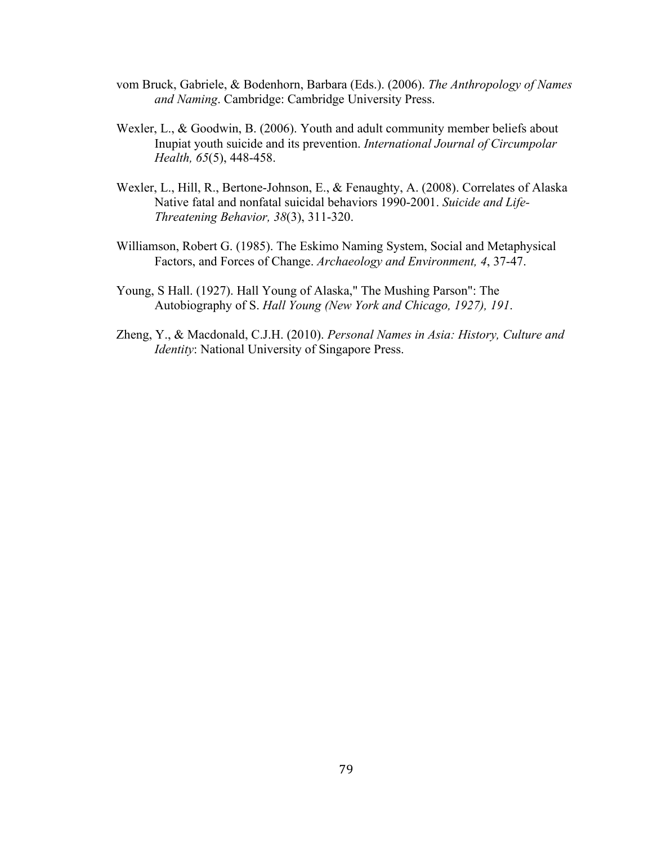- vom Bruck, Gabriele, & Bodenhorn, Barbara (Eds.). (2006). *The Anthropology of Names and Naming*. Cambridge: Cambridge University Press.
- Wexler, L., & Goodwin, B. (2006). Youth and adult community member beliefs about Inupiat youth suicide and its prevention. *International Journal of Circumpolar Health, 65*(5), 448-458.
- Wexler, L., Hill, R., Bertone-Johnson, E., & Fenaughty, A. (2008). Correlates of Alaska Native fatal and nonfatal suicidal behaviors 1990-2001. *Suicide and Life-Threatening Behavior, 38*(3), 311-320.
- Williamson, Robert G. (1985). The Eskimo Naming System, Social and Metaphysical Factors, and Forces of Change. *Archaeology and Environment, 4*, 37-47.
- Young, S Hall. (1927). Hall Young of Alaska," The Mushing Parson": The Autobiography of S. *Hall Young (New York and Chicago, 1927), 191*.
- Zheng, Y., & Macdonald, C.J.H. (2010). *Personal Names in Asia: History, Culture and Identity*: National University of Singapore Press.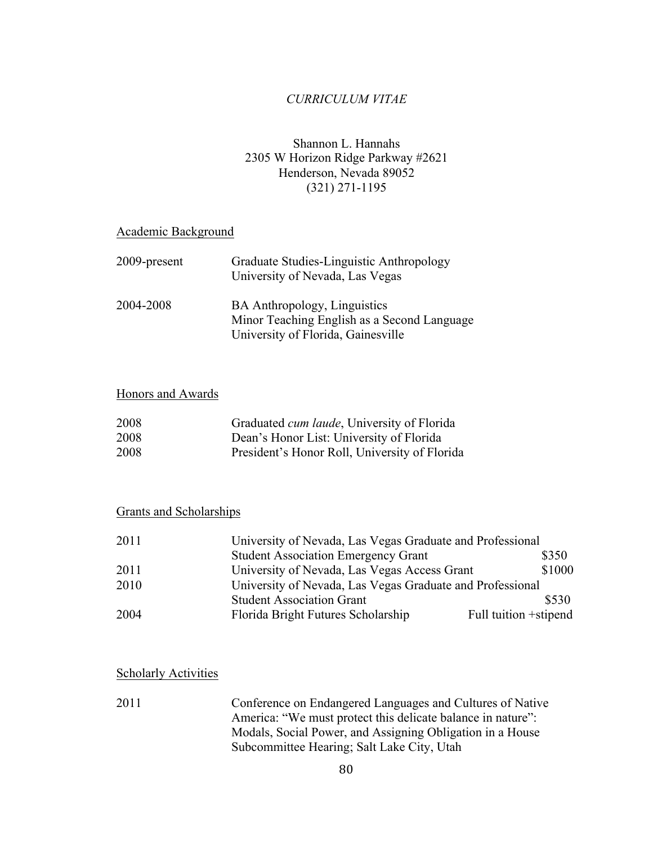## *CURRICULUM VITAE*

## Shannon L. Hannahs 2305 W Horizon Ridge Parkway #2621 Henderson, Nevada 89052 (321) 271-1195

### Academic Background

| 2009-present | Graduate Studies-Linguistic Anthropology<br>University of Nevada, Las Vegas |
|--------------|-----------------------------------------------------------------------------|
| 2004-2008    | <b>BA</b> Anthropology, Linguistics                                         |
|              | Minor Teaching English as a Second Language                                 |
|              | University of Florida, Gainesville                                          |

## Honors and Awards

| 2008 | Graduated <i>cum laude</i> , University of Florida |
|------|----------------------------------------------------|
| 2008 | Dean's Honor List: University of Florida           |
| 2008 | President's Honor Roll, University of Florida      |

### Grants and Scholarships

| 2011 | University of Nevada, Las Vegas Graduate and Professional |                        |
|------|-----------------------------------------------------------|------------------------|
|      | <b>Student Association Emergency Grant</b>                | \$350                  |
| 2011 | University of Nevada, Las Vegas Access Grant              | \$1000                 |
| 2010 | University of Nevada, Las Vegas Graduate and Professional |                        |
|      | <b>Student Association Grant</b>                          | \$530                  |
| 2004 | Florida Bright Futures Scholarship                        | Full tuition + stipend |

#### **Scholarly Activities**

2011 Conference on Endangered Languages and Cultures of Native America: "We must protect this delicate balance in nature": Modals, Social Power, and Assigning Obligation in a House Subcommittee Hearing; Salt Lake City, Utah